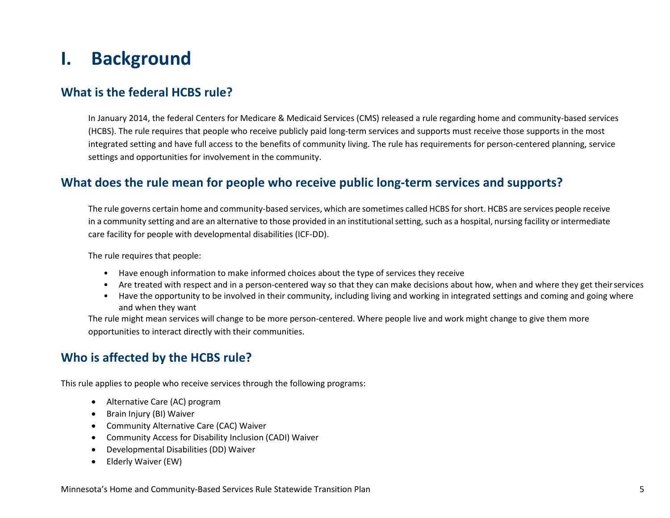# **I. Background**

### **What is the federal HCBS rule?**

In January 2014, the federal Centers for Medicare & Medicaid Services (CMS) released a rule regarding home and community-based services (HCBS). The rule requires that people who receive publicly paid long-term services and supports must receive those supports in the most integrated setting and have full access to the benefits of community living. The rule has requirements for person-centered planning, service settings and opportunities for involvement in the community.

### **What does the rule mean for people who receive public long-term services and supports?**

The rule governs certain home and community-based services, which are sometimes called HCBS for short. HCBS are services people receive in a community setting and are an alternative to those provided in an institutional setting, such as a hospital, nursing facility or intermediate care facility for people with developmental disabilities (ICF-DD).

The rule requires that people:

- Have enough information to make informed choices about the type of services they receive
- Are treated with respect and in a person-centered way so that they can make decisions about how, when and where they get theirservices
- Have the opportunity to be involved in their community, including living and working in integrated settings and coming and going where and when they want

The rule might mean services will change to be more person-centered. Where people live and work might change to give them more opportunities to interact directly with their communities.

### **Who is affected by the HCBS rule?**

This rule applies to people who receive services through the following programs:

- Alternative Care (AC) program
- Brain Injury (BI) Waiver
- Community Alternative Care (CAC) Waiver
- Community Access for Disability Inclusion (CADI) Waiver
- Developmental Disabilities (DD) Waiver
- Elderly Waiver (EW)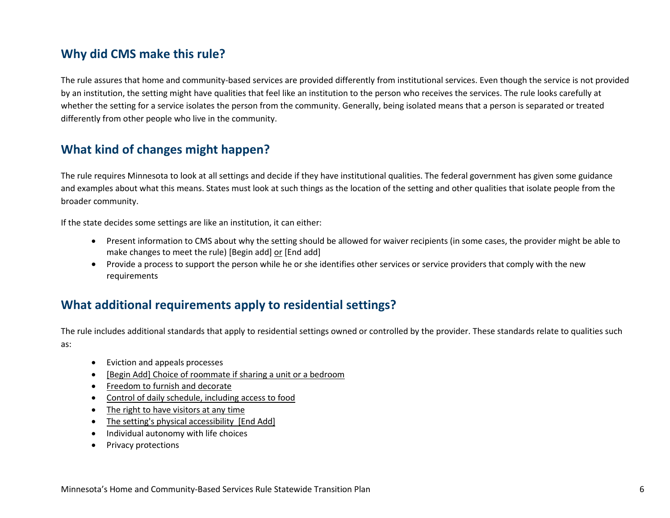## **Why did CMS make this rule?**

The rule assures that home and community-based services are provided differently from institutional services. Even though the service is not provided by an institution, the setting might have qualities that feel like an institution to the person who receives the services. The rule looks carefully at whether the setting for a service isolates the person from the community. Generally, being isolated means that a person is separated or treated differently from other people who live in the community.

# **What kind of changes might happen?**

The rule requires Minnesota to look at all settings and decide if they have institutional qualities. The federal government has given some guidance and examples about what this means. States must look at such things as the location of the setting and other qualities that isolate people from the broader community.

If the state decides some settings are like an institution, it can either:

- Present information to CMS about why the setting should be allowed for waiver recipients (in some cases, the provider might be able to make changes to meet the rule) [Begin add] or [End add]
- Provide a process to support the person while he or she identifies other services or service providers that comply with the new requirements

## **What additional requirements apply to residential settings?**

The rule includes additional standards that apply to residential settings owned or controlled by the provider. These standards relate to qualities such as:

- Eviction and appeals processes
- [Begin Add] Choice of roommate if sharing a unit or a bedroom
- Freedom to furnish and decorate
- Control of daily schedule, including access to food
- The right to have visitors at any time
- The setting's physical accessibility [End Add]
- Individual autonomy with life choices
- Privacy protections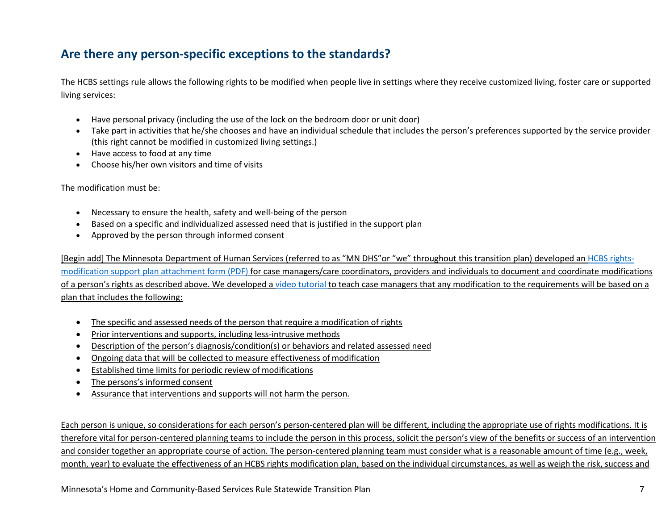## **Are there any person-specific exceptions to the standards?**

The HCBS settings rule allows the following rights to be modified when people live in settings where they receive customized living, foster care or supported living services:

- Have personal privacy (including the use of the lock on the bedroom door or unit door)
- Take part in activities that he/she chooses and have an individual schedule that includes the person's preferences supported by the service provider (this right cannot be modified in customized living settings.)
- Have access to food at any time
- Choose his/her own visitors and time of visits

The modification must be:

- Necessary to ensure the health, safety and well-being of the person
- Based on a specific and individualized assessed need that is justified in the support plan
- Approved by the person through informed consent

[Begin add] The Minnesota Department of Human Services (referred to as "MN DHS"or "we" throughout this transition plan) developed a[n HCBS rights](https://edocs.dhs.state.mn.us/lfserver/Public/DHS-7176H-ENG)[modification support plan attachment form](https://edocs.dhs.state.mn.us/lfserver/Public/DHS-7176H-ENG) (PDF) for case managers/care coordinators, providers and individuals to document and coordinate modifications of a person's rights as described above. We developed a [video tutorial](https://www.youtube.com/watch?v=905SUoA2QYU) to teach case managers that any modification to the requirements will be based on a plan that includes the following:

- The specific and assessed needs of the person that require a modification of rights
- Prior interventions and supports, including less-intrusive methods
- Description of the person's diagnosis/condition(s) or behaviors and related assessed need
- Ongoing data that will be collected to measure effectiveness of modification
- Established time limits for periodic review of modifications
- The persons's informed consent
- Assurance that interventions and supports will not harm the person.

Each person is unique, so considerations for each person's person-centered plan will be different, including the appropriate use of rights modifications. It is therefore vital for person-centered planning teams to include the person in this process, solicit the person's view of the benefits or success of an intervention and consider together an appropriate course of action. The person-centered planning team must consider what is a reasonable amount of time (e.g., week, month, year) to evaluate the effectiveness of an HCBS rights modification plan, based on the individual circumstances, as well as weigh the risk, success and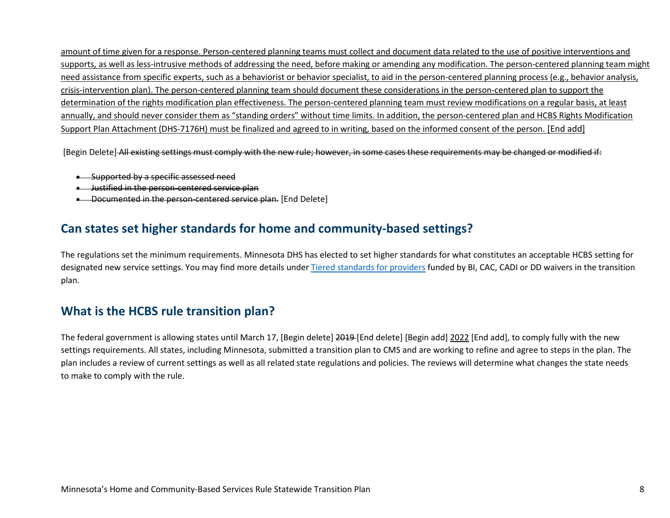amount of time given for a response. Person-centered planning teams must collect and document data related to the use of positive interventions and supports, as well as less-intrusive methods of addressing the need, before making or amending any modification. The person-centered planning team might need assistance from specific experts, such as a behaviorist or behavior specialist, to aid in the person-centered planning process (e.g., behavior analysis, crisis-intervention plan). The person-centered planning team should document these considerations in the person-centered plan to support the determination of the rights modification plan effectiveness. The person-centered planning team must review modifications on a regular basis, at least annually, and should never consider them as "standing orders" without time limits. In addition, the person-centered plan and HCBS Rights Modification Support Plan Attachment (DHS-7176H) must be finalized and agreed to in writing, based on the informed consent of the person. [End add]

[Begin Delete] All existing settings must comply with the new rule; however, in some cases these requirements may be changed or modified if:

- Supported by a specific assessed need
- Justified in the person-centered service plan
- Documented in the person-centered service plan. [End Delete]

### **Can states set higher standards for home and community-based settings?**

The regulations set the minimum requirements. Minnesota DHS has elected to set higher standards for what constitutes an acceptable HCBS setting for designated new service settings. You may find more details under [Tiered standards for providers](#page-55-0) funded by BI, CAC, CADI or DD waivers in the transition plan.

## **What is the HCBS rule transition plan?**

The federal government is allowing states until March 17, [Begin delete] 2019-[End delete] [Begin add] 2022 [End add], to comply fully with the new settings requirements. All states, including Minnesota, submitted a transition plan to CMS and are working to refine and agree to steps in the plan. The plan includes a review of current settings as well as all related state regulations and policies. The reviews will determine what changes the state needs to make to comply with the rule.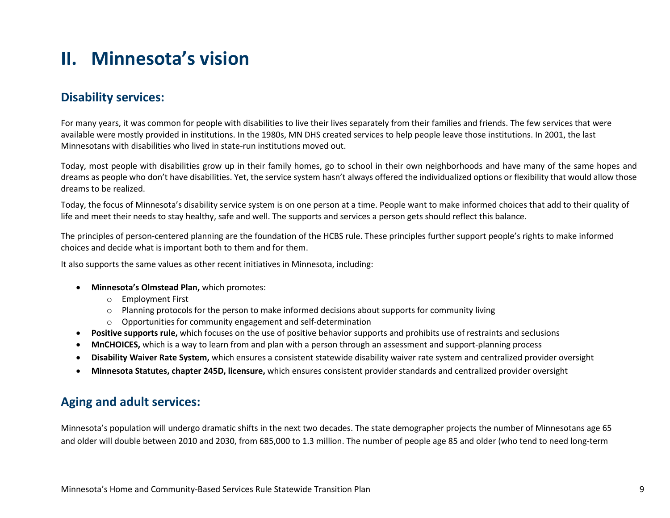# **II. Minnesota's vision**

## **Disability services:**

For many years, it was common for people with disabilities to live their lives separately from their families and friends. The few services that were available were mostly provided in institutions. In the 1980s, MN DHS created services to help people leave those institutions. In 2001, the last Minnesotans with disabilities who lived in state-run institutions moved out.

Today, most people with disabilities grow up in their family homes, go to school in their own neighborhoods and have many of the same hopes and dreams as people who don't have disabilities. Yet, the service system hasn't always offered the individualized options or flexibility that would allow those dreams to be realized.

Today, the focus of Minnesota's disability service system is on one person at a time. People want to make informed choices that add to their quality of life and meet their needs to stay healthy, safe and well. The supports and services a person gets should reflect this balance.

The principles of person-centered planning are the foundation of the HCBS rule. These principles further support people's rights to make informed choices and decide what is important both to them and for them.

It also supports the same values as other recent initiatives in Minnesota, including:

- **Minnesota's Olmstead Plan,** which promotes:
	- o Employment First
	- $\circ$  Planning protocols for the person to make informed decisions about supports for community living
	- o Opportunities for community engagement and self-determination
- **Positive supports rule,** which focuses on the use of positive behavior supports and prohibits use of restraints and seclusions
- **MnCHOICES,** which is a way to learn from and plan with a person through an assessment and support-planning process
- **Disability Waiver Rate System,** which ensures a consistent statewide disability waiver rate system and centralized provider oversight
- **Minnesota Statutes, chapter 245D, licensure,** which ensures consistent provider standards and centralized provider oversight

### **Aging and adult services:**

Minnesota's population will undergo dramatic shifts in the next two decades. The state demographer projects the number of Minnesotans age 65 and older will double between 2010 and 2030, from 685,000 to 1.3 million. The number of people age 85 and older (who tend to need long-term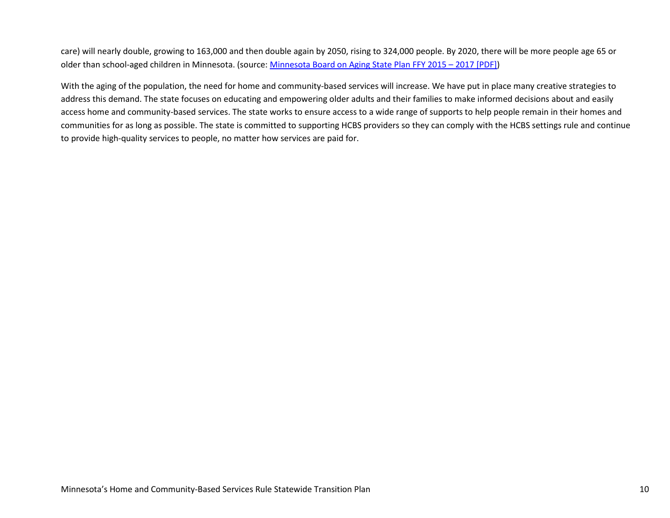care) will nearly double, growing to 163,000 and then double again by 2050, rising to 324,000 people. By 2020, there will be more people age 65 or older than school-aged children in Minnesota. (source: [Minnesota Board on Aging State Plan FFY 2015 – 2017 \[PDF\]\)](http://www.mnaging.net/en/Advocate/%7E/media/FFY_2015-2017_State_Plan_final.ashx)

With the aging of the population, the need for home and community-based services will increase. We have put in place many creative strategies to address this demand. The state focuses on educating and empowering older adults and their families to make informed decisions about and easily access home and community-based services. The state works to ensure access to a wide range of supports to help people remain in their homes and communities for as long as possible. The state is committed to supporting HCBS providers so they can comply with the HCBS settings rule and continue to provide high-quality services to people, no matter how services are paid for.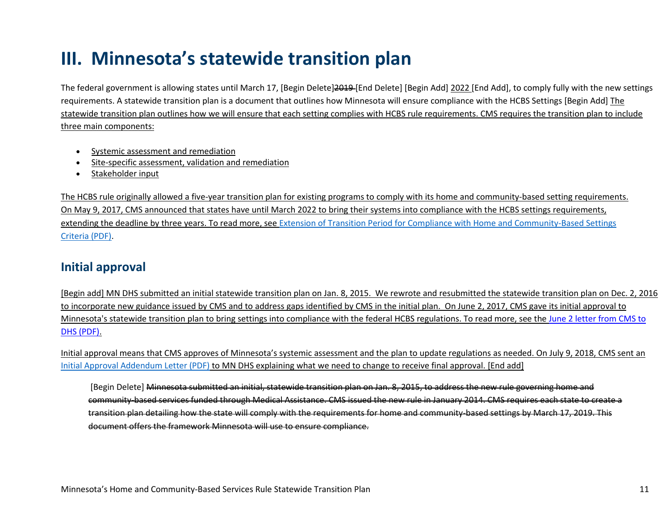# **III. Minnesota's statewide transition plan**

The federal government is allowing states until March 17, [Begin Delete]2019-[End Delete] [Begin Add] 2022 [End Add], to comply fully with the new settings requirements. A statewide transition plan is a document that outlines how Minnesota will ensure compliance with the HCBS Settings [Begin Add] The statewide transition plan outlines how we will ensure that each setting complies with HCBS rule requirements. CMS requires the transition plan to include three main components:

- Systemic assessment and remediation
- Site-specific assessment, validation and remediation
- Stakeholder input

The HCBS rule originally allowed a five-year transition plan for existing programs to comply with its home and community-based setting requirements. On May 9, 2017, CMS announced that states have until March 2022 to bring their systems into compliance with the HCBS settings requirements, extending the deadline by three years. To read more, see [Extension of Transition Period for Compliance with Home and Community-Based Settings](https://www.medicaid.gov/federal-policy-guidance/downloads/cib050917.pdf)  [Criteria \(PDF\).](https://www.medicaid.gov/federal-policy-guidance/downloads/cib050917.pdf)

### **Initial approval**

[Begin add] MN DHS submitted an initial statewide transition plan on Jan. 8, 2015. We rewrote and resubmitted the statewide transition plan on Dec. 2, 2016 to incorporate new guidance issued by CMS and to address gaps identified by CMS in the initial plan. On June 2, 2017, CMS gave its initial approval to Minnesota's statewide transition plan to bring settings into compliance with the federal HCBS regulations. To read more, see th[e June 2 letter from CMS to](https://mn.gov/dhs/assets/060217-CMS-STP-approval_tcm1053-298565.pdf)  [DHS \(PDF\).](https://mn.gov/dhs/assets/060217-CMS-STP-approval_tcm1053-298565.pdf)

Initial approval means that CMS approves of Minnesota's systemic assessment and the plan to update regulations as needed. On July 9, 2018, CMS sent an [Initial Approval Addendum Letter \(PDF\)](https://www.medicaid.gov/medicaid/hcbs/downloads/mn/mn-initial-approval-addendum.pdf) to MN DHS explaining what we need to change to receive final approval. [End add]

[Begin Delete] Minnesota submitted an initial, statewide transition plan on Jan. 8, 2015, to address the new rule governing home and community-based services funded through Medical Assistance. CMS issued the new rule in January 2014. CMS requires each state to create a transition plan detailing how the state will comply with the requirements for home and community-based settings by March 17, 2019. This document offers the framework Minnesota will use to ensure compliance.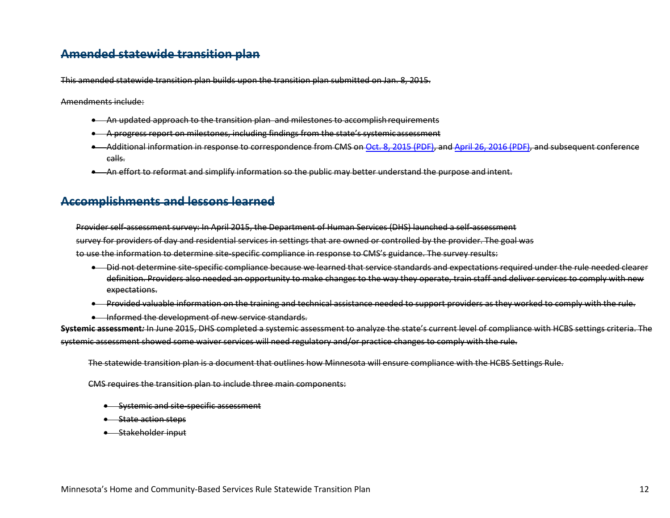### **Amended statewide transition plan**

This amended statewide transition plan builds upon the transition plan submitted on Jan. 8, 2015.

Amendments include:

- An updated approach to the transition plan and milestones to accomplish requirements
- A progress report on milestones, including findings from the state's systemic assessment
- Additional information in response to correspondence from CMS on [Oct. 8, 2015 \(PDF\),](https://www.medicaid.gov/medicaid/hcbs/downloads/mn/mn-cmia.pdf) and [April 26, 2016 \(PDF\), a](https://mn.gov/dhs/assets/04262016-HCBS-CMS-feedback_tcm1053-284357.pdf)nd subsequent conference calls.
- An effort to reformat and simplify information so the public may better understand the purpose and intent.

### **Accomplishments and lessons learned**

Provider self-assessment survey: In April 2015, the Department of Human Services (DHS) launched a self-assessment survey for providers of day and residential services in settings that are owned or controlled by the provider. The goal was to use the information to determine site-specific compliance in response to CMS's guidance. The survey results:

- Did not determine site-specific compliance because we learned that service standards and expectations required under the rule needed clearer definition. Providers also needed an opportunity to make changes to the way they operate, train staff and deliver services to comply with new expectations.
- Provided valuable information on the training and technical assistance needed to support providers as they worked to comply with the rule.
- Informed the development of new service standards.

**Systemic assessment***:* In June 2015, DHS completed a systemic assessment to analyze the state's current level of compliance with HCBS settings criteria. The systemic assessment showed some waiver services will need regulatory and/or practice changes to comply with the rule.

The statewide transition plan is a document that outlines how Minnesota will ensure compliance with the HCBS Settings Rule.

CMS requires the transition plan to include three main components:

- Systemic and site-specific assessment
- State action steps
- Stakeholder input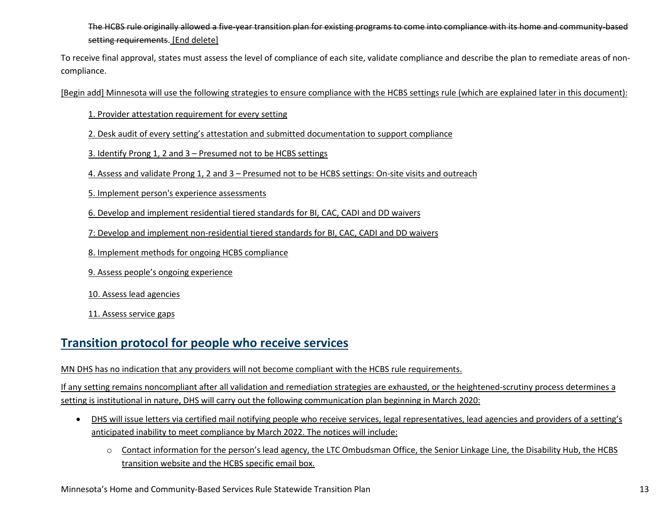### The HCBS rule originally allowed a five-year transition plan for existing programs to come into compliance with its home and community-based setting requirements. [End delete]

To receive final approval, states must assess the level of compliance of each site, validate compliance and describe the plan to remediate areas of noncompliance.

[Begin add] Minnesota will use the following strategies to ensure compliance with the HCBS settings rule (which are explained later in this document):

- 1. Provider attestation requirement for every setting
- 2. Desk audit of every setting's attestation and submitted documentation to support compliance
- 3. Identify Prong 1, 2 and 3 Presumed not to be HCBS settings
- 4. Assess and validate Prong 1, 2 and 3 Presumed not to be HCBS settings: On-site visits and outreach
- 5. Implement person's experience assessments
- 6. Develop and implement residential tiered standards for BI, CAC, CADI and DD waivers
- 7: Develop and implement non-residential tiered standards for BI, CAC, CADI and DD waivers
- 8. Implement methods for ongoing HCBS compliance
- 9. Assess people's ongoing experience
- 10. Assess lead agencies
- 11. Assess service gaps

### **Transition protocol for people who receive services**

#### MN DHS has no indication that any providers will not become compliant with the HCBS rule requirements.

If any setting remains noncompliant after all validation and remediation strategies are exhausted, or the heightened-scrutiny process determines a setting is institutional in nature, DHS will carry out the following communication plan beginning in March 2020:

- DHS will issue letters via certified mail notifying people who receive services, legal representatives, lead agencies and providers of a setting's anticipated inability to meet compliance by March 2022. The notices will include:
	- o Contact information for the person's lead agency, the LTC Ombudsman Office, the Senior Linkage Line, the Disability Hub, the HCBS transition website and the HCBS specific email box.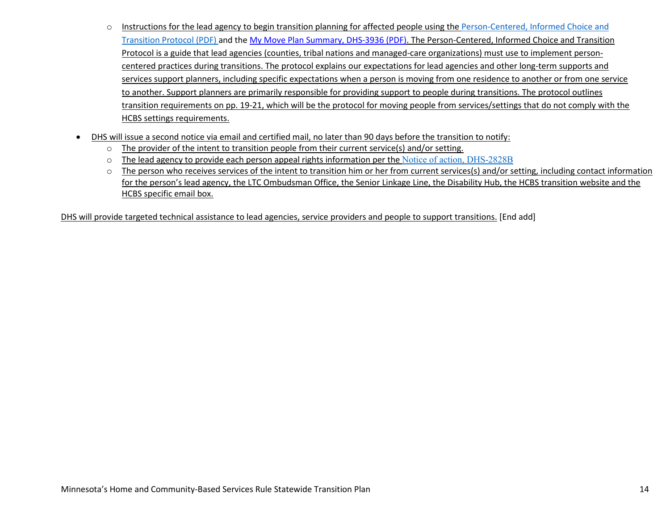- o Instructions for the lead agency to begin transition planning for affected people using the [Person-Centered, Informed](https://edocs.dhs.state.mn.us/lfserver/Public/DHS-3825-ENG) Choice and [Transition Protocol \(PDF\)](https://edocs.dhs.state.mn.us/lfserver/Public/DHS-3825-ENG) and the [My Move Plan Summary, DHS-3936 \(PDF\).](https://edocs.dhs.state.mn.us/lfserver/Public/DHS-3936-ENG) The Person-Centered, Informed Choice and Transition Protocol is a guide that lead agencies (counties, tribal nations and managed-care organizations) must use to implement personcentered practices during transitions. The protocol explains our expectations for lead agencies and other long-term supports and services support planners, including specific expectations when a person is moving from one residence to another or from one service to another. Support planners are primarily responsible for providing support to people during transitions. The protocol outlines transition requirements on pp. 19-21, which will be the protocol for moving people from services/settings that do not comply with the HCBS settings requirements.
- DHS will issue a second notice via email and certified mail, no later than 90 days before the transition to notify:
	- $\circ$  The provider of the intent to transition people from their current service(s) and/or setting.
	- $\circ$  The lead agency to provide each person appeal rights information per the [Notice of action, DHS-2828B](https://edocs.dhs.state.mn.us/lfserver/Public/DHS-2828B-ENG)
	- $\circ$  The person who receives services of the intent to transition him or her from current services(s) and/or setting, including contact information for the person's lead agency, the LTC Ombudsman Office, the Senior Linkage Line, the Disability Hub, the HCBS transition website and the HCBS specific email box.

DHS will provide targeted technical assistance to lead agencies, service providers and people to support transitions. [End add]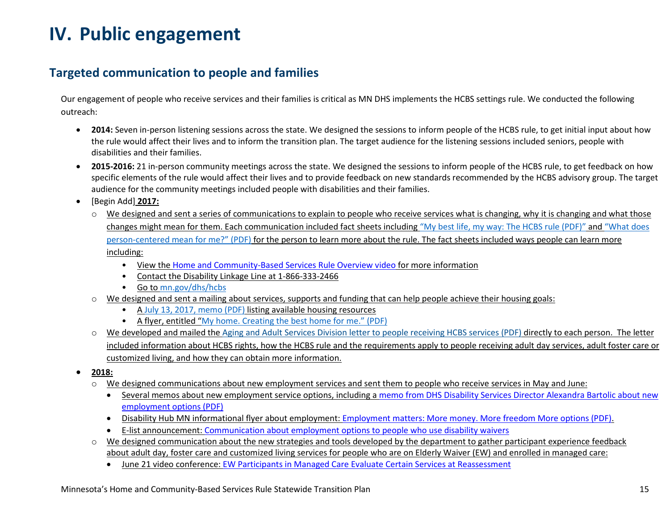# **IV. Public engagement**

### **Targeted communication to people and families**

Our engagement of people who receive services and their families is critical as MN DHS implements the HCBS settings rule. We conducted the following outreach:

- **2014:** Seven in-person listening sessions across the state. We designed the sessions to inform people of the HCBS rule, to get initial input about how the rule would affect their lives and to inform the transition plan. The target audience for the listening sessions included seniors, people with disabilities and their families.
- **2015-2016:** 21 in-person community meetings across the state. We designed the sessions to inform people of the HCBS rule, to get feedback on how specific elements of the rule would affect their lives and to provide feedback on new standards recommended by the HCBS advisory group. The target audience for the community meetings included people with disabilities and their families.
- [Begin Add] **2017:**
	- $\circ$  We designed and sent a series of communications to explain to people who receive services what is changing, why it is changing and what those changes might mean for them. Each communication included fact sheets including ["My best life, my way: The HCBS rule \(PDF\)"](https://mn.gov/dhs/assets/03072017-HCBS-flyer-What-does-HCBS-rule-mean-for-me-accessible_tcm1053-284054.pdf) and ["What does](https://mn.gov/dhs/assets/03072017-HCBS-flyer-My-best-life-my-way-accessible_tcm1053-284056.pdf)  [person-centered mean for me?" \(PDF\)](https://mn.gov/dhs/assets/03072017-HCBS-flyer-My-best-life-my-way-accessible_tcm1053-284056.pdf) for the person to learn more about the rule. The fact sheets included ways people can learn more including:
		- View the [Home and Community-Based Services Rule Overview video](https://www.youtube.com/watch?v=IIqr8AUHa1k) for more information
		- Contact the Disability Linkage Line at 1-866-333-2466
		- Go to [mn.gov/dhs/hcbs](http://www.mn.gov/dhs/hcbs)
	- $\circ$  We designed and sent a mailing about services, supports and funding that can help people achieve their housing goals:
		- A [July 13, 2017, memo \(PDF\)](https://www.dhs.state.mn.us/main/idcplg?IdcService=GET_FILE&RevisionSelectionMethod=LatestReleased&Rendition=Primary&allowInterrupt=1&dDocName=DHS-295077) listing available housing resources
		- A flyer, entitled ["My home. Creating the best home for me." \(PDF\)](https://www.dhs.state.mn.us/main/idcplg?IdcService=GET_FILE&RevisionSelectionMethod=LatestReleased&Rendition=Primary&allowInterrupt=1&dDocName=DHS-295012)
	- We developed and mailed the [Aging and Adult Services Division letter to people receiving HCBS services \(PDF\)](https://mn.gov/dhs/assets/03072017-HCBS-Aging-memo-accessible_tcm1053-284212.pdf) directly to each person. The letter included information about HCBS rights, how the HCBS rule and the requirements apply to people receiving adult day services, adult foster care or customized living, and how they can obtain more information.
- **2018:** 
	- o We designed communications about new employment services and sent them to people who receive services in May and June:
		- Several memos about new employment service options, including a [memo from DHS Disability Services Director Alexandra Bartolic about new](https://www.dhs.state.mn.us/main/idcplg?IdcService=GET_FILE&RevisionSelectionMethod=LatestReleased&Rendition=Primary&allowInterrupt=1&dDocName=DHS-300044)  [employment options \(PDF\)](https://www.dhs.state.mn.us/main/idcplg?IdcService=GET_FILE&RevisionSelectionMethod=LatestReleased&Rendition=Primary&allowInterrupt=1&dDocName=DHS-300044)
		- Disability Hub MN informational flyer about employment[: Employment matters: More money. More freedom More options \(PDF\).](https://disabilityhubmn.org/media/1061/employment-matters-adult.pdf)
		- E-list announcement: [Communication about employment options to people who use disability waivers](https://www.dhs.state.mn.us/main/idcplg?IdcService=GET_DYNAMIC_CONVERSION&RevisionSelectionMethod=LatestReleased&dDocName=DHS-300093)
	- We designed communication about the new strategies and tools developed by the department to gather participant experience feedback about adult day, foster care and customized living services for people who are on Elderly Waiver (EW) and enrolled in managed care:
		- June 21 video conference: [EW Participants in Managed Care Evaluate Certain Services at Reassessment](https://content.govdelivery.com/bulletins/gd/MNDHS-1f40627?wgt_ref=MNDHS_WIDGET_11)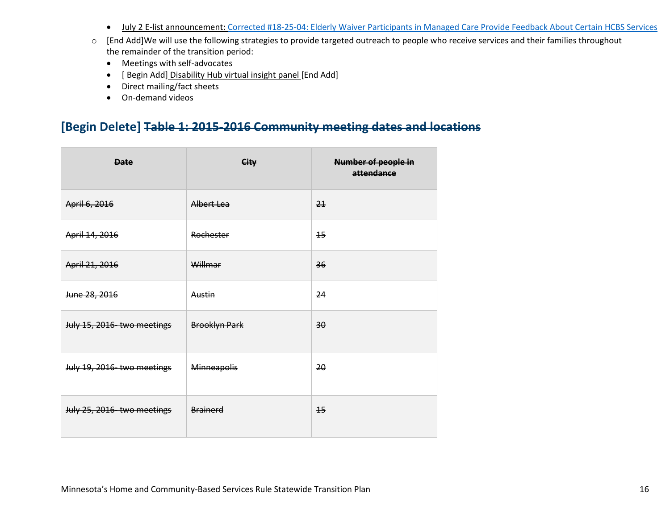- July 2 E-list announcement: [Corrected #18-25-04: Elderly Waiver Participants in Managed Care Provide Feedback About Certain HCBS Services](http://www.dhs.state.mn.us/main/idcplg?IdcService=GET_FILE&RevisionSelectionMethod=LatestReleased&Rendition=Primary&allowInterrupt=1&noSaveAs=1&dDocName=dhs-305078)
- o [End Add]We will use the following strategies to provide targeted outreach to people who receive services and their families throughout the remainder of the transition period:
	- Meetings with self-advocates
	- [ Begin Add] Disability Hub virtual insight panel [End Add]
	- Direct mailing/fact sheets
	- On-demand videos

# **[Begin Delete] Table 1: 2015-2016 Community meeting dates and locations**

| <b>Date</b>                | City                 | <b>Number of people in</b><br>attendance |
|----------------------------|----------------------|------------------------------------------|
| April 6, 2016              | Albert Lea           | 21                                       |
| April 14, 2016             | Rochester            | 15                                       |
| April 21, 2016             | Willmar              | 36                                       |
| June 28, 2016              | Austin               | 24                                       |
| July 15, 2016 two meetings | <b>Brooklyn Park</b> | 30                                       |
| July 19, 2016-two meetings | Minneapolis          | 20                                       |
| July 25, 2016-two meetings | Brainerd             | 15                                       |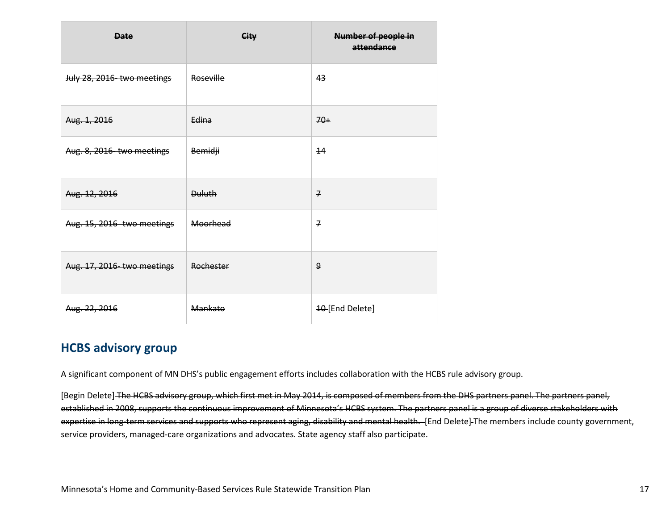| <b>Date</b>                | City          | <b>Number of people in</b><br>attendance |
|----------------------------|---------------|------------------------------------------|
| July 28, 2016-two meetings | Roseville     | 43                                       |
| Aug. 1, 2016               | Edina         | $70+$                                    |
| Aug. 8, 2016 two meetings  | Bemidji       | 14                                       |
| Aug. 12, 2016              | <b>Duluth</b> | $\overline{7}$                           |
| Aug. 15, 2016-two meetings | Moorhead      | $\overline{7}$                           |
| Aug. 17, 2016-two meetings | Rochester     | 9                                        |
| Aug. 22, 2016              | Mankato       | 10 [End Delete]                          |

### **HCBS advisory group**

A significant component of MN DHS's public engagement efforts includes collaboration with the HCBS rule advisory group.

[Begin Delete] The HCBS advisory group, which first met in May 2014, is composed of members from the DHS partners panel. The partners panel, established in 2008, supports the continuous improvement of Minnesota's HCBS system. The partners panel is a group of diverse stakeholders with expertise in long-term services and supports who represent aging, disability and mental health. [End Delete] The members include county government, service providers, managed-care organizations and advocates. State agency staff also participate.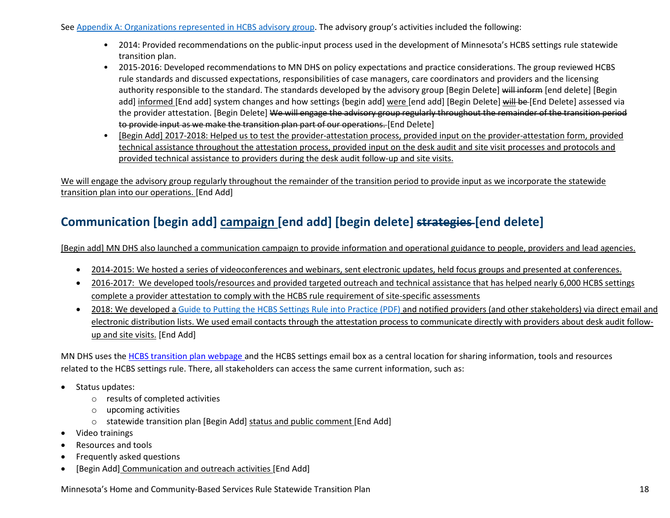Se[e Appendix A: Organizations represented in HCBS advisory group.](#page-84-0) The advisory group's activities included the following:

- 2014: Provided recommendations on the public-input process used in the development of Minnesota's HCBS settings rule statewide transition plan.
- 2015-2016: Developed recommendations to MN DHS on policy expectations and practice considerations. The group reviewed HCBS rule standards and discussed expectations, responsibilities of case managers, care coordinators and providers and the licensing authority responsible to the standard. The standards developed by the advisory group [Begin Delete] will inform [end delete] [Begin add] informed [End add] system changes and how settings {begin add] were [end add] [Begin Delete] will be [End Delete] assessed via the provider attestation. [Begin Delete] We will engage the advisory group regularly throughout the remainder of the transition period to provide input as we make the transition plan part of our operations. [End Delete]
- [Begin Add] 2017-2018: Helped us to test the provider-attestation process, provided input on the provider-attestation form, provided technical assistance throughout the attestation process, provided input on the desk audit and site visit processes and protocols and provided technical assistance to providers during the desk audit follow-up and site visits.

We will engage the advisory group regularly throughout the remainder of the transition period to provide input as we incorporate the statewide transition plan into our operations. [End Add]

# **Communication [begin add] campaign [end add] [begin delete] strategies [end delete]**

[Begin add] MN DHS also launched a communication campaign to provide information and operational guidance to people, providers and lead agencies.

- 2014-2015: We hosted a series of videoconferences and webinars, sent electronic updates, held focus groups and presented at conferences.
- 2016-2017: We developed tools/resources and provided targeted outreach and technical assistance that has helped nearly 6,000 HCBS settings complete a provider attestation to comply with the HCBS rule requirement of site-specific assessments
- 2018: We developed a [Guide to Putting the HCBS Settings Rule into Practice](https://mn.gov/dhs/assets/102517-hcbs-best-practices-guide_tcm1053-318393.pdf) (PDF) and notified providers (and other stakeholders) via direct email and electronic distribution lists. We used email contacts through the attestation process to communicate directly with providers about desk audit followup and site visits. [End Add]

MN DHS uses the [HCBS transition plan webpage a](http://mn.gov/dhs/partners-and-providers/news-initiatives-reports-workgroups/long-term-services-and-supports/hcbs-transition/)nd the HCBS settings email box as a central location for sharing information, tools and resources related to the HCBS settings rule. There, all stakeholders can access the same current information, such as:

- Status updates:
	- o results of completed activities
	- o upcoming activities
	- o statewide transition plan [Begin Add] status and public comment [End Add]
- Video trainings
- Resources and tools
- Frequently asked questions
- [Begin Add] Communication and outreach activities [End Add]

Minnesota's Home and Community-Based Services Rule Statewide Transition Plan 18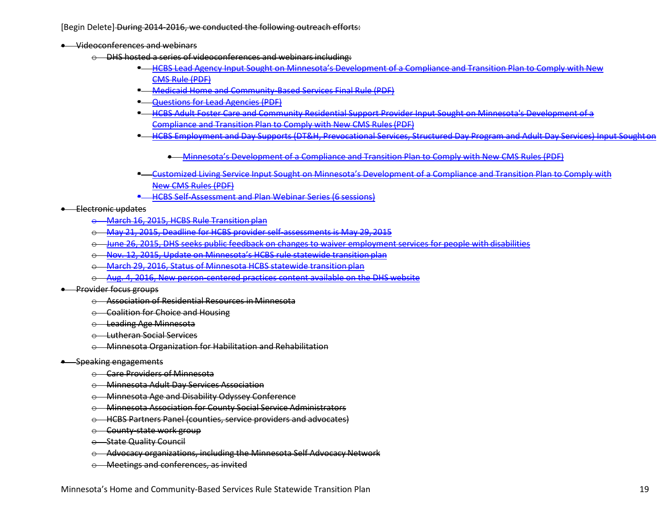[Begin Delete] During 2014-2016, we conducted the following outreach efforts:

• Videoconferences and webinars

- $\Theta$  DHS hosted a series of videoconferences and webinars including:
	- **HCBS Lead Agency Input Sought on Minnesota's Development of a Compliance and Transition Plan to Comply with New** [CMS Rule](http://www.dhs.state.mn.us/main/groups/aging/documents/pub/dhs16_185031.pdf) [\(PDF\)](http://www.dhs.state.mn.us/main/groups/aging/documents/pub/dhs16_185031.pdf)
	- [Medicaid Home and Community-Based Services Final Rule](http://www.dhs.state.mn.us/main/groups/county_access/documents/pub/dhs16_184938.pdf) (PDF)
	- **T** Ouestions for Lead Agencies (PDF)
	- **E-HCBS Adult Foster Care and Community Residential Support Provider Input Sought on Minnesota's Development of a** [Compliance and](http://www.dhs.state.mn.us/main/groups/aging/documents/pub/dhs16_185035.pdf) [Transition Plan to Comply with New CMS Rules\(PDF\)](http://www.dhs.state.mn.us/main/groups/aging/documents/pub/dhs16_185035.pdf)
	- **[HCBS Employment and Day Supports \(DT&H, Prevocational Services, Structured Day Program and Adult Day Services\) Input Soughton](http://www.dhs.state.mn.us/main/groups/aging/documents/pub/dhs16_188339.pdf)** 
		- [Minnesota's Development of a Compliance and Transition Plan to Comply with New](http://www.dhs.state.mn.us/main/groups/aging/documents/pub/dhs16_188339.pdf) CMS Rules (PDF)
	- [Customized Living Service Input Sought on Minnesota's Development of a Compliance and Transition Plan to Comply with](http://www.dhs.state.mn.us/main/groups/aging/documents/pub/dhs16_188597.pdf)  [New CMS](http://www.dhs.state.mn.us/main/groups/aging/documents/pub/dhs16_188597.pdf) [Rules \(PDF\)](http://www.dhs.state.mn.us/main/groups/aging/documents/pub/dhs16_188597.pdf)
	- **[HCBS Self-Assessment and Plan Webinar Series \(6](http://www.dhs.state.mn.us/main/idcplg?IdcService=GET_DYNAMIC_CONVERSION&RevisionSelectionMethod=LatestReleased&dDocName=DHS16_193357) sessions)**

#### • Electronic updates

- o [March 16, 2015, HCBS Rule](http://www.dhs.state.mn.us/main/idcplg?IdcService=GET_DYNAMIC_CONVERSION&RevisionSelectionMethod=LatestReleased&dDocName=DHS16_193481) Transition plan
- o [May 21, 2015, Deadline for HCBS provider self-assessments is May 29,](http://www.dhs.state.mn.us/main/idcplg?IdcService=GET_DYNAMIC_CONVERSION&RevisionSelectionMethod=LatestReleased&dDocName=DHS16_194859) 2015
- o [June 26, 2015, DHS seeks public feedback on changes to waiver employment services for people with disabilities](http://www.dhs.state.mn.us/main/idcplg?IdcService=GET_DYNAMIC_CONVERSION&RevisionSelectionMethod=LatestReleased&dDocName=DHS16_195548)
- o [Nov. 12, 2015, Update on Minnesota's HCBS rule statewide transition](http://www.dhs.state.mn.us/main/idcplg?IdcService=GET_DYNAMIC_CONVERSION&RevisionSelectionMethod=LatestReleased&dDocName=DHS16_198063) plan
- o [March 29, 2016, Status of Minnesota HCBS statewide transition](https://content.govdelivery.com/accounts/MNDHS/bulletins/13e8e90) plan
- o [Aug. 4, 2016, New person-centered practices content available on the DHS](https://content.govdelivery.com/accounts/MNDHS/bulletins/15aed85) website

#### **•** Provider focus groups

- o Association of Residential Resources in Minnesota
- $\odot$  Coalition for Choice and Housing
- o Leading Age Minnesota
- o Lutheran Social Services
- o Minnesota Organization for Habilitation and Rehabilitation

#### • Speaking engagements

- o Care Providers of Minnesota
- o Minnesota Adult Day Services Association
- o Minnesota Age and Disability Odyssey Conference
- o Minnesota Association for County Social Service Administrators
- o HCBS Partners Panel (counties, service providers and advocates)
- o County-state work group
- o State Quality Council
- o Advocacy organizations, including the Minnesota Self Advocacy Network
- o Meetings and conferences, as invited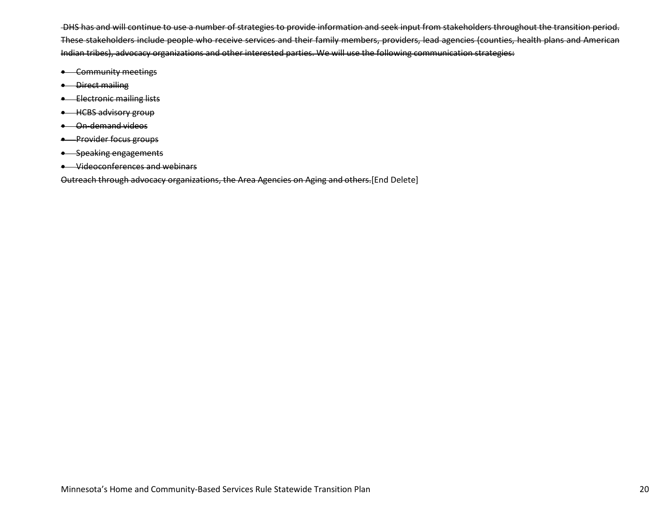DHS has and will continue to use a number of strategies to provide information and seek input from stakeholders throughout the transition period. These stakeholders include people who receive services and their family members, providers, lead agencies (counties, health plans and American Indian tribes), advocacy organizations and other interested parties. We will use the following communication strategies:

- Community meetings
- Direct mailing
- Electronic mailing lists
- HCBS advisory group
- On-demand videos
- Provider focus groups
- Speaking engagements
- Videoconferences and webinars

Outreach through advocacy organizations, the Area Agencies on Aging and others.[End Delete]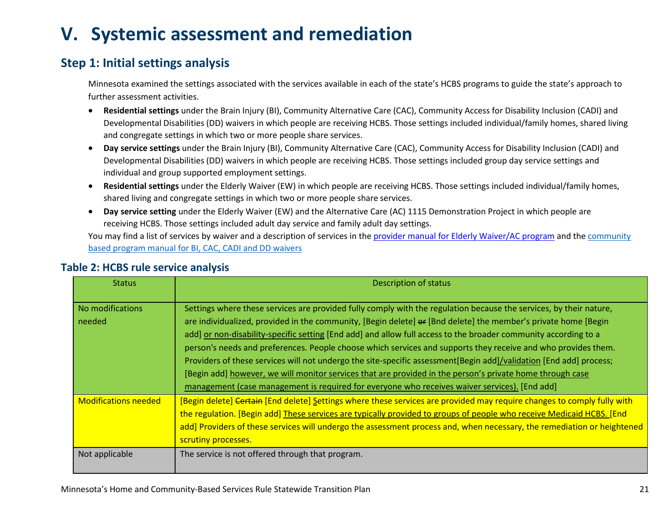# **V. Systemic assessment and remediation**

## **Step 1: Initial settings analysis**

Minnesota examined the settings associated with the services available in each of the state's HCBS programs to guide the state's approach to further assessment activities.

- **Residential settings** under the Brain Injury (BI), Community Alternative Care (CAC), Community Access for Disability Inclusion (CADI) and Developmental Disabilities (DD) waivers in which people are receiving HCBS. Those settings included individual/family homes, shared living and congregate settings in which two or more people share services.
- **Day service settings** under the Brain Injury (BI), Community Alternative Care (CAC), Community Access for Disability Inclusion (CADI) and Developmental Disabilities (DD) waivers in which people are receiving HCBS. Those settings included group day service settings and individual and group supported employment settings.
- **Residential settings** under the Elderly Waiver (EW) in which people are receiving HCBS. Those settings included individual/family homes, shared living and congregate settings in which two or more people share services.
- **Day service setting** under the Elderly Waiver (EW) and the Alternative Care (AC) 1115 Demonstration Project in which people are receiving HCBS. Those settings included adult day service and family adult day settings.

You may find a list of services by waiver and a description of services in th[e provider manual for Elderly Waiver/AC program](https://www.dhs.state.mn.us/main/idcplg?IdcService=GET_DYNAMIC_CONVERSION&RevisionSelectionMethod=LatestReleased&dDocName=ID_056766) and the community [based program manual for BI, CAC, CADI and DD waivers](https://www.dhs.state.mn.us/main/idcplg?IdcService=GET_DYNAMIC_CONVERSION&RevisionSelectionMethod=LatestReleased&dDocName=ID_008995) 

| <b>Status</b>               | Description of status                                                                                                                                                                                                                                                                                                                                                                                                                                                                                                                                                                                                                                                                                                                                                                                         |
|-----------------------------|---------------------------------------------------------------------------------------------------------------------------------------------------------------------------------------------------------------------------------------------------------------------------------------------------------------------------------------------------------------------------------------------------------------------------------------------------------------------------------------------------------------------------------------------------------------------------------------------------------------------------------------------------------------------------------------------------------------------------------------------------------------------------------------------------------------|
| No modifications<br>needed  | Settings where these services are provided fully comply with the regulation because the services, by their nature,<br>are individualized, provided in the community, [Begin delete] or [Bnd delete] the member's private home [Begin<br>add] or non-disability-specific setting [End add] and allow full access to the broader community according to a<br>person's needs and preferences. People choose which services and supports they receive and who provides them.<br>Providers of these services will not undergo the site-specific assessment [Begin add]/validation [End add] process;<br>[Begin add] however, we will monitor services that are provided in the person's private home through case<br>management (case management is required for everyone who receives waiver services). [End add] |
| <b>Modifications needed</b> | [Begin delete] Certain [End delete] Settings where these services are provided may require changes to comply fully with<br>the regulation. [Begin add] These services are typically provided to groups of people who receive Medicaid HCBS. [End<br>add] Providers of these services will undergo the assessment process and, when necessary, the remediation or heightened<br>scrutiny processes.                                                                                                                                                                                                                                                                                                                                                                                                            |
| Not applicable              | The service is not offered through that program.                                                                                                                                                                                                                                                                                                                                                                                                                                                                                                                                                                                                                                                                                                                                                              |

### **Table 2: HCBS rule service analysis**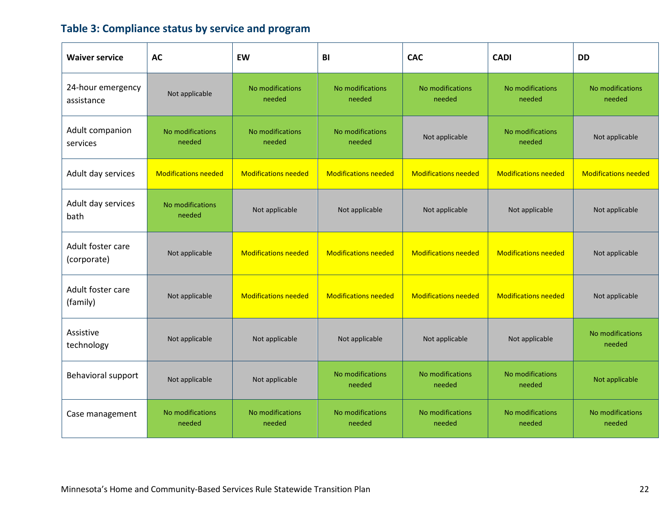# **Table 3: Compliance status by service and program**

| <b>Waiver service</b>            | <b>AC</b>                   | EW                          | BI                          | <b>CAC</b>                  | <b>CADI</b>                 | <b>DD</b>                   |
|----------------------------------|-----------------------------|-----------------------------|-----------------------------|-----------------------------|-----------------------------|-----------------------------|
| 24-hour emergency<br>assistance  | Not applicable              | No modifications<br>needed  | No modifications<br>needed  | No modifications<br>needed  | No modifications<br>needed  | No modifications<br>needed  |
| Adult companion<br>services      | No modifications<br>needed  | No modifications<br>needed  | No modifications<br>needed  | Not applicable              | No modifications<br>needed  | Not applicable              |
| Adult day services               | <b>Modifications needed</b> | <b>Modifications needed</b> | <b>Modifications needed</b> | <b>Modifications needed</b> | <b>Modifications needed</b> | <b>Modifications needed</b> |
| Adult day services<br>bath       | No modifications<br>needed  | Not applicable              | Not applicable              | Not applicable              | Not applicable              | Not applicable              |
| Adult foster care<br>(corporate) | Not applicable              | <b>Modifications needed</b> | <b>Modifications needed</b> | <b>Modifications needed</b> | <b>Modifications needed</b> | Not applicable              |
| Adult foster care<br>(family)    | Not applicable              | <b>Modifications needed</b> | <b>Modifications needed</b> | <b>Modifications needed</b> | <b>Modifications needed</b> | Not applicable              |
| Assistive<br>technology          | Not applicable              | Not applicable              | Not applicable              | Not applicable              | Not applicable              | No modifications<br>needed  |
| Behavioral support               | Not applicable              | Not applicable              | No modifications<br>needed  | No modifications<br>needed  | No modifications<br>needed  | Not applicable              |
| Case management                  | No modifications<br>needed  | No modifications<br>needed  | No modifications<br>needed  | No modifications<br>needed  | No modifications<br>needed  | No modifications<br>needed  |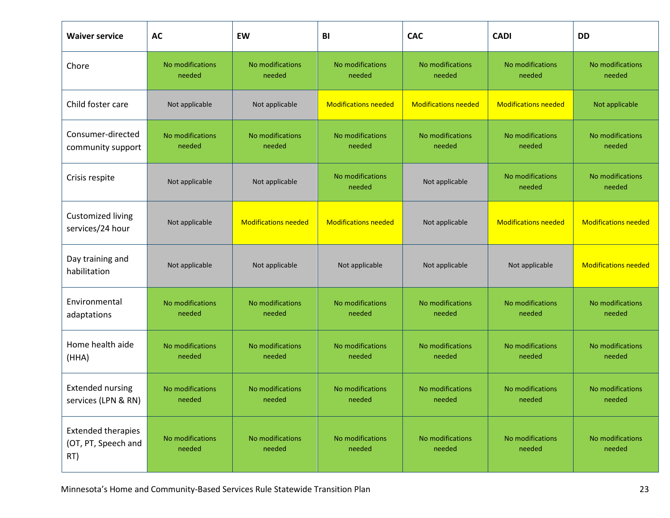| <b>Waiver service</b>                                   | AC                         | EW                          | BI                          | <b>CAC</b>                  | <b>CADI</b>                 | <b>DD</b>                   |
|---------------------------------------------------------|----------------------------|-----------------------------|-----------------------------|-----------------------------|-----------------------------|-----------------------------|
| Chore                                                   | No modifications<br>needed | No modifications<br>needed  | No modifications<br>needed  | No modifications<br>needed  | No modifications<br>needed  | No modifications<br>needed  |
| Child foster care                                       | Not applicable             | Not applicable              | <b>Modifications needed</b> | <b>Modifications needed</b> | <b>Modifications needed</b> | Not applicable              |
| Consumer-directed<br>community support                  | No modifications<br>needed | No modifications<br>needed  | No modifications<br>needed  | No modifications<br>needed  | No modifications<br>needed  | No modifications<br>needed  |
| Crisis respite                                          | Not applicable             | Not applicable              | No modifications<br>needed  | Not applicable              | No modifications<br>needed  | No modifications<br>needed  |
| Customized living<br>services/24 hour                   | Not applicable             | <b>Modifications needed</b> | <b>Modifications needed</b> | Not applicable              | <b>Modifications needed</b> | <b>Modifications needed</b> |
| Day training and<br>habilitation                        | Not applicable             | Not applicable              | Not applicable              | Not applicable              | Not applicable              | <b>Modifications needed</b> |
| Environmental<br>adaptations                            | No modifications<br>needed | No modifications<br>needed  | No modifications<br>needed  | No modifications<br>needed  | No modifications<br>needed  | No modifications<br>needed  |
| Home health aide<br>(HHA)                               | No modifications<br>needed | No modifications<br>needed  | No modifications<br>needed  | No modifications<br>needed  | No modifications<br>needed  | No modifications<br>needed  |
| <b>Extended nursing</b><br>services (LPN & RN)          | No modifications<br>needed | No modifications<br>needed  | No modifications<br>needed  | No modifications<br>needed  | No modifications<br>needed  | No modifications<br>needed  |
| <b>Extended therapies</b><br>(OT, PT, Speech and<br>RT) | No modifications<br>needed | No modifications<br>needed  | No modifications<br>needed  | No modifications<br>needed  | No modifications<br>needed  | No modifications<br>needed  |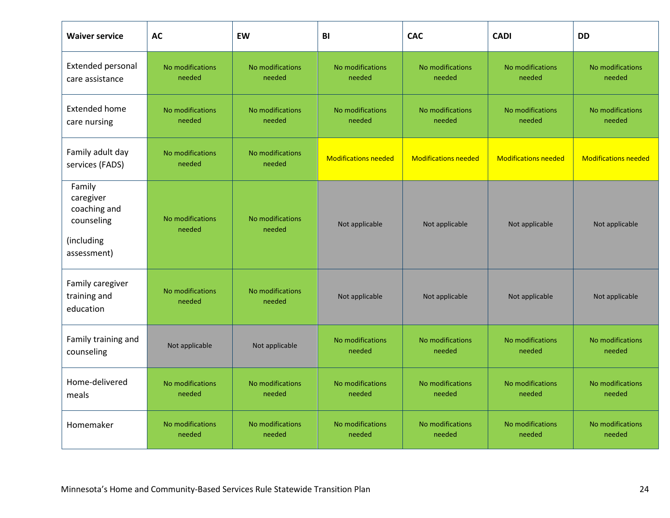| <b>Waiver service</b>                                                          | AC                         | EW                         | BI                          | <b>CAC</b>                  | <b>CADI</b>                 | <b>DD</b>                   |
|--------------------------------------------------------------------------------|----------------------------|----------------------------|-----------------------------|-----------------------------|-----------------------------|-----------------------------|
| Extended personal<br>care assistance                                           | No modifications<br>needed | No modifications<br>needed | No modifications<br>needed  | No modifications<br>needed  | No modifications<br>needed  | No modifications<br>needed  |
| <b>Extended home</b><br>care nursing                                           | No modifications<br>needed | No modifications<br>needed | No modifications<br>needed  | No modifications<br>needed  | No modifications<br>needed  | No modifications<br>needed  |
| Family adult day<br>services (FADS)                                            | No modifications<br>needed | No modifications<br>needed | <b>Modifications needed</b> | <b>Modifications needed</b> | <b>Modifications needed</b> | <b>Modifications needed</b> |
| Family<br>caregiver<br>coaching and<br>counseling<br>(including<br>assessment) | No modifications<br>needed | No modifications<br>needed | Not applicable              | Not applicable              | Not applicable              | Not applicable              |
| Family caregiver<br>training and<br>education                                  | No modifications<br>needed | No modifications<br>needed | Not applicable              | Not applicable              | Not applicable              | Not applicable              |
| Family training and<br>counseling                                              | Not applicable             | Not applicable             | No modifications<br>needed  | No modifications<br>needed  | No modifications<br>needed  | No modifications<br>needed  |
| Home-delivered<br>meals                                                        | No modifications<br>needed | No modifications<br>needed | No modifications<br>needed  | No modifications<br>needed  | No modifications<br>needed  | No modifications<br>needed  |
| Homemaker                                                                      | No modifications<br>needed | No modifications<br>needed | No modifications<br>needed  | No modifications<br>needed  | No modifications<br>needed  | No modifications<br>needed  |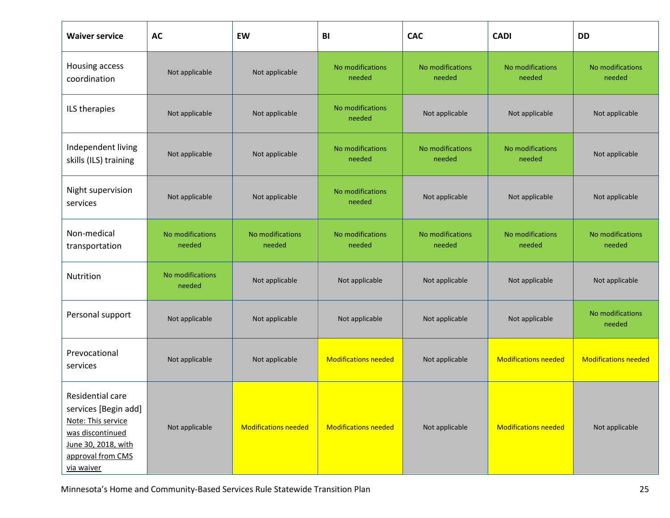| <b>Waiver service</b>                                                                                                                        | <b>AC</b>                  | EW                          | BI                          | <b>CAC</b>                 | <b>CADI</b>                 | <b>DD</b>                   |
|----------------------------------------------------------------------------------------------------------------------------------------------|----------------------------|-----------------------------|-----------------------------|----------------------------|-----------------------------|-----------------------------|
| Housing access<br>coordination                                                                                                               | Not applicable             | Not applicable              | No modifications<br>needed  | No modifications<br>needed | No modifications<br>needed  | No modifications<br>needed  |
| ILS therapies                                                                                                                                | Not applicable             | Not applicable              | No modifications<br>needed  | Not applicable             | Not applicable              | Not applicable              |
| Independent living<br>skills (ILS) training                                                                                                  | Not applicable             | Not applicable              | No modifications<br>needed  | No modifications<br>needed | No modifications<br>needed  | Not applicable              |
| Night supervision<br>services                                                                                                                | Not applicable             | Not applicable              | No modifications<br>needed  | Not applicable             | Not applicable              | Not applicable              |
| Non-medical<br>transportation                                                                                                                | No modifications<br>needed | No modifications<br>needed  | No modifications<br>needed  | No modifications<br>needed | No modifications<br>needed  | No modifications<br>needed  |
| Nutrition                                                                                                                                    | No modifications<br>needed | Not applicable              | Not applicable              | Not applicable             | Not applicable              | Not applicable              |
| Personal support                                                                                                                             | Not applicable             | Not applicable              | Not applicable              | Not applicable             | Not applicable              | No modifications<br>needed  |
| Prevocational<br>services                                                                                                                    | Not applicable             | Not applicable              | <b>Modifications needed</b> | Not applicable             | <b>Modifications needed</b> | <b>Modifications needed</b> |
| Residential care<br>services [Begin add]<br>Note: This service<br>was discontinued<br>June 30, 2018, with<br>approval from CMS<br>via waiver | Not applicable             | <b>Modifications needed</b> | <b>Modifications needed</b> | Not applicable             | <b>Modifications needed</b> | Not applicable              |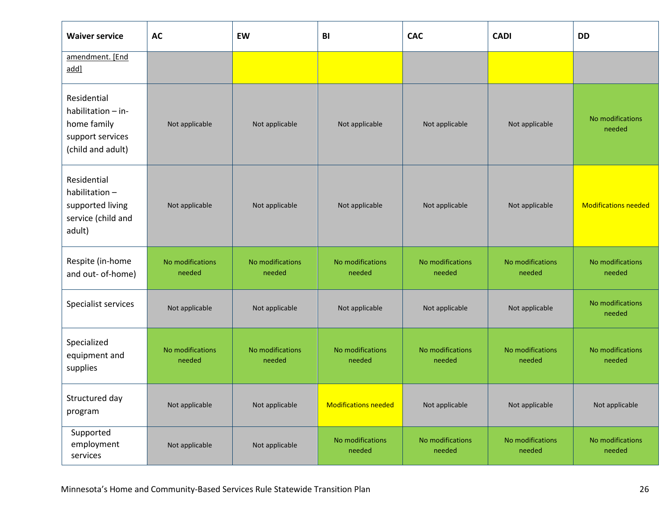| <b>Waiver service</b>                                                                     | AC                         | EW                         | BI                          | <b>CAC</b>                 | <b>CADI</b>                | <b>DD</b>                   |
|-------------------------------------------------------------------------------------------|----------------------------|----------------------------|-----------------------------|----------------------------|----------------------------|-----------------------------|
| amendment. [End<br>add]                                                                   |                            |                            |                             |                            |                            |                             |
| Residential<br>habilitation - in-<br>home family<br>support services<br>(child and adult) | Not applicable             | Not applicable             | Not applicable              | Not applicable             | Not applicable             | No modifications<br>needed  |
| Residential<br>habilitation-<br>supported living<br>service (child and<br>adult)          | Not applicable             | Not applicable             | Not applicable              | Not applicable             | Not applicable             | <b>Modifications needed</b> |
| Respite (in-home<br>and out- of-home)                                                     | No modifications<br>needed | No modifications<br>needed | No modifications<br>needed  | No modifications<br>needed | No modifications<br>needed | No modifications<br>needed  |
| Specialist services                                                                       | Not applicable             | Not applicable             | Not applicable              | Not applicable             | Not applicable             | No modifications<br>needed  |
| Specialized<br>equipment and<br>supplies                                                  | No modifications<br>needed | No modifications<br>needed | No modifications<br>needed  | No modifications<br>needed | No modifications<br>needed | No modifications<br>needed  |
| Structured day<br>program                                                                 | Not applicable             | Not applicable             | <b>Modifications needed</b> | Not applicable             | Not applicable             | Not applicable              |
| Supported<br>employment<br>services                                                       | Not applicable             | Not applicable             | No modifications<br>needed  | No modifications<br>needed | No modifications<br>needed | No modifications<br>needed  |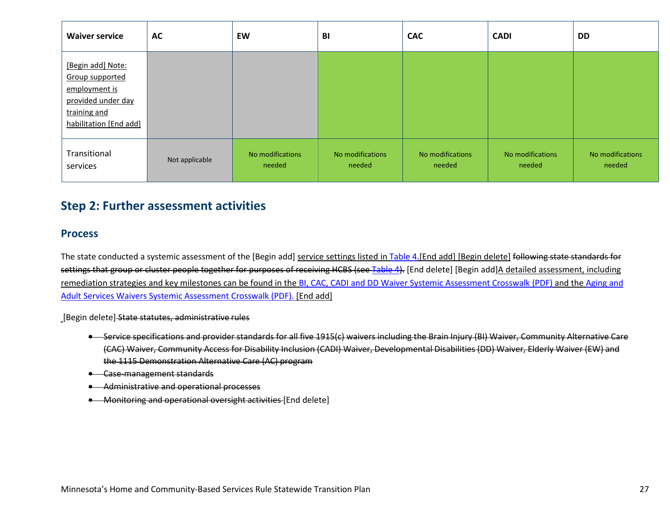| <b>Waiver service</b>                                                                                                 | AC             | EW                         | BI                         | <b>CAC</b>                 | <b>CADI</b>                | <b>DD</b>                  |
|-----------------------------------------------------------------------------------------------------------------------|----------------|----------------------------|----------------------------|----------------------------|----------------------------|----------------------------|
| [Begin add] Note:<br>Group supported<br>employment is<br>provided under day<br>training and<br>habilitation [End add] |                |                            |                            |                            |                            |                            |
| Transitional<br>services                                                                                              | Not applicable | No modifications<br>needed | No modifications<br>needed | No modifications<br>needed | No modifications<br>needed | No modifications<br>needed |

## **Step 2: Further assessment activities**

### **Process**

The state conducted a systemic assessment of the [Begin add] service settings listed in [Table 4.](#page-27-0)[End add] [Begin delete] following state standards for settings that group or cluster people together for purposes of receiving HCBS (see Table 4). [End delete] [Begin add]A detailed assessment, including remediation strategies and key milestones can be found in the [BI, CAC, CADI and DD Waiver Systemic Assessment Crosswalk](https://mn.gov/dhs/assets/09302016-HCBS-disability-crosswalk_tcm1053-284358.pdf) (PDF) and the [Aging and](https://mn.gov/dhs/assets/10032016-HCBS-aging-crosswalk_tcm1053-284359.pdf)  [Adult](https://mn.gov/dhs/assets/10032016-HCBS-aging-crosswalk_tcm1053-284359.pdf) [Services Waivers Systemic Assessment Crosswalk](http://mn.gov/dhs/assets/aasd-systemic-assessment_tcm1053-259104.pdf) (PDF). [End add]

[Begin delete] State statutes, administrative rules

- Service specifications and provider standards for all five 1915(c) waivers including the Brain Injury (BI) Waiver, Community Alternative Care (CAC) Waiver, Community Access for Disability Inclusion (CADI) Waiver, Developmental Disabilities (DD) Waiver, Elderly Waiver (EW) and the 1115 Demonstratio[n Alternative Care \(AC\)](http://www.dhs.state.mn.us/main/idcplg?IdcService=GET_DYNAMIC_CONVERSION&RevisionSelectionMethod=LatestReleased&dDocName=ID_056766) program
- Case-management standards
- Administrative and operational processes
- Monitoring and operational oversight activities [End delete]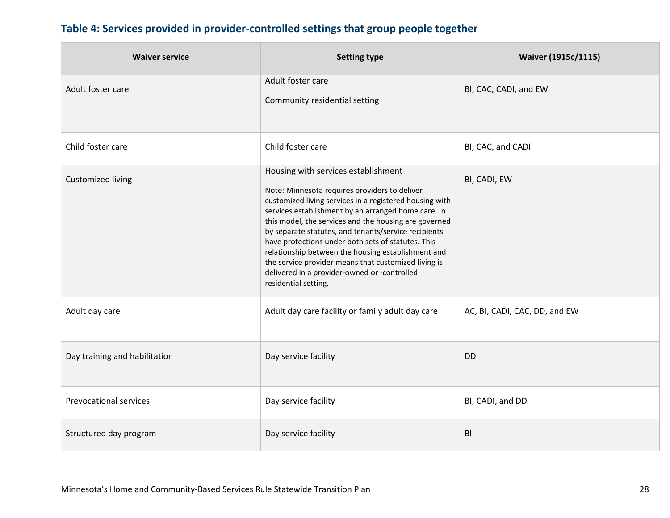# <span id="page-27-0"></span>**Table 4: Services provided in provider-controlled settings that group people together**

| <b>Waiver service</b>         | <b>Setting type</b>                                                                                                                                                                                                                                                                                                                                                                                                                                                                                                                                                 | <b>Waiver (1915c/1115)</b>    |
|-------------------------------|---------------------------------------------------------------------------------------------------------------------------------------------------------------------------------------------------------------------------------------------------------------------------------------------------------------------------------------------------------------------------------------------------------------------------------------------------------------------------------------------------------------------------------------------------------------------|-------------------------------|
| Adult foster care             | Adult foster care<br>Community residential setting                                                                                                                                                                                                                                                                                                                                                                                                                                                                                                                  | BI, CAC, CADI, and EW         |
| Child foster care             | Child foster care                                                                                                                                                                                                                                                                                                                                                                                                                                                                                                                                                   | BI, CAC, and CADI             |
| <b>Customized living</b>      | Housing with services establishment<br>Note: Minnesota requires providers to deliver<br>customized living services in a registered housing with<br>services establishment by an arranged home care. In<br>this model, the services and the housing are governed<br>by separate statutes, and tenants/service recipients<br>have protections under both sets of statutes. This<br>relationship between the housing establishment and<br>the service provider means that customized living is<br>delivered in a provider-owned or -controlled<br>residential setting. | BI, CADI, EW                  |
| Adult day care                | Adult day care facility or family adult day care                                                                                                                                                                                                                                                                                                                                                                                                                                                                                                                    | AC, BI, CADI, CAC, DD, and EW |
| Day training and habilitation | Day service facility                                                                                                                                                                                                                                                                                                                                                                                                                                                                                                                                                | <b>DD</b>                     |
| <b>Prevocational services</b> | Day service facility                                                                                                                                                                                                                                                                                                                                                                                                                                                                                                                                                | BI, CADI, and DD              |
| Structured day program        | Day service facility                                                                                                                                                                                                                                                                                                                                                                                                                                                                                                                                                | BI                            |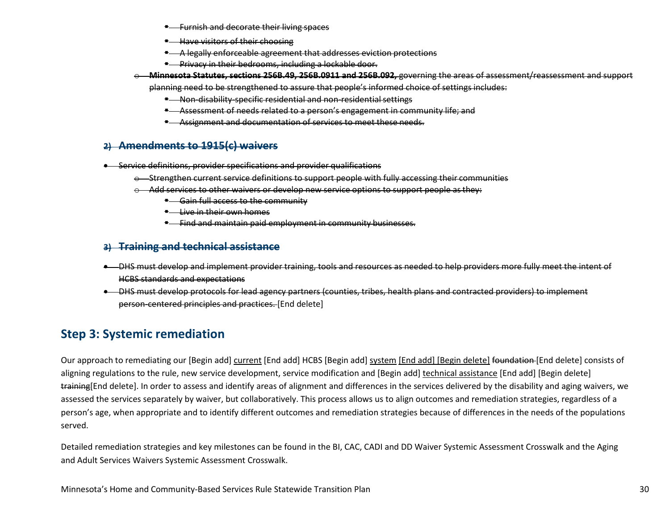July 2 E-list announcement: Corrected #18-25-04: Elderly Waiver Participants in Managed Care Provide Feedback About Certain HCBS Services

o [End Add]We will use the following strategies to provide targeted outreach to people who receive services and their families throughout the remainder of the transition period:

Meetings with self-advocates [Begin Add] Disability Hub virtual insight panel [End Add] Direct mailing/fact sheets On-demand videos

### [Begin Delete] Table 1: 2012916 Community meeting dates and locations

| <b>Date</b>                | City                 | Number of people in<br>attendance |
|----------------------------|----------------------|-----------------------------------|
| April 6, 2016              | Albert Lea           | 24                                |
| April 14, 2016             | Rochester            | 15                                |
| April 21, 2016             | Willmar              | 36                                |
| June 28, 2016              | Austin               | 24                                |
| July 15, 2016 two meetings | <b>Brooklyn Park</b> | 30                                |
| July 19, 2016-two meetings | Minneapolis          | 20                                |
| July 25, 2016-two meetings | Brainerd             | 15 <sub>1</sub>                   |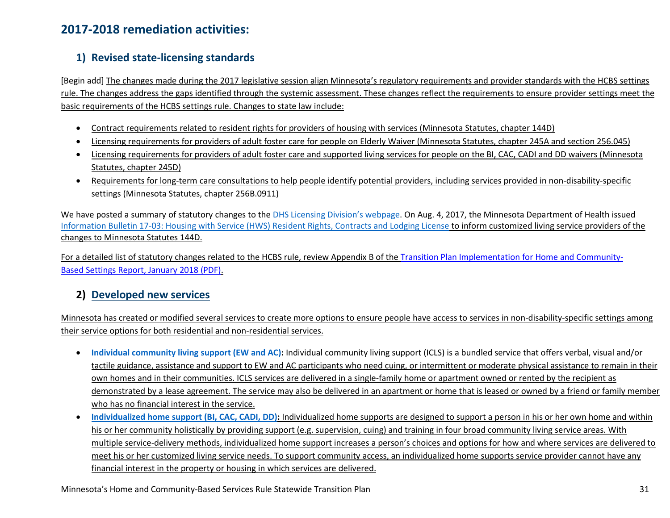## **2017-2018 remediation activities:**

### **1) Revised state-licensing standards**

[Begin add] The changes made during the 2017 legislative session align Minnesota's regulatory requirements and provider standards with the HCBS settings rule. The changes address the gaps identified through the systemic assessment. These changes reflect the requirements to ensure provider settings meet the basic requirements of the HCBS settings rule. Changes to state law include:

- Contract requirements related to resident rights for providers of housing with services (Minnesota Statutes, chapter 144D)
- Licensing requirements for providers of adult foster care for people on Elderly Waiver (Minnesota Statutes, chapter 245A and section 256.045)
- Licensing requirements for providers of adult foster care and supported living services for people on the BI, CAC, CADI and DD waivers (Minnesota Statutes, chapter 245D)
- Requirements for long-term care consultations to help people identify potential providers, including services provided in non-disability-specific settings (Minnesota Statutes, chapter 256B.0911)

We have posted a summary of statutory changes to the [DHS Licensing Division's](https://mn.gov/dhs/general-public/licensing/legislative-changes/) webpage. On Aug. 4, 2017, the Minnesota Department of Health issued Information Bulletin 17-03: Housing [with Service \(HWS\) Resident Rights, Contracts and Lodging License](http://www.health.state.mn.us/divs/fpc/profinfo/ib17_3.html) to inform customized living service providers of the changes to Minnesota Statutes 144D.

For a detailed list of statutory changes related to the HCBS rule, review Appendix B of th[e Transition Plan Implementation for Home and Community-](https://mn.gov/dhs/assets/2018-hcbs-legislative-report_tcm1053-323859.pdf)[Based Settings Report, January 2018 \(PDF\).](https://mn.gov/dhs/assets/2018-hcbs-legislative-report_tcm1053-323859.pdf)

### **2) Developed new services**

Minnesota has created or modified several services to create more options to ensure people have access to services in non-disability-specific settings among their service options for both residential and non-residential services.

- **[Individual community living support \(EW and AC\):](https://www.dhs.state.mn.us/main/idcplg?IdcService=GET_DYNAMIC_CONVERSION&RevisionSelectionMethod=LatestReleased&dDocName=dhs-293369)** Individual community living support (ICLS) is a bundled service that offers verbal, visual and/or tactile guidance, assistance and support to EW and AC participants who need cuing, or intermittent or moderate physical assistance to remain in their own homes and in their communities. ICLS services are delivered in a single-family home or apartment owned or rented by the recipient as demonstrated by a lease agreement. The service may also be delivered in an apartment or home that is leased or owned by a friend or family member who has no financial interest in the service.
- **[Individualized home support \(BI, CAC, CADI, DD\):](http://www.dhs.state.mn.us/main/idcplg?IdcService=GET_DYNAMIC_CONVERSION&RevisionSelectionMethod=LatestReleased&dDocName=dhs-298716)** Individualized home supports are designed to support a person in his or her own home and within his or her community holistically by providing support (e.g. supervision, cuing) and training in four broad community living service areas. With multiple service-delivery methods, individualized home support increases a person's choices and options for how and where services are delivered to meet his or her customized living service needs. To support community access, an individualized home supports service provider cannot have any financial interest in the property or housing in which services are delivered.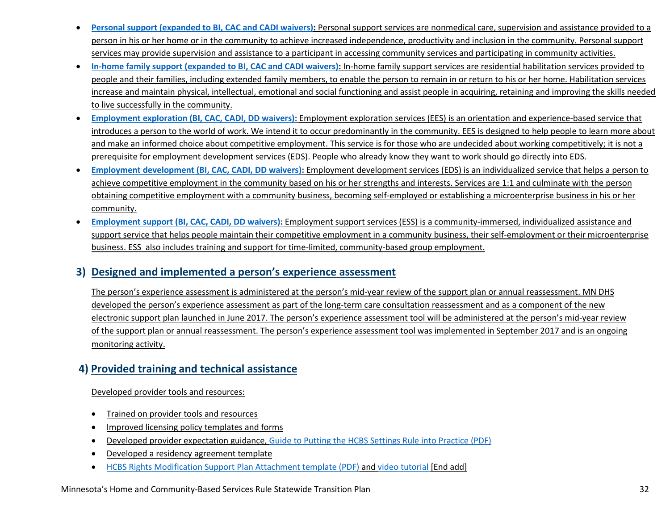- **[Personal support \(expanded to BI, CAC and CADI waivers\):](http://www.dhs.state.mn.us/main/idcplg?IdcService=GET_DYNAMIC_CONVERSION&RevisionSelectionMethod=LatestReleased&dDocName=id_002431)** Personal support services are nonmedical care, supervision and assistance provided to a person in his or her home or in the community to achieve increased independence, productivity and inclusion in the community. Personal support services may provide supervision and assistance to a participant in accessing community services and participating in community activities.
- **[In-home family support \(expanded to BI, CAC and CADI waivers\):](http://www.dhs.state.mn.us/main/idcplg?IdcService=GET_DYNAMIC_CONVERSION&RevisionSelectionMethod=LatestReleased&dDocName=id_048987)** In-home family support services are residential habilitation services provided to people and their families, including extended family members, to enable the person to remain in or return to his or her home. Habilitation services increase and maintain physical, intellectual, emotional and social functioning and assist people in acquiring, retaining and improving the skills needed to live successfully in the community.
- **[Employment exploration \(BI, CAC, CADI, DD waivers\):](https://www.dhs.state.mn.us/main/idcplg?IdcService=GET_DYNAMIC_CONVERSION&RevisionSelectionMethod=LatestReleased&dDocName=dhs-299802)** Employment exploration services (EES) is an orientation and experience-based service that introduces a person to the world of work. We intend it to occur predominantly in the community. EES is designed to help people to learn more about and make an informed choice about competitive employment. This service is for those who are undecided about working competitively; it is not a prerequisite for employment development services (EDS). People who already know they want to work should go directly into EDS.
- **[Employment development \(BI, CAC, CADI, DD waivers\):](https://www.dhs.state.mn.us/main/idcplg?IdcService=GET_DYNAMIC_CONVERSION&RevisionSelectionMethod=LatestReleased&dDocName=dhs-296491)** Employment development services (EDS) is an individualized service that helps a person to achieve competitive employment in the community based on his or her strengths and interests. Services are 1:1 and culminate with the person obtaining competitive employment with a community business, becoming self-employed or establishing a microenterprise business in his or her community.
- **[Employment support \(BI, CAC, CADI, DD waivers\):](https://www.dhs.state.mn.us/main/idcplg?IdcService=GET_DYNAMIC_CONVERSION&RevisionSelectionMethod=LatestReleased&dDocName=dhs-299803)** Employment support services (ESS) is a community-immersed, individualized assistance and support service that helps people maintain their competitive employment in a community business, their self-employment or their microenterprise business. ESS also includes training and support for time-limited, community-based group employment.

### **3) Designed and implemented a person's experience assessment**

The person's experience assessment is administered at the person's mid-year review of the support plan or annual reassessment. MN DHS developed the person's experience assessment as part of the long-term care consultation reassessment and as a component of the new electronic support plan launched in June 2017. The person's experience assessment tool will be administered at the person's mid-year review of the support plan or annual reassessment. The person's experience assessment tool was implemented in September 2017 and is an ongoing monitoring activity.

### **4) Provided training and technical assistance**

Developed provider tools and resources:

- Trained on provider tools and resources
- Improved licensing policy templates and forms
- Developed provider expectation guidance, [Guide to Putting the HCBS Settings Rule into Practice \(PDF\)](https://mn.gov/dhs/assets/102517-hcbs-best-practices-guide_tcm1053-318393.pdf)
- Developed a residency agreement template
- [HCBS Rights Modification Support Plan Attachment template \(PDF\)](https://edocs.dhs.state.mn.us/lfserver/Public/DHS-7176H-ENG) and [video tutorial](https://www.youtube.com/watch?v=905SUoA2QYU) [End add]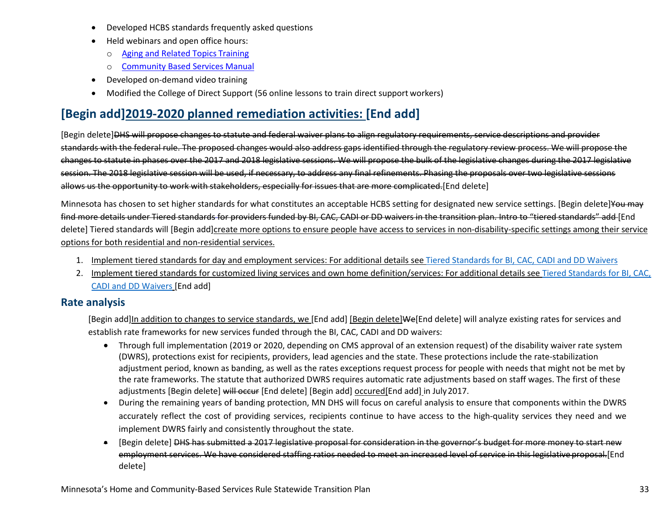- Developed HCBS standards frequently asked questions
- Held webinars and open office hours:
	- o [Aging and Related Topics](https://www.dhs.state.mn.us/main/idcplg?IdcService=GET_DYNAMIC_CONVERSION&RevisionSelectionMethod=LatestReleased&dDocName=ID_029217) Training
	- o [Community Based Services](http://www.dhs.state.mn.us/main/idcplg?IdcService=GET_DYNAMIC_CONVERSION&RevisionSelectionMethod=LatestReleased&dDocName=id_000402) Manual
- Developed on-demand video training
- Modified th[e College of Direct Support](https://mn.gov/dhs/partners-and-providers/training-conferences/long-term-services-and-supports/college-of-direct-support/) (56 online lessons to train direct support workers)

# **[Begin add]2019-2020 planned remediation activities: [End add]**

[Begin delete]DHS will propose changes to statute and federal waiver plans to align regulatory requirements, service descriptions and provider standards with the federal rule. The proposed changes would also address gaps identified through the regulatory review process. We will propose the changes to statute in phases over the 2017 and 2018 legislative sessions. We will propose the bulk of the legislative changes during the 2017 legislative session. The 2018 legislative session will be used, if necessary, to address any final refinements. Phasing the proposals over two legislative sessions allows us the opportunity to work with stakeholders, especially for issues that are more complicated.[End delete]

Minnesota has chosen to set higher standards for what constitutes an acceptable HCBS setting for designated new service settings. [Begin delete] You may find more details under Tiered standards for providers funded by BI, CAC, CADI or DD waivers in the transition plan. Intro to "tiered standards" add [End delete] Tiered standards will [Begin add]create more options to ensure people have access to services in non-disability-specific settings among their service options for both residential and non-residential services.

- 1. Implement tiered standards for day and employment services: For additional details see Tiered Standards for BI, CAC, CADI and DD Waivers
- 2. Implement tiered standards for customized living services and own home definition/services: For additional details see [Tiered Standards for BI, CAC,](#page-55-0)  [CADI and DD Waivers](#page-55-0) [End add]

### **Rate analysis**

[Begin add]In addition to changes to service standards, we [End add] [Begin delete]We[End delete] will analyze existing rates for services and establish rate frameworks for new services funded through the BI, CAC, CADI and DD waivers:

- Through full implementation (2019 or 2020, depending on CMS approval of an extension request) of the disability waiver rate system (DWRS), protections exist for recipients, providers, lead agencies and the state. These protections include the rate-stabilization adjustment period, known as banding, as well as the rates exceptions request process for people with needs that might not be met by the rate frameworks. The statute that authorized DWRS requires automatic rate adjustments based on staff wages. The first of these adjustments [Begin delete] will occur [End delete] [Begin add] occured[End add] in July 2017.
- During the remaining years of banding protection, MN DHS will focus on careful analysis to ensure that components within the DWRS accurately reflect the cost of providing services, recipients continue to have access to the high-quality services they need and we implement DWRS fairly and consistently throughout the state.
- [Begin delete] DHS has submitted a 2017 legislative proposal for consideration in the governor's budget for more money to start new employment services. We have considered staffing ratios needed to meet an increased level of service in this legislative proposal.[End delete]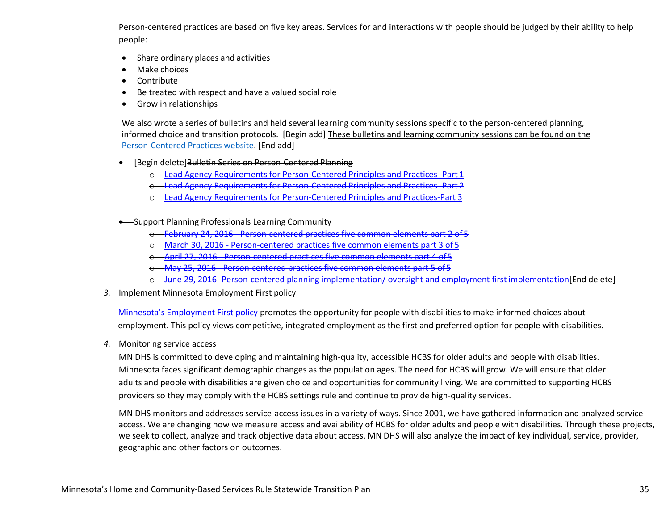Person-centered practices are based on five key areas. Services for and interactions with people should be judged by their ability to help people:

- Share ordinary places and activities
- Make choices
- Contribute
- Be treated with respect and have a valued social role
- Grow in relationships

We also wrote a series of bulletins and held several learning community sessions specific to the person-centered planning, informed choice and transition protocols. [Begin add] These bulletins and learning community sessions can be found on the [Person-Centered Practices website.](https://mn.gov/dhs/partners-and-providers/program-overviews/long-term-services-and-supports/person-centered-practices/) [End add]

- [Begin delete]Bulletin Series on Person-Centered Planning
	- o [Lead Agency Requirements for Person-Centered Principles and Practices- Part 1](http://www.dhs.state.mn.us/main/groups/publications/documents/pub/dhs-285572.pdf)
	- **[Lead Agency Requirements for Person-Centered Principles and Practices- Part 2](http://www.dhs.state.mn.us/main/groups/publications/documents/pub/dhs-285935.pdf)**
	- o [Lead Agency Requirements for Person-Centered Principles and Practices-Part 3](http://www.dhs.state.mn.us/main/groups/publications/documents/pub/dhs-287420.pdf)
- Support Planning Professionals Learning Community
	- o [February 24, 2016 Person-centered practices five common elements part 2 of 5](http://www.dhs.state.mn.us/main/groups/county_access/documents/pub/dhs-285725.pdf)
	- o [March 30, 2016 Person-centered practices five common elements part 3 of 5](http://www.dhs.state.mn.us/main/groups/county_access/documents/pub/dhs-285049.pdf)
	- [April 27, 2016 Person-centered practices five](http://www.dhs.state.mn.us/main/groups/county_access/documents/pub/dhs-285624.pdf) common elements part 4 of 5
	- o [May 25, 2016 Person-centered practices five common elements part 5 of 5](http://www.dhs.state.mn.us/main/groups/county_access/documents/pub/dhs-286113.pdf)
	- o [June 29, 2016- Person-centered planning implementation/ oversight and employment firstimplementation\[](https://www.google.com/)End delete]
- *3.* Implement Minnesota Employment First policy

[Minnesota's Employment First policy](http://www.dhs.state.mn.us/main/groups/olmstead/documents/pub/dhs16_190416.pdf) promotes the opportunity for people with disabilities to make informed choices about employment. This policy views competitive, integrated employment as the first and preferred option for people with disabilities.

*4.* Monitoring service access

MN DHS is committed to developing and maintaining high-quality, accessible HCBS for older adults and people with disabilities. Minnesota faces significant demographic changes as the population ages. The need for HCBS will grow. We will ensure that older adults and people with disabilities are given choice and opportunities for community living. We are committed to supporting HCBS providers so they may comply with the HCBS settings rule and continue to provide high-quality services.

MN DHS monitors and addresses service-access issues in a variety of ways. Since 2001, we have gathered information and analyzed service access. We are changing how we measure access and availability of HCBS for older adults and people with disabilities. Through these projects, we seek to collect, analyze and track objective data about access. MN DHS will also analyze the impact of key individual, service, provider, geographic and other factors on outcomes.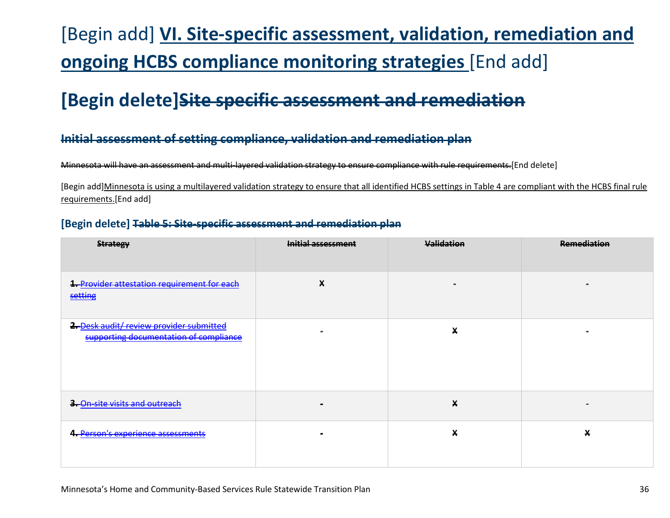# [Begin add] **VI. Site-specific assessment, validation, remediation and ongoing HCBS compliance monitoring strategies** [End add]

# **[Begin delete]Site specific assessment and remediation**

### **Initial assessment of setting compliance, validation and remediation plan**

Minnesota will have an assessment and multi-layered validation strategy to ensure compliance with rule requirements.[End delete]

[Begin add]Minnesota is using a multilayered validation strategy to ensure that all identified HCBS settings in Table 4 are compliant with the HCBS final rule requirements.[End add]

### **[Begin delete] Table 5: Site-specific assessment and remediation plan**

| <b>Strategy</b>                                                                    | Initial assessment | <b>Validation</b> | <b>Remediation</b> |
|------------------------------------------------------------------------------------|--------------------|-------------------|--------------------|
| 1. Provider attestation requirement for each<br>setting                            | X                  |                   |                    |
| 2. Desk audit/ review provider submitted<br>supporting documentation of compliance |                    | X                 |                    |
| 3. On site visits and outreach                                                     |                    | X                 |                    |
| 4. Person's experience assessments                                                 |                    | X                 | X                  |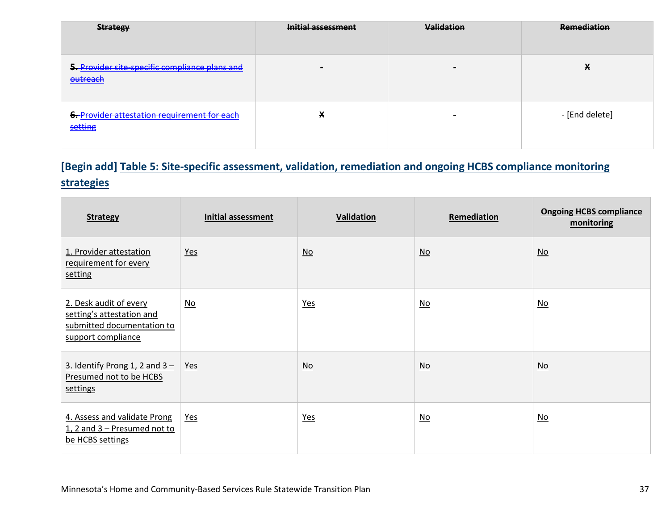| <b>Strategy</b>                                            | Initial assessment | <b>Validation</b> | <b>Remediation</b> |
|------------------------------------------------------------|--------------------|-------------------|--------------------|
| 5. Provider site-specific compliance plans and<br>outreach |                    | $\sim$            | v<br>∽             |
| 6. Provider attestation requirement for each<br>setting    | X                  | $\sim$            | - [End delete]     |

## **[Begin add] Table 5: Site-specific assessment, validation, remediation and ongoing HCBS compliance monitoring strategies**

| <b>Strategy</b>                                                                                         | <b>Initial assessment</b> | Validation                | Remediation               | <b>Ongoing HCBS compliance</b><br>monitoring |
|---------------------------------------------------------------------------------------------------------|---------------------------|---------------------------|---------------------------|----------------------------------------------|
| 1. Provider attestation<br>requirement for every<br>setting                                             | <u>Yes</u>                | $\underline{\mathsf{No}}$ | $\underline{\mathsf{No}}$ | $\underline{\mathsf{No}}$                    |
| 2. Desk audit of every<br>setting's attestation and<br>submitted documentation to<br>support compliance | $\underline{\mathsf{No}}$ | $Yes$                     | $\underline{\mathsf{No}}$ | $\underline{\mathsf{No}}$                    |
| 3. Identify Prong 1, 2 and $3 -$<br>Presumed not to be HCBS<br>settings                                 | <u>Yes</u>                | $\underline{\mathsf{No}}$ | $\underline{\mathsf{No}}$ | $\underline{\mathsf{No}}$                    |
| 4. Assess and validate Prong<br>1, 2 and 3 – Presumed not to<br>be HCBS settings                        | <u>Yes</u>                | <u>Yes</u>                | $\underline{\mathsf{No}}$ | $\underline{\mathsf{No}}$                    |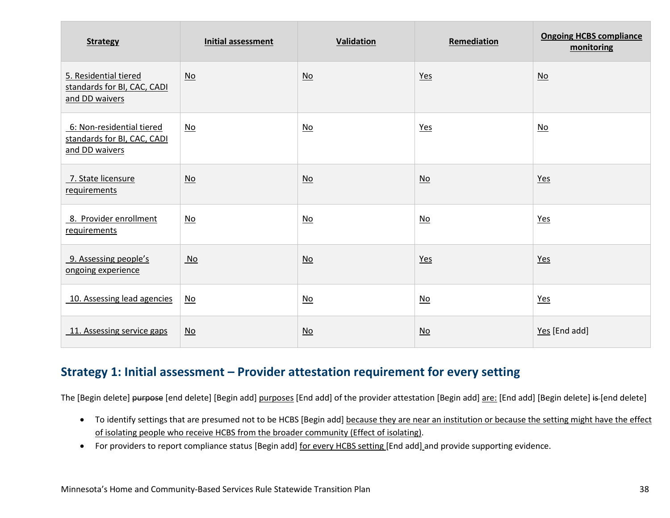| <b>Strategy</b>                                                            | <b>Initial assessment</b> | <b>Validation</b>         | Remediation               | <b>Ongoing HCBS compliance</b><br>monitoring |
|----------------------------------------------------------------------------|---------------------------|---------------------------|---------------------------|----------------------------------------------|
| 5. Residential tiered<br>standards for BI, CAC, CADI<br>and DD waivers     | $\underline{\mathsf{No}}$ | $\underline{\mathsf{No}}$ | Yes                       | No                                           |
| 6: Non-residential tiered<br>standards for BI, CAC, CADI<br>and DD waivers | $\underline{\mathsf{No}}$ | $\underline{\mathsf{No}}$ | $Yes$                     | $\underline{\mathsf{No}}$                    |
| 7. State licensure<br>requirements                                         | $\underline{\mathsf{No}}$ | $\underline{\mathsf{No}}$ | $\underline{\mathsf{No}}$ | $Yes$                                        |
| 8. Provider enrollment<br>requirements                                     | $\underline{\mathsf{No}}$ | $\underline{\mathsf{No}}$ | $\underline{\mathsf{No}}$ | $Yes$                                        |
| 9. Assessing people's<br>ongoing experience                                | $\underline{\mathsf{No}}$ | $\underline{\mathsf{No}}$ | Yes                       | $Yes$                                        |
| 10. Assessing lead agencies                                                | $\underline{\mathsf{No}}$ | $\underline{\mathsf{No}}$ | $\underline{\mathsf{No}}$ | Yes                                          |
| 11. Assessing service gaps                                                 | $\underline{\mathsf{No}}$ | No                        | $\underline{\mathsf{No}}$ | Yes [End add]                                |

## <span id="page-37-0"></span>**Strategy 1: Initial assessment – Provider attestation requirement for every setting**

The [Begin delete] purpose [end delete] [Begin add] purposes [End add] of the provider attestation [Begin add] are: [End add] [Begin delete] is [end delete]

- To identify settings that are presumed not to be HCBS [Begin add] because they are near an institution or because the setting might have the effect of isolating people who receive HCBS from the broader community (Effect of isolating).
- For providers to report compliance status [Begin add] for every HCBS setting [End add] and provide supporting evidence.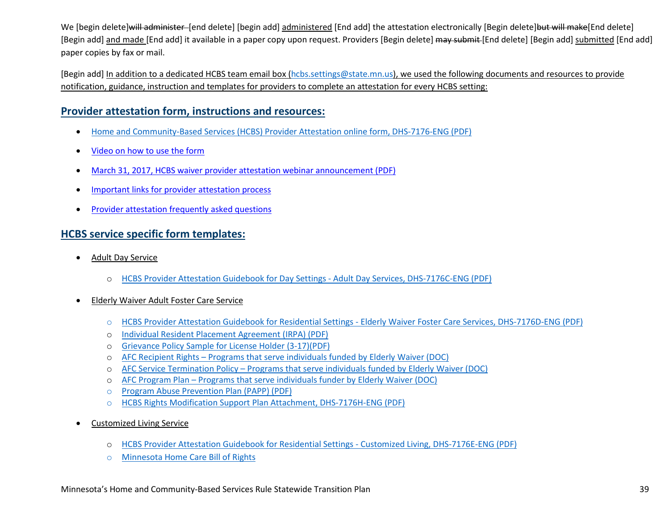We [begin delete]will administer [end delete] [begin add] administered [End add] the attestation electronically [Begin delete]but will make[End delete] [Begin add] and made [End add] it available in a paper copy upon request. Providers [Begin delete] may submit [End delete] [Begin add] submitted [End add] paper copies by fax or mail.

[Begin add] In addition to a dedicated HCBS team email box [\(hcbs.settings@state.mn.us\)](mailto:hcbs.settings@state.mn.us), we used the following documents and resources to provide notification, guidance, instruction and templates for providers to complete an attestation for every HCBS setting:

#### **Provider attestation form, instructions and resources:**

- [Home and Community-Based Services \(HCBS\) Provider Attestation online form, DHS-7176-ENG](https://edocs.dhs.state.mn.us/lfserver/Secure/DHS-7176-ENG) (PDF)
- [Video on how to use the form](https://www.youtube.com/watch?v=YqoUmrSJ5qY&feature=youtu.be)
- [March 31, 2017, HCBS waiver provider attestation webinar announcement \(PDF\)](http://www.dhs.state.mn.us/main/groups/county_access/documents/pub/dhs-293397.pdf)
- [Important links for provider attestation process](https://mn.gov/dhs/partners-and-providers/news-initiatives-reports-workgroups/long-term-services-and-supports/hcbs-transition/hcbs-links.jsp)
- [Provider attestation frequently asked questions](https://mn.gov/dhs/partners-and-providers/news-initiatives-reports-workgroups/long-term-services-and-supports/hcbs-transition/hcbs-faq.jsp)

### **HCBS service specific form templates:**

- Adult Day Service
	- o [HCBS Provider Attestation Guidebook for Day Settings Adult Day Services, DHS-7176C-ENG \(PDF\)](https://edocs.dhs.state.mn.us/lfserver/Public/DHS-7176C-ENG)
- Elderly Waiver Adult Foster Care Service
	- o [HCBS Provider Attestation Guidebook for Residential Settings Elderly Waiver Foster Care Services, DHS-7176D-ENG \(PDF\)](https://edocs.dhs.state.mn.us/lfserver/Public/DHS-7176D-ENG)
	- o [Individual Resident Placement Agreement \(IRPA\) \(PDF\)](https://www.dhs.state.mn.us/main/idcplg?IdcService=GET_FILE&RevisionSelectionMethod=LatestReleased&Rendition=Primary&allowInterrupt=1&dDocName=DHS16_180925)
	- o [Grievance Policy Sample for License Holder \(3-17\)\(PDF\)](http://www.dhs.state.mn.us/main/groups/licensing/documents/pub/dhs16_168251.pdf)
	- o [AFC Recipient Rights Programs that serve individuals funded by Elderly Waiver \(DOC\)](http://www.dhs.state.mn.us/main/idcplg?IdcService=GET_FILE&RevisionSelectionMethod=LatestReleased&Rendition=Primary&allowInterrupt=1&dDocName=DHS-293817)
	- o [AFC Service Termination Policy Programs that serve individuals funded by Elderly Waiver \(DOC\)](http://www.dhs.state.mn.us/main/idcplg?IdcService=GET_FILE&RevisionSelectionMethod=LatestReleased&Rendition=Primary&allowInterrupt=1&dDocName=DHS-293818)
	- o [AFC Program Plan Programs that serve individuals funder by Elderly Waiver \(DOC\)](http://www.dhs.state.mn.us/main/idcplg?IdcService=GET_FILE&RevisionSelectionMethod=LatestReleased&Rendition=Primary&allowInterrupt=1&dDocName=DHS-293820)
	- o [Program Abuse Prevention Plan \(PAPP\)](https://www.dhs.state.mn.us/main/idcplg?IdcService=GET_FILE&RevisionSelectionMethod=LatestReleased&Rendition=Primary&allowInterrupt=1&dDocName=DHS16_180923) (PDF)
	- o [HCBS Rights Modification Support Plan Attachment,](https://edocs.dhs.state.mn.us/lfserver/Public/DHS-7176H-ENG) DHS-7176H-ENG (PDF)
- Customized Living Service
	- o [HCBS Provider Attestation Guidebook for Residential Settings Customized Living, DHS-7176E-ENG](https://edocs.dhs.state.mn.us/lfserver/Public/DHS-7176E-ENG) (PDF)
	- o [Minnesota Home Care Bill of Rights](http://www.health.state.mn.us/divs/fpc/homecare/consumers/bor.html)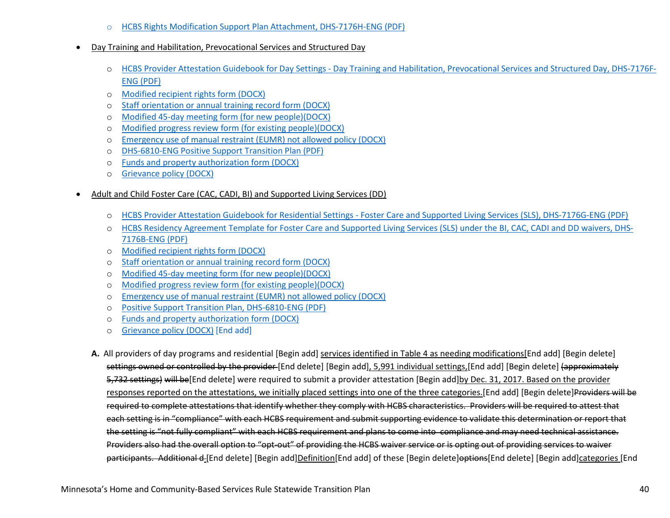- o [HCBS Rights Modification Support Plan Attachment,](https://edocs.dhs.state.mn.us/lfserver/Public/DHS-7176H-ENG) DHS-7176H-ENG (PDF)
- Day Training and Habilitation, Prevocational Services and Structured Day
	- o [HCBS Provider Attestation Guidebook for Day Settings Day Training and Habilitation, Prevocational Services and Structured Day, DHS-7176F-](https://edocs.dhs.state.mn.us/lfserver/Public/DHS-7176F-ENG)[ENG](https://edocs.dhs.state.mn.us/lfserver/Public/DHS-7176F-ENG) (PDF)
	- o [Modified recipient rights form \(DOCX\)](https://mn.gov/dhs/assets/245d-service-recipient-rights-packet-sample-document_tcm1053-302528.doc)
	- o [Staff orientation or annual training record form \(DOCX\)](https://mn.gov/dhs/assets/245d-staff-annual-training-record-sample-document_tcm1053-297313.docx)
	- o [Modified 45-day meeting form \(for new people\)\(DOCX\)](https://mn.gov/dhs/assets/245d-45-day-meeting-summary-sample-document_tcm1053-297069.doc)
	- o [Modified progress review form \(for existing people\)\(DOCX\)](https://mn.gov/dhs/assets/245d-progress-review-report-form-intensive-support-services-sample-document_tcm1053-297293.docx)
	- o [Emergency use of manual restraint \(EUMR\) not allowed policy \(DOCX\)](https://mn.gov/dhs/assets/245d-emergency-use-of-manual-restraints-not-allowed-policy-sample-document_tcm1053-338772.docx)
	- o [DHS-6810-ENG Positive Support Transition Plan \(PDF\)](https://edocs.dhs.state.mn.us/lfserver/Public/DHS-6810-ENG)
	- o [Funds and property authorization form \(DOCX\)](https://mn.gov/dhs/assets/245d-funds-and-property-authorization-sample-document_tcm1053-297263.doc)
	- o [Grievance policy \(DOCX\)](https://mn.gov/dhs/assets/245d-grievance-policy-sample-document_tcm1053-301611.doc)
- Adult and Child Foster Care (CAC, CADI, BI) and Supported Living Services (DD)
	- o [HCBS Provider Attestation Guidebook for Residential Settings Foster Care and Supported Living Services](https://edocs.dhs.state.mn.us/lfserver/Public/DHS-7176G-ENG) (SLS), DHS-7176G-ENG (PDF)
	- o [HCBS Residency Agreement Template for Foster Care and Supported Living Services \(SLS\) under the BI, CAC, CADI and DD waivers,](https://edocs.dhs.state.mn.us/lfserver/Public/DHS-7176B-ENG) DHS-[7176B-ENG](https://edocs.dhs.state.mn.us/lfserver/Public/DHS-7176B-ENG) (PDF)
	- o [Modified recipient rights form \(DOCX\)](https://mn.gov/dhs/assets/245d-service-recipient-rights-packet-sample-document_tcm1053-302528.doc)
	- o [Staff orientation or annual training record form \(DOCX\)](https://mn.gov/dhs/assets/245d-staff-annual-training-record-sample-document_tcm1053-297313.docx)
	- o [Modified 45-day meeting form \(for new people\)\(DOCX\)](https://mn.gov/dhs/assets/245d-45-day-meeting-summary-sample-document_tcm1053-297069.doc)
	- o [Modified progress review form \(for existing people\)\(DOCX\)](https://mn.gov/dhs/assets/245d-progress-review-report-form-intensive-support-services-sample-document_tcm1053-297293.docx)
	- o [Emergency use of manual restraint \(EUMR\) not allowed policy \(DOCX\)](https://mn.gov/dhs/assets/245d-emergency-use-of-manual-restraints-not-allowed-policy-sample-document_tcm1053-338772.docx)
	- o [Positive Support Transition Plan, DHS-6810-ENG \(PDF\)](https://edocs.dhs.state.mn.us/lfserver/Public/DHS-6810-ENG)
	- o [Funds and property authorization form \(DOCX\)](https://mn.gov/dhs/assets/245d-funds-and-property-authorization-sample-document_tcm1053-297263.doc)
	- o [Grievance policy \(DOCX\)](https://mn.gov/dhs/assets/245d-grievance-policy-sample-document_tcm1053-301611.doc) [End add]
	- **A.** All providers of day programs and residential [Begin add] services identified in Table 4 as needing modifications[End add] [Begin delete] settings owned or controlled by the provider [End delete] [Begin add], 5,991 individual settings, [End add] [Begin delete] (approximately 5,732 settings) will be [End delete] were required to submit a provider attestation [Begin add]by Dec. 31, 2017. Based on the provider responses reported on the attestations, we initially placed settings into one of the three categories.[End add] [Begin delete]Providers will be required to complete attestations that identify whether they comply with HCBS characteristics. Providers will be required to attest that each setting is in "compliance" with each HCBS requirement and submit supporting evidence to validate this determination or report that the setting is "not fully compliant" with each HCBS requirement and plans to come into compliance and may need technical assistance. Providers also had the overall option to "opt-out" of providing the HCBS waiver service or is opting out of providing services to waiver participants. Additional d [End delete] [Begin add]Definition[End add] of these [Begin delete] eptions[End delete] [Begin add]categories [End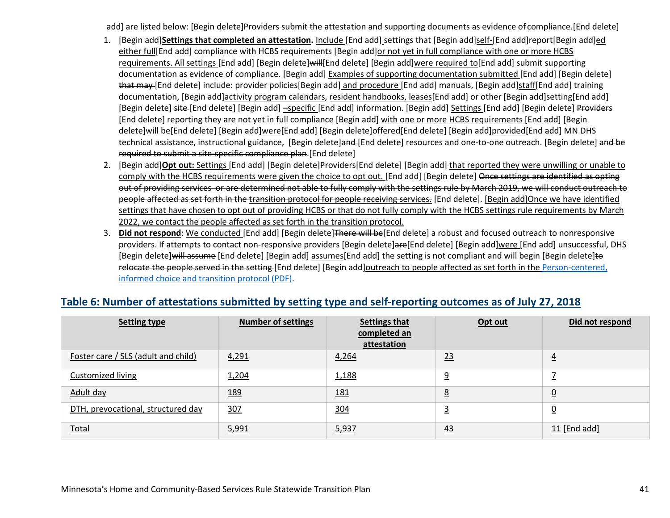add] are listed below: [Begin delete]Providers submit the attestation and supporting documents as evidence of compliance.[End delete]

- 1. [Begin add]**Settings that completed an attestation.** Include [End add] settings that [Begin add]self-[End add]report[Begin add]ed either full[End add] compliance with HCBS requirements [Begin add]or not yet in full compliance with one or more HCBS requirements. All settings [End add] [Begin delete]will[End delete] [Begin add]were required to[End add] submit supporting documentation as evidence of compliance. [Begin add] Examples of supporting documentation submitted [End add] [Begin delete] that may [End delete] include: provider policies[Begin add] and procedure [End add] manuals, [Begin add]staff[End add] training documentation, [Begin add]activity program calendars, resident handbooks, leases[End add] or other [Begin add]setting[End add] [Begin delete] site [End delete] [Begin add] -specific [End add] information. [Begin add] Settings [End add] [Begin delete] Providers [End delete] reporting they are not yet in full compliance [Begin add] with one or more HCBS requirements [End add] [Begin delete]will be[End delete] [Begin add]were[End add] [Begin delete]offered[End delete] [Begin add]]provided[End add] MN DHS technical assistance, instructional guidance, [Begin delete]and-[End delete] resources and one-to-one outreach. [Begin delete] and be required to submit a site-specific compliance plan.[End delete]
- 2. [Begin add] Opt out: Settings [End add] [Begin delete] Providers[End delete] [Begin add] that reported they were unwilling or unable to comply with the HCBS requirements were given the choice to opt out. [End add] [Begin delete] Once settings are identified as opting out of providing services or are determined not able to fully comply with the settings rule by March 2019, we will conduct outreach to people affected as set forth in the transition protocol for people receiving services. [End delete]. [Begin add]Once we have identified settings that have chosen to opt out of providing HCBS or that do not fully comply with the HCBS settings rule requirements by March 2022, we contact the people affected as set forth in the transition protocol.
- 3. **Did not respond**: We conducted [End add] [Begin delete]There will be[End delete] a robust and focused outreach to nonresponsive providers. If attempts to contact non-responsive providers [Begin delete]are[End delete] [Begin add]were [End add] unsuccessful, DHS [Begin delete]will assume [End delete] [Begin add] assumes[End add] the setting is not compliant and will begin [Begin delete]to relocate the people served in the setting [End delete] [Begin add]outreach to people affected as set forth in the Person-centered, [informed choice and transition protocol \(PDF\).](http://www.dhs.state.mn.us/main/groups/olmstead/documents/pub/dhs-285968.pdf)

| <b>Setting type</b>                 | <b>Number of settings</b> | Settings that<br>completed an<br>attestation | Opt out         | Did not respond |
|-------------------------------------|---------------------------|----------------------------------------------|-----------------|-----------------|
| Foster care / SLS (adult and child) | 4,291                     | 4,264                                        | 23              | $\overline{4}$  |
| <b>Customized living</b>            | 1,204                     | 1,188                                        | <u>9</u>        | -               |
| Adult day                           | <u>189</u>                | <u>181</u>                                   | $\underline{8}$ | $0$             |
| DTH, prevocational, structured day  | 307                       | 304                                          |                 | $\overline{0}$  |
| Total                               | 5,991                     | 5,937                                        | <u>43</u>       | 11 [End add]    |

#### **Table 6: Number of attestations submitted by setting type and self-reporting outcomes as of July 27, 2018**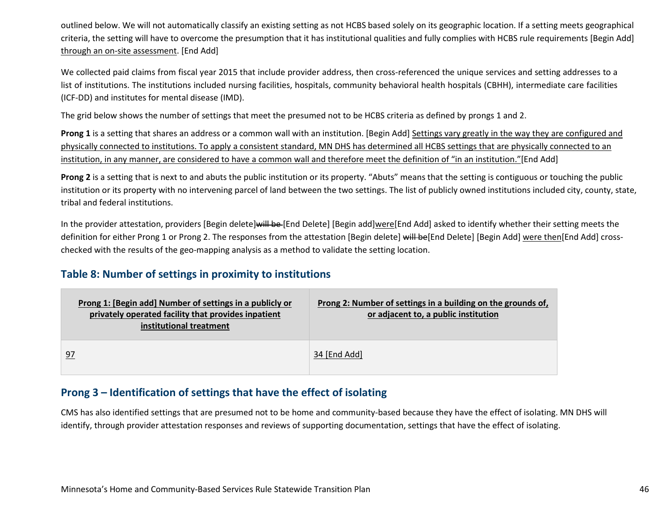- HCBS Rights Modification Support Plan Attachment, DHS-7176H-ENG (PDF)  $\Omega$
- Day Training and Habilitation, Prevocational Services and Structured Day  $\mathsf{x}$ 
	- o HCBS Provider Attestation Guidebook for Day Settings Day Training and Habilitation, Prevocational Services and Structured Day, DHS-7176F-ENG (PDF)
	- Modified recipient rights form (DOCX)  $\mathbf{o}$
	- Staff orientation or annual training record form (DOCX)  $\Omega$
	- Modified 45-day meeting form (for new people)(DOCX)  $\mathbf{o}$
	- Modified progress review form (for existing people)(DOCX)  $\Omega$
	- Emergency use of manual restraint (EUMR) not allowed policy (DOCX)  $\mathbf{o}$
	- **DHS-6810-ENG Positive Support Transition Plan (PDF)**  $\mathbf{o}$
	- Funds and property authorization form (DOCX)  $\Omega$
	- **Grievance policy (DOCX)**  $\mathbf{o}$
- Adult and Child Foster Care (CAC, CADI, BI) and Supported Living Services (DD)  $\mathsf{x}$ 
	- HCBS Provider Attestation Guidebook for Residential Settings Foster Care and Supported Living Services (SLS), DHS-7176G-ENG (PDF)  $\mathbf{o}$
	- HCBS Residency Agreement Template for Foster Care and Supported Living Services (SLS) under the BI, CAC, CADI and DD waivers, DHS- $\Omega$ 7176B-ENG (PDF)
	- Modified recipient rights form (DOCX)  $\Omega$
	- Staff orientation or annual training record form (DOCX)  $\Omega$
	- Modified 45-day meeting form (for new people)(DOCX)  $\Omega$
	- Modified progress review form (for existing people)(DOCX)  $\Omega$
	- Emergency use of manual restraint (EUMR) not allowed policy (DOCX)  $\mathbf{o}$
	- **Positive Support Transition Plan, DHS-6810-ENG (PDF)**  $\mathbf{o}$
	- Funds and property authorization form (DOCX)  $\Omega$
	- Grievance policy (DOCX) [End add]  $\Omega$

A. All providers of day programs and residential [Begin add] services identified in Table 4 as needing modifications [End add] [Begin delete] settings owned or controlled by the provider [End delete] [Begin add], 5,991 individual settings, [End add] [Begin delete] (approximately 5,732 settings) will be [End delete] were required to submit a provider attestation [Begin add] by Dec. 31, 2017. Based on the provider responses reported on the attestations, we initially placed settings into one of the three categories. [End add] [Begin delete]Providers will be required to complete attestations that identify whether they comply with HCBS characteristics. Providers will be required to attest that each setting is in "compliance" with each HCBS requirement and submit supporting evidence to validate this determination or report that the setting is "not fully compliant" with each HCBS requirement and plans to come into compliance and may need technical assistance. Providers also had the overall option to "opt-out" of providing the HCBS waiver service or is opting out of providing services to waiver participants. Additional d [End delete] [Begin add]Definition[End add] of these [Begin delete]options[End delete] [Begin add]categories [End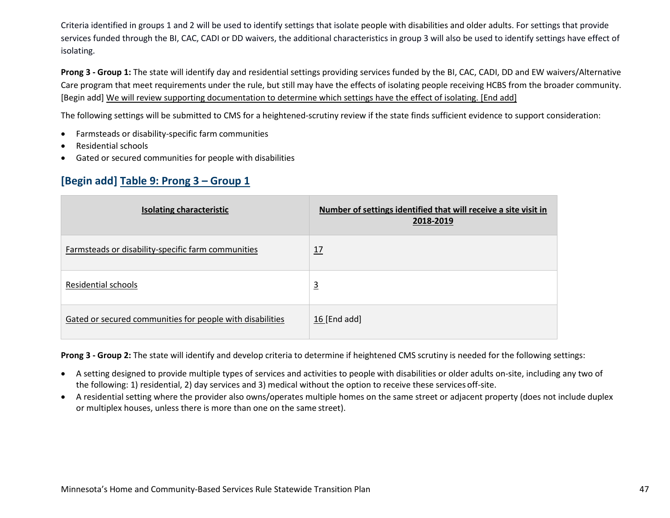Criteria identified in groups 1 and 2 will be used to identify settings that isolate people with disabilities and older adults. For settings that provide services funded through the BI, CAC, CADI or DD waivers, the additional characteristics in group 3 will also be used to identify settings have effect of isolating.

**Prong 3 - Group 1:** The state will identify day and residential settings providing services funded by the BI, CAC, CADI, DD and EW waivers/Alternative Care program that meet requirements under the rule, but still may have the effects of isolating people receiving HCBS from the broader community. [Begin add] We will review supporting documentation to determine which settings have the effect of isolating. [End add]

The following settings will be submitted to CMS for a heightened-scrutiny review if the state finds sufficient evidence to support consideration:

- Farmsteads or disability-specific farm communities
- Residential schools
- Gated or secured communities for people with disabilities

### **[Begin add] Table 9: Prong 3 – Group 1**

| <b>Isolating characteristic</b>                           | Number of settings identified that will receive a site visit in<br>2018-2019 |
|-----------------------------------------------------------|------------------------------------------------------------------------------|
| Farmsteads or disability-specific farm communities        | 12                                                                           |
| Residential schools                                       | $\overline{3}$                                                               |
| Gated or secured communities for people with disabilities | 団End add]                                                                    |

**Prong 3 - Group 2:** The state will identify and develop criteria to determine if heightened CMS scrutiny is needed for the following settings:

- A setting designed to provide multiple types of services and activities to people with disabilities or older adults on-site, including any two of the following: 1) residential, 2) day services and 3) medical without the option to receive these services off-site.
- A residential setting where the provider also owns/operates multiple homes on the same street or adjacent property (does not include duplex or multiplex houses, unless there is more than one on the same street).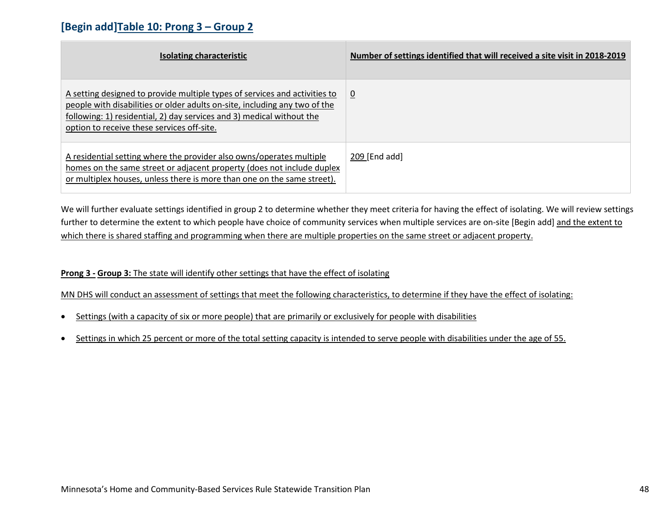### **[Begin add]Table 10: Prong 3 – Group 2**

| Isolating characteristic                                                                                                                                                                                                                                                        | Number of settings identified that will received a site visit in 2018-2019 |
|---------------------------------------------------------------------------------------------------------------------------------------------------------------------------------------------------------------------------------------------------------------------------------|----------------------------------------------------------------------------|
| A setting designed to provide multiple types of services and activities to<br>people with disabilities or older adults on-site, including any two of the<br>following: 1) residential, 2) day services and 3) medical without the<br>option to receive these services off-site. | $\overline{0}$                                                             |
| A residential setting where the provider also owns/operates multiple<br>homes on the same street or adjacent property (does not include duplex<br>or multiplex houses, unless there is more than one on the same street).                                                       | $161$ [End add]                                                            |

We will further evaluate settings identified in group 2 to determine whether they meet criteria for having the effect of isolating. We will review settings further to determine the extent to which people have choice of community services when multiple services are on-site [Begin add] and the extent to which there is shared staffing and programming when there are multiple properties on the same street or adjacent property.

#### **Prong 3 - Group 3:** The state will identify other settings that have the effect of isolating

#### MN DHS will conduct an assessment of settings that meet the following characteristics, to determine if they have the effect of isolating:

- Settings (with a capacity of six or more people) that are primarily or exclusively for people with disabilities
- Settings in which 25 percent or more of the total setting capacity is intended to serve people with disabilities under the age of 55.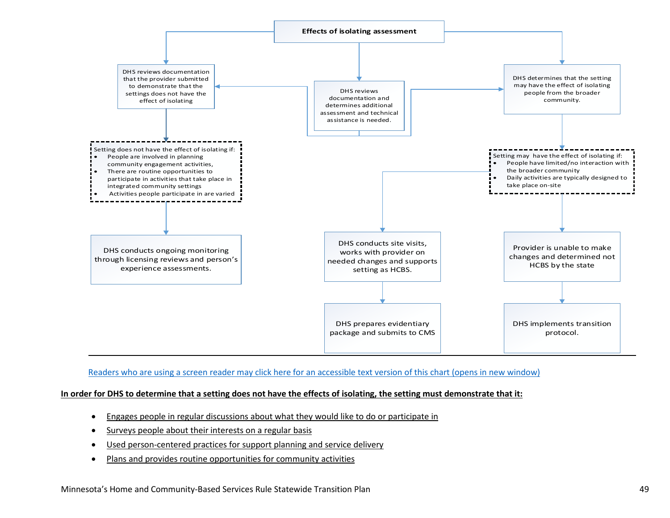

#### [Readers who are using a screen reader may click here for an accessible text version of this chart \(opens in new window\)](https://www.dhs.state.mn.us/main/idcplg?IdcService=GET_DYNAMIC_CONVERSION&RevisionSelectionMethod=LatestReleased&dDocName=DHS-306341)

#### **In order for DHS to determine that a setting does not have the effects of isolating, the setting must demonstrate that it:**

- Engages people in regular discussions about what they would like to do or participate in
- Surveys people about their interests on a regular basis
- Used person-centered practices for support planning and service delivery
- Plans and provides routine opportunities for community activities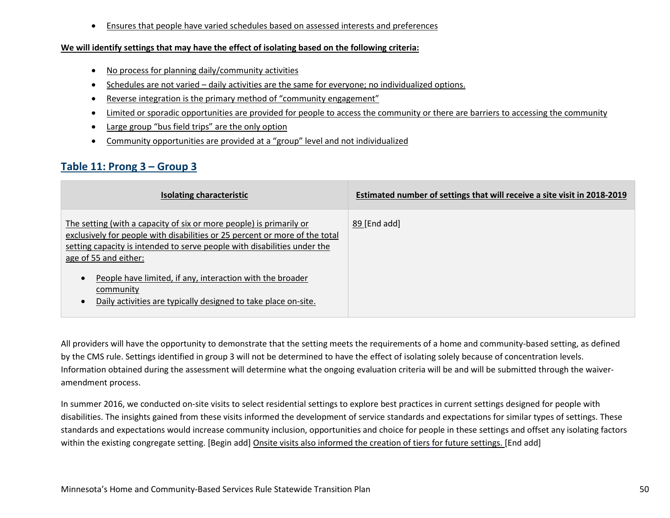• Ensures that people have varied schedules based on assessed interests and preferences

#### **We will identify settings that may have the effect of isolating based on the following criteria:**

- No process for planning daily/community activities
- Schedules are not varied daily activities are the same for everyone; no individualized options.
- Reverse integration is the primary method of "community engagement"
- Limited or sporadic opportunities are provided for people to access the community or there are barriers to accessing the community
- Large group "bus field trips" are the only option
- Community opportunities are provided at a "group" level and not individualized

## **Table 11: Prong 3 – Group 3**

| Isolating characteristic                                                                                                                                                                                                                                | Estimated number of settings that will receive a site visit in 2018-2019 |
|---------------------------------------------------------------------------------------------------------------------------------------------------------------------------------------------------------------------------------------------------------|--------------------------------------------------------------------------|
| The setting (with a capacity of six or more people) is primarily or<br>exclusively for people with disabilities or 25 percent or more of the total<br>setting capacity is intended to serve people with disabilities under the<br>age of 55 and either: | 58 [End add]                                                             |
| People have limited, if any, interaction with the broader<br>community<br>Daily activities are typically designed to take place on-site.                                                                                                                |                                                                          |

All providers will have the opportunity to demonstrate that the setting meets the requirements of a home and community-based setting, as defined by the CMS rule. Settings identified in group 3 will not be determined to have the effect of isolating solely because of concentration levels. Information obtained during the assessment will determine what the ongoing evaluation criteria will be and will be submitted through the waiveramendment process.

In summer 2016, we conducted on-site visits to select residential settings to explore best practices in current settings designed for people with disabilities. The insights gained from these visits informed the development of service standards and expectations for similar types of settings. These standards and expectations would increase community inclusion, opportunities and choice for people in these settings and offset any isolating factors within the existing congregate setting. [Begin add] Onsite visits also informed the creation of tiers for future settings. [End add]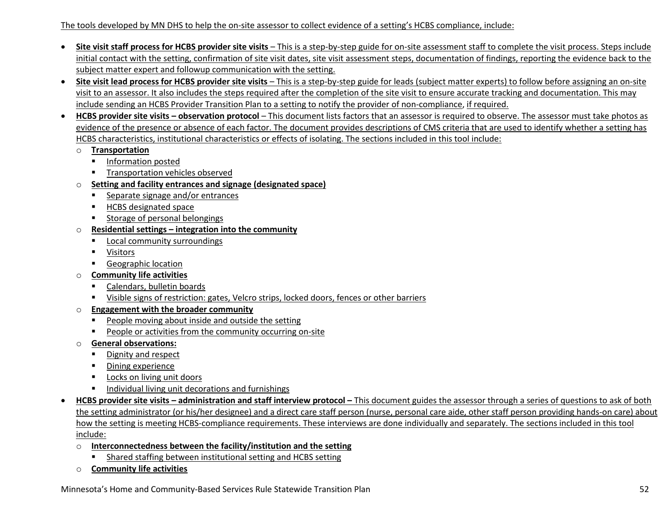#### The tools developed by MN DHS to help the on-site assessor to collect evidence of a setting's HCBS compliance, include:

- **Site visit staff process for HCBS provider site visits** This is a step-by-step guide for on-site assessment staff to complete the visit process. Steps include initial contact with the setting, confirmation of site visit dates, site visit assessment steps, documentation of findings, reporting the evidence back to the subject matter expert and followup communication with the setting.
- **Site visit lead process for HCBS provider site visits** This is a step-by-step guide for leads (subject matter experts) to follow before assigning an on-site visit to an assessor. It also includes the steps required after the completion of the site visit to ensure accurate tracking and documentation. This may include sending an HCBS Provider Transition Plan to a setting to notify the provider of non-compliance, if required.
- **HCBS provider site visits observation protocol**  This document lists factors that an assessor is required to observe. The assessor must take photos as evidence of the presence or absence of each factor. The document provides descriptions of CMS criteria that are used to identify whether a setting has HCBS characteristics, institutional characteristics or effects of isolating. The sections included in this tool include:
	- o **Transportation**
		- **Information posted**
		- **Transportation vehicles observed**
	- o **Setting and facility entrances and signage (designated space)**
		- Separate signage and/or entrances
		- **HCBS** designated space
		- **Storage of personal belongings**
	- o **Residential settings integration into the community**
		- **Local community surroundings**
		- **ULLE 19** Visitors
		- **Geographic location**
	- o **Community life activities**
		- Calendars, bulletin boards
		- Visible signs of restriction: gates, Velcro strips, locked doors, fences or other barriers
	- o **Engagement with the broader community**
		- **People moving about inside and outside the setting**
		- People or activities from the community occurring on-site
	- o **General observations:**
		- **Dignity and respect**
		- **•** Dining experience
		- **Locks on living unit doors**
		- **Individual living unit decorations and furnishings**
- **HCBS provider site visits administration and staff interview protocol** This document guides the assessor through a series of questions to ask of both the setting administrator (or his/her designee) and a direct care staff person (nurse, personal care aide, other staff person providing hands-on care) about how the setting is meeting HCBS-compliance requirements. These interviews are done individually and separately. The sections included in this tool include:
	- o **Interconnectedness between the facility/institution and the setting**
		- Shared staffing between institutional setting and HCBS setting
	- o **Community life activities**

Minnesota's Home and Community-Based Services Rule Statewide Transition Plan 52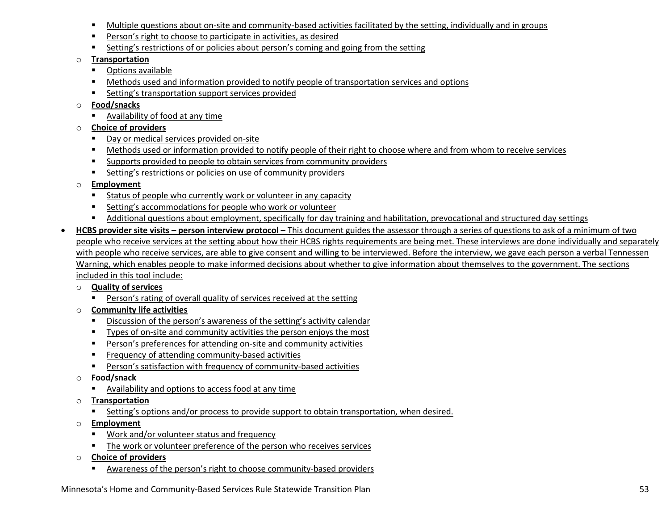- Multiple questions about on-site and community-based activities facilitated by the setting, individually and in groups
- **Person's right to choose to participate in activities, as desired**
- **EXECT** Setting's restrictions of or policies about person's coming and going from the setting
- o **Transportation**
	- **•** Options available
	- Methods used and information provided to notify people of transportation services and options
	- **Setting's transportation support services provided**
- o **Food/snacks**
	- Availability of food at any time
- o **Choice of providers**
	- Day or medical services provided on-site
	- Methods used or information provided to notify people of their right to choose where and from whom to receive services
	- **Supports provided to people to obtain services from community providers**
	- Setting's restrictions or policies on use of community providers
- o **Employment**
	- Status of people who currently work or volunteer in any capacity
	- **EXECOMMODATIONS** Setting's accommodations for people who work or volunteer
	- Additional questions about employment, specifically for day training and habilitation, prevocational and structured day settings
- **HCBS provider site visits person interview protocol** This document guides the assessor through a series of questions to ask of a minimum of two people who receive services at the setting about how their HCBS rights requirements are being met. These interviews are done individually and separately with people who receive services, are able to give consent and willing to be interviewed. Before the interview, we gave each person a verbal Tennessen Warning, which enables people to make informed decisions about whether to give information about themselves to the government. The sections included in this tool include:
	- o **Quality of services**
		- **Person's rating of overall quality of services received at the setting**
	- o **Community life activities**
		- Discussion of the person's awareness of the setting's activity calendar
		- Types of on-site and community activities the person enjoys the most
		- Person's preferences for attending on-site and community activities
		- **Figure 2** Frequency of attending community-based activities
		- Person's satisfaction with frequency of community-based activities
	- o **Food/snack**
		- Availability and options to access food at any time
	- o **Transportation**
		- Setting's options and/or process to provide support to obtain transportation, when desired.
	- o **Employment** 
		- Work and/or volunteer status and frequency
		- **The work or volunteer preference of the person who receives services**
	- o **Choice of providers**
		- Awareness of the person's right to choose community-based providers

Minnesota's Home and Community-Based Services Rule Statewide Transition Plan 53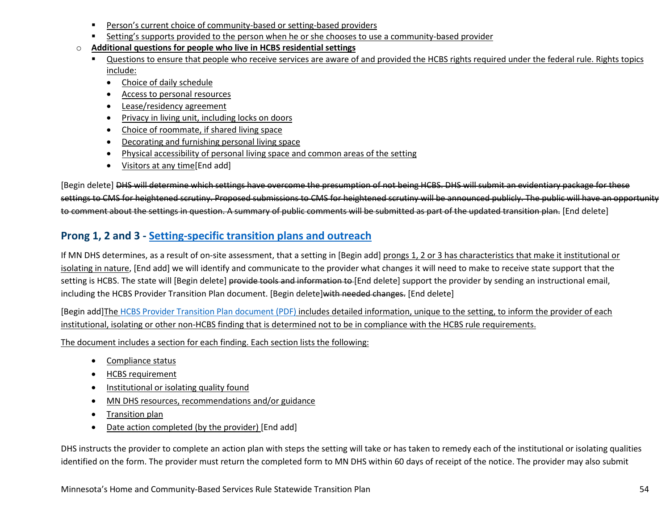- Person's current choice of community-based or setting-based providers
- Setting's supports provided to the person when he or she chooses to use a community-based provider
- o **Additional questions for people who live in HCBS residential settings**
	- Questions to ensure that people who receive services are aware of and provided the HCBS rights required under the federal rule. Rights topics include:
		- Choice of daily schedule
		- Access to personal resources
		- Lease/residency agreement
		- Privacy in living unit, including locks on doors
		- Choice of roommate, if shared living space
		- Decorating and furnishing personal living space
		- Physical accessibility of personal living space and common areas of the setting
		- Visitors at any time [End add]

[Begin delete] DHS will determine which settings have overcome the presumption of not being HCBS. DHS will submit an evidentiary package for these settings to CMS for heightened scrutiny. Proposed submissions to CMS for heightened scrutiny will be announced publicly. The public will have an opportunity to comment about the settings in question. A summary of public comments will be submitted as part of the updated transition plan. [End delete]

## **Prong 1, 2 and 3 - Setting-specific transition plans and outreach**

If MN DHS determines, as a result of on-site assessment, that a setting in [Begin add] prongs 1, 2 or 3 has characteristics that make it institutional or isolating in nature, [End add] we will identify and communicate to the provider what changes it will need to make to receive state support that the setting is HCBS. The state will [Begin delete] provide tools and information to [End delete] support the provider by sending an instructional email, including the HCBS Provider Transition Plan document. [Begin delete]with needed changes. [End delete]

[Begin add]The [HCBS Provider Transition Plan document \(PDF\)](https://mn.gov/dhs/assets/DHS-7176-ENG-accessible_tcm1053-351353.pdf) includes detailed information, unique to the setting, to inform the provider of each institutional, isolating or other non-HCBS finding that is determined not to be in compliance with the HCBS rule requirements.

The document includes a section for each finding. Each section lists the following:

- Compliance status
- HCBS requirement
- Institutional or isolating quality found
- MN DHS resources, recommendations and/or guidance
- Transition plan
- Date action completed (by the provider) [End add]

DHS instructs the provider to complete an action plan with steps the setting will take or has taken to remedy each of the institutional or isolating qualities identified on the form. The provider must return the completed form to MN DHS within 60 days of receipt of the notice. The provider may also submit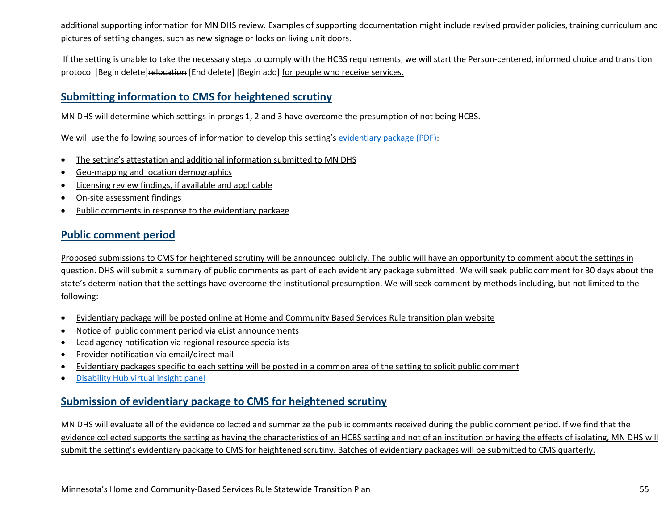additional supporting information for MN DHS review. Examples of supporting documentation might include revised provider policies, training curriculum and pictures of setting changes, such as new signage or locks on living unit doors.

If the setting is unable to take the necessary steps to comply with the HCBS requirements, we will start the Person-centered, informed choice and transition protocol [Begin delete]relocation [End delete] [Begin add] for people who receive services.

### **Submitting information to CMS for heightened scrutiny**

MN DHS will determine which settings in prongs 1, 2 and 3 have overcome the presumption of not being HCBS.

We will use the following sources of information to develop this setting's [evidentiary package \(PDF\):](https://mn.gov/dhs/assets/HCBS-Evidentiary-Package-template_tcm1053-346349.pdf)

- The setting's attestation and additional information submitted to MN DHS
- Geo-mapping and location demographics
- Licensing review findings, if available and applicable
- On-site assessment findings
- Public comments in response to the evidentiary package

### **Public comment period**

Proposed submissions to CMS for heightened scrutiny will be announced publicly. The public will have an opportunity to comment about the settings in question. DHS will submit a summary of public comments as part of each evidentiary package submitted. We will seek public comment for 30 days about the state's determination that the settings have overcome the institutional presumption. We will seek comment by methods including, but not limited to the following:

- Evidentiary package will be posted online at Home and Community Based Services Rule transition plan website
- Notice of public comment period via eList announcements
- Lead agency notification via regional resource specialists
- Provider notification via email/direct mail
- Evidentiary packages specific to each setting will be posted in a common area of the setting to solicit public comment
- [Disability Hub virtual insight panel](https://disabilityhubmn.org/my-voice)

### **Submission of evidentiary package to CMS for heightened scrutiny**

MN DHS will evaluate all of the evidence collected and summarize the public comments received during the public comment period. If we find that the evidence collected supports the setting as having the characteristics of an HCBS setting and not of an institution or having the effects of isolating, MN DHS will submit the setting's evidentiary package to CMS for heightened scrutiny. Batches of evidentiary packages will be submitted to CMS quarterly.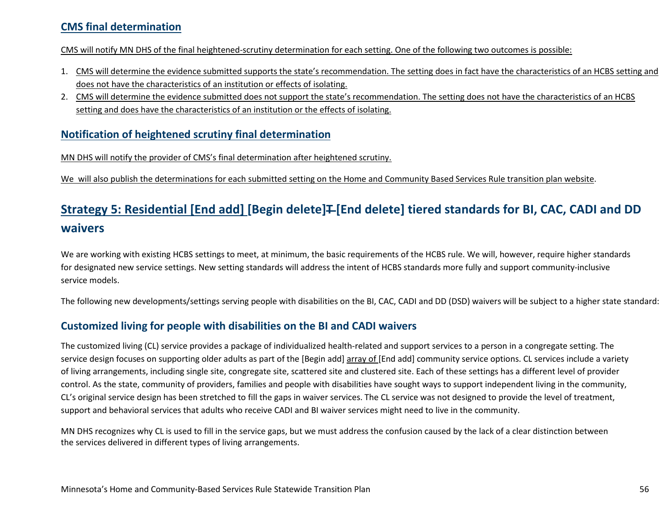### **CMS final determination**

CMS will notify MN DHS of the final heightened-scrutiny determination for each setting. One of the following two outcomes is possible:

- 1. CMS will determine the evidence submitted supports the state's recommendation. The setting does in fact have the characteristics of an HCBS setting and does not have the characteristics of an institution or effects of isolating.
- 2. CMS will determine the evidence submitted does not support the state's recommendation. The setting does not have the characteristics of an HCBS setting and does have the characteristics of an institution or the effects of isolating.

#### **Notification of heightened scrutiny final determination**

MN DHS will notify the provider of CMS's final determination after heightened scrutiny.

We will also publish the determinations for each submitted setting on the Home and Community Based Services Rule transition plan website.

# <span id="page-55-0"></span>Strategy 5: Residential [End add] [Begin delete]<del>T</del> [End delete] tiered standards for BI, CAC, CADI and DD **waivers**

We are working with existing HCBS settings to meet, at minimum, the basic requirements of the HCBS rule. We will, however, require higher standards for designated new service settings. New setting standards will address the intent of HCBS standards more fully and support community-inclusive service models.

The following new developments/settings serving people with disabilities on the BI, CAC, CADI and DD (DSD) waivers will be subject to a higher state standard:

### **Customized living for people with disabilities on the BI and CADI waivers**

The customized living (CL) service provides a package of individualized health-related and support services to a person in a congregate setting. The service design focuses on supporting older adults as part of the [Begin add] array of [End add] community service options. CL services include a variety of living arrangements, including single site, congregate site, scattered site and clustered site. Each of these settings has a different level of provider control. As the state, community of providers, families and people with disabilities have sought ways to support independent living in the community, CL's original service design has been stretched to fill the gaps in waiver services. The CL service was not designed to provide the level of treatment, support and behavioral services that adults who receive CADI and BI waiver services might need to live in the community.

MN DHS recognizes why CL is used to fill in the service gaps, but we must address the confusion caused by the lack of a clear distinction between the services delivered in different types of living arrangements.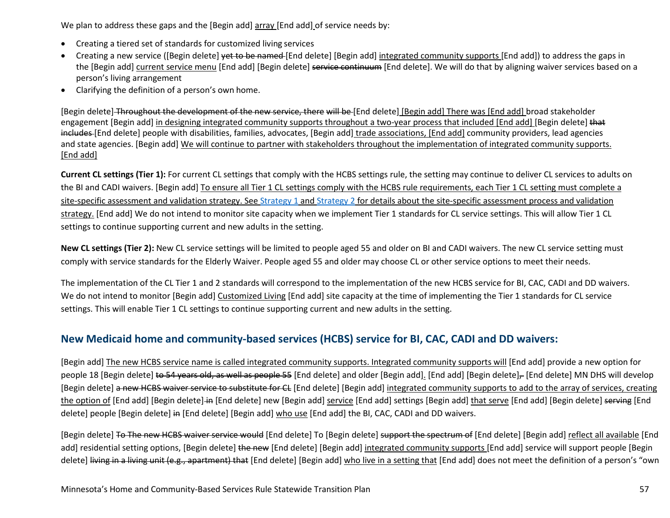We plan to address these gaps and the [Begin add] array [End add] of service needs by:

- Creating a tiered set of standards for customized living services
- Creating a new service ([Begin delete] vet to be named [End delete] [Begin add] integrated community supports [End add]) to address the gaps in the [Begin add] current service menu [End add] [Begin delete] service continuum [End delete]. We will do that by aligning waiver services based on a person's living arrangement
- Clarifying the definition of a person's own home.

[Begin delete] Throughout the development of the new service, there will be [End delete] [Begin add] There was [End add] broad stakeholder engagement [Begin add] in designing integrated community supports throughout a two-year process that included [End add] [Begin delete] that includes [End delete] people with disabilities, families, advocates, [Begin add] trade associations, [End add] community providers, lead agencies and state agencies. [Begin add] We will continue to partner with stakeholders throughout the implementation of integrated community supports. [End add]

**Current CL settings (Tier 1):** For current CL settings that comply with the HCBS settings rule, the setting may continue to deliver CL services to adults on the BI and CADI waivers. [Begin add] To ensure all Tier 1 CL settings comply with the HCBS rule requirements, each Tier 1 CL setting must complete a site-specific assessment and validation strategy. Se[e Strategy 1](#page-37-0) an[d Strategy 2](#page-41-0) for details about the site-specific assessment process and validation strategy. [End add] We do not intend to monitor site capacity when we implement Tier 1 standards for CL service settings. This will allow Tier 1 CL settings to continue supporting current and new adults in the setting.

**New CL settings (Tier 2):** New CL service settings will be limited to people aged 55 and older on BI and CADI waivers. The new CL service setting must comply with service standards for the Elderly Waiver. People aged 55 and older may choose CL or other service options to meet their needs.

The implementation of the CL Tier 1 and 2 standards will correspond to the implementation of the new HCBS service for BI, CAC, CADI and DD waivers. We do not intend to monitor [Begin add] Customized Living [End add] site capacity at the time of implementing the Tier 1 standards for CL service settings. This will enable Tier 1 CL settings to continue supporting current and new adults in the setting.

### **New Medicaid home and community-based services (HCBS) service for BI, CAC, CADI and DD waivers:**

[Begin add] The new HCBS service name is called integrated community supports. Integrated community supports will [End add] provide a new option for people 18 [Begin delete] to 54 years old, as well as people 55 [End delete] and older [Begin add]. [End add] [Begin delete], [End delete] MN DHS will develop [Begin delete] a new HCBS waiver service to substitute for CL [End delete] [Begin add] integrated community supports to add to the array of services, creating the option of [End add] [Begin delete] in [End delete] new [Begin add] service [End add] settings [Begin add] that serve [End add] [Begin delete] serving [End delete] people [Begin delete] in [End delete] [Begin add] who use [End add] the BI, CAC, CADI and DD waivers.

[Begin delete] To The new HCBS waiver service would [End delete] To [Begin delete] support the spectrum of [End delete] [Begin add] reflect all available [End add] residential setting options, [Begin delete] the new [End delete] [Begin add] integrated community supports [End add] service will support people [Begin delete] living in a living unit (e.g., apartment) that [End delete] [Begin add] who live in a setting that [End add] does not meet the definition of a person's "own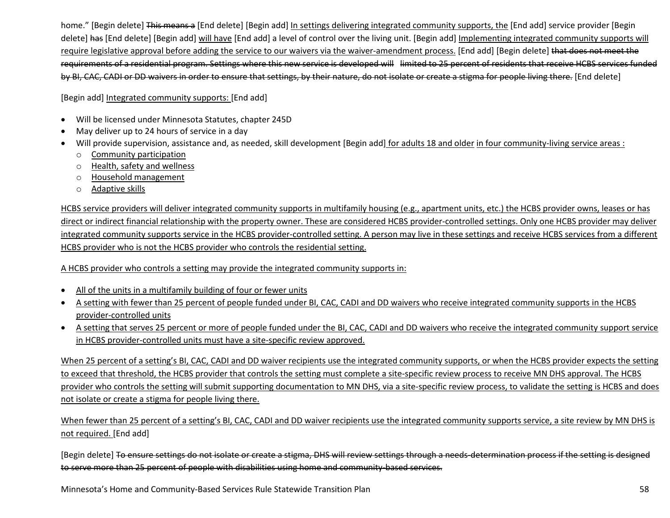home." [Begin delete] This means a [End delete] [Begin add] In settings delivering integrated community supports, the [End add] service provider [Begin delete] has [End delete] [Begin add] will have [End add] a level of control over the living unit. [Begin add] Implementing integrated community supports will require legislative approval before adding the service to our waivers via the waiver-amendment process. [End add] [Begin delete] that does not meet the requirements of a residential program. Settings where this new service is developed will limited to 25 percent of residents that receive HCBS services funded by BI, CAC, CADI or DD waivers in order to ensure that settings, by their nature, do not isolate or create a stigma for people living there. [End delete]

[Begin add] Integrated community supports: [End add]

- Will be licensed under Minnesota Statutes, chapter 245D
- May deliver up to 24 hours of service in a day
- Will provide supervision, assistance and, as needed, skill development [Begin add] for adults 18 and older in four community-living service areas :
	- o Community participation
	- o Health, safety and wellness
	- o Household management
	- o Adaptive skills

HCBS service providers will deliver integrated community supports in multifamily housing (e.g., apartment units, etc.) the HCBS provider owns, leases or has direct or indirect financial relationship with the property owner. These are considered HCBS provider-controlled settings. Only one HCBS provider may deliver integrated community supports service in the HCBS provider-controlled setting. A person may live in these settings and receive HCBS services from a different HCBS provider who is not the HCBS provider who controls the residential setting.

A HCBS provider who controls a setting may provide the integrated community supports in:

- All of the units in a multifamily building of four or fewer units
- A setting with fewer than 25 percent of people funded under BI, CAC, CADI and DD waivers who receive integrated community supports in the HCBS provider-controlled units
- A setting that serves 25 percent or more of people funded under the BI, CAC, CADI and DD waivers who receive the integrated community support service in HCBS provider-controlled units must have a site-specific review approved.

When 25 percent of a setting's BI, CAC, CADI and DD waiver recipients use the integrated community supports, or when the HCBS provider expects the setting to exceed that threshold, the HCBS provider that controls the setting must complete a site-specific review process to receive MN DHS approval. The HCBS provider who controls the setting will submit supporting documentation to MN DHS, via a site-specific review process, to validate the setting is HCBS and does not isolate or create a stigma for people living there.

When fewer than 25 percent of a setting's BI, CAC, CADI and DD waiver recipients use the integrated community supports service, a site review by MN DHS is not required. [End add]

[Begin delete] To ensure settings do not isolate or create a stigma, DHS will review settings through a needs-determination process if the setting is designed to serve more than 25 percent of people with disabilities using home and community-based services.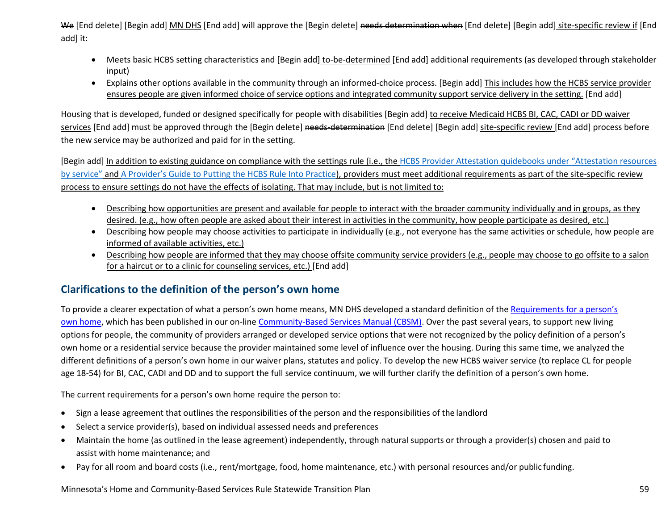We [End delete] [Begin add] MN DHS [End add] will approve the [Begin delete] needs determination when [End delete] [Begin add] site-specific review if [End add] it:

- Meets basic HCBS setting characteristics and [Begin add] to-be-determined [End add] additional requirements (as developed through stakeholder input)
- Explains other options available in the community through an informed-choice process. [Begin add] This includes how the HCBS service provider ensures people are given informed choice of service options and integrated community support service delivery in the setting. [End add]

Housing that is developed, funded or designed specifically for people with disabilities [Begin add] to receive Medicaid HCBS BI, CAC, CADI or DD waiver services [End add] must be approved through the [Begin delete] needs-determination [End delete] [Begin add] site-specific review [End add] process before the new service may be authorized and paid for in the setting.

[Begin add] In addition to existing guidance on compliance with the settings rule (i.e., the HCBS Provider Attestation quidebooks under "Attestation resources [by service"](https://mn.gov/dhs/partners-and-providers/news-initiatives-reports-workgroups/long-term-services-and-supports/hcbs-transition/attestation-phase-1.jsp) and [A Provider's Guide to Putting the HCBS Rule Into Practice\)](https://mn.gov/dhs/assets/102517-hcbs-best-practices-guide_tcm1053-318393.pdf), providers must meet additional requirements as part of the site-specific review process to ensure settings do not have the effects of isolating. That may include, but is not limited to:

- Describing how opportunities are present and available for people to interact with the broader community individually and in groups, as they desired. (e.g., how often people are asked about their interest in activities in the community, how people participate as desired, etc.)
- Describing how people may choose activities to participate in individually (e.g., not everyone has the same activities or schedule, how people are informed of available activities, etc.)
- Describing how people are informed that they may choose offsite community service providers (e.g., people may choose to go offsite to a salon for a haircut or to a clinic for counseling services, etc.) [End add]

### **Clarifications to the definition of the person's own home**

To provide a clearer expectation of what a person's own home means, MN DHS developed a standard definition of th[e Requirements for a person's](http://www.dhs.state.mn.us/main/idcplg?IdcService=GET_DYNAMIC_CONVERSION&RevisionSelectionMethod=LatestReleased&dDocName=dhs-286286)  [own home,](http://www.dhs.state.mn.us/main/idcplg?IdcService=GET_DYNAMIC_CONVERSION&RevisionSelectionMethod=LatestReleased&dDocName=dhs-286286) which has been published in our on-lin[e Community-Based Services Manual \(CBSM\). O](http://www.dhs.state.mn.us/main/idcplg?IdcService=GET_DYNAMIC_CONVERSION&RevisionSelectionMethod=LatestReleased&dDocName=id_000402)ver the past several years, to support new living options for people, the community of providers arranged or developed service options that were not recognized by the policy definition of a person's own home or a residential service because the provider maintained some level of influence over the housing. During this same time, we analyzed the different definitions of a person's own home in our waiver plans, statutes and policy. To develop the new HCBS waiver service (to replace CL for people age 18-54) for BI, CAC, CADI and DD and to support the full service continuum, we will further clarify the definition of a person's own home.

The current requirements for a person's own home require the person to:

- Sign a lease agreement that outlines the responsibilities of the person and the responsibilities of the landlord
- Select a service provider(s), based on individual assessed needs and preferences
- Maintain the home (as outlined in the lease agreement) independently, through natural supports or through a provider(s) chosen and paid to assist with home maintenance; and
- Pay for all room and board costs (i.e., rent/mortgage, food, home maintenance, etc.) with personal resources and/or public funding.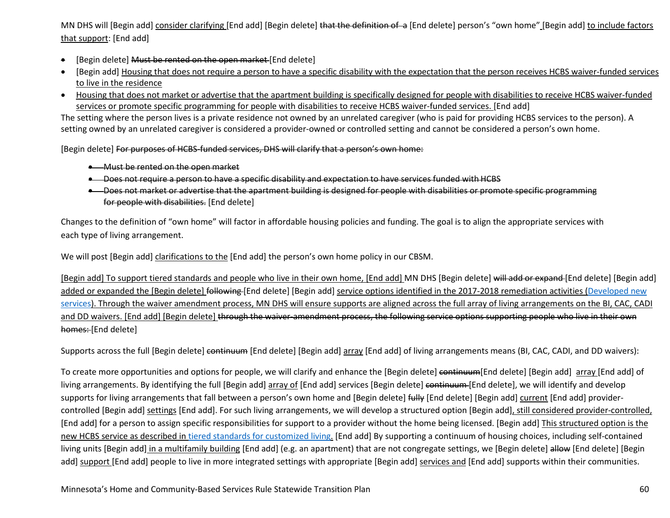MN DHS will [Begin add] consider clarifying [End add] [Begin delete] that the definition of a [End delete] person's "own home" [Begin add] to include factors that support: [End add]

- [Begin delete] Must be rented on the open market [End delete]
- [Begin add] Housing that does not require a person to have a specific disability with the expectation that the person receives HCBS waiver-funded services to live in the residence
- Housing that does not market or advertise that the apartment building is specifically designed for people with disabilities to receive HCBS waiver-funded services or promote specific programming for people with disabilities to receive HCBS waiver-funded services. [End add]

The setting where the person lives is a private residence not owned by an unrelated caregiver (who is paid for providing HCBS services to the person). A setting owned by an unrelated caregiver is considered a provider-owned or controlled setting and cannot be considered a person's own home.

[Begin delete] For purposes of HCBS-funded services. DHS will clarify that a person's own home:

- Must be rented on the open market
- Does not require a person to have a specific disability and expectation to have services funded with HCBS
- Does not market or advertise that the apartment building is designed for people with disabilities or promote specific programming for people with disabilities. [End delete]

Changes to the definition of "own home" will factor in affordable housing policies and funding. The goal is to align the appropriate services with each type of living arrangement.

We will post [Begin add] clarifications to the [End add] the person's own home policy in our CBSM.

[Begin add] To support tiered standards and people who live in their own home, [End add] MN DHS [Begin delete] will add or expand [End delete] [Begin add] added or expanded the [Begin delete] following [End delete] [Begin add] service options identified in the 2017-2018 remediation activities (Developed new [services\)](#page-30-0). Through the waiver amendment process, MN DHS will ensure supports are aligned across the full array of living arrangements on the BI, CAC, CADI and DD waivers. [End add] [Begin delete] through the waiver-amendment process, the following service options supporting people who live in their own homes: [End delete]

Supports across the full [Begin delete] continuum [End delete] [Begin add] array [End add] of living arrangements means (BI, CAC, CADI, and DD waivers):

To create more opportunities and options for people, we will clarify and enhance the [Begin delete] continuum [End delete] [Begin add] array [End add] of living arrangements. By identifying the full [Begin add] array of [End add] services [Begin delete] continuum [End delete], we will identify and develop supports for living arrangements that fall between a person's own home and [Begin delete] fully [End delete] [Begin add] current [End add] providercontrolled [Begin add] settings [End add]. For such living arrangements, we will develop a structured option [Begin add], still considered provider-controlled, [End add] for a person to assign specific responsibilities for support to a provider without the home being licensed. [Begin add] This structured option is the new HCBS service as described in [tiered standards for customized living.](#page-55-0) [End add] By supporting a continuum of housing choices, including self-contained living units [Begin add] in a multifamily building [End add] (e.g. an apartment) that are not congregate settings, we [Begin delete] allow [End delete] [Begin add] support [End add] people to live in more integrated settings with appropriate [Begin add] services and [End add] supports within their communities.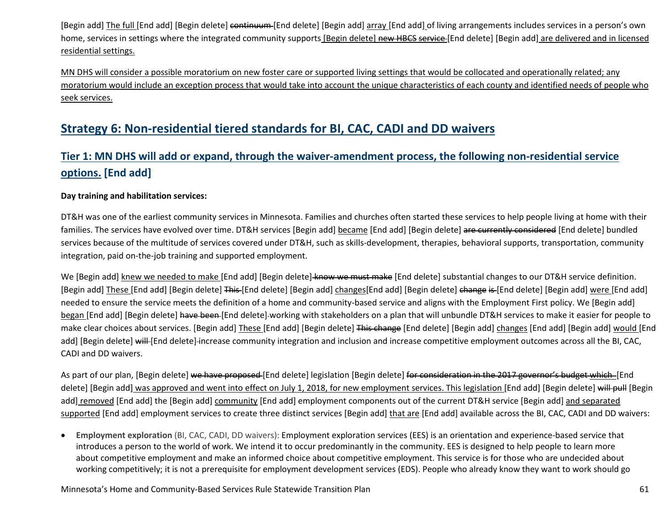[Begin add] The full [End add] [Begin delete] continuum [End delete] [Begin add] array [End add] of living arrangements includes services in a person's own home, services in settings where the integrated community supports [Begin delete] new HBCS service [End delete] [Begin add] are delivered and in licensed residential settings.

MN DHS will consider a possible moratorium on new foster care or supported living settings that would be collocated and operationally related; any moratorium would include an exception process that would take into account the unique characteristics of each county and identified needs of people who seek services.

## **Strategy 6: Non-residential tiered standards for BI, CAC, CADI and DD waivers**

## **Tier 1: MN DHS will add or expand, through the waiver-amendment process, the following non-residential service options. [End add]**

#### **Day training and habilitation services:**

DT&H was one of the earliest community services in Minnesota. Families and churches often started these services to help people living at home with their families. The services have evolved over time. DT&H services [Begin add] became [End add] [Begin delete] are currently considered [End delete] bundled services because of the multitude of services covered under DT&H, such as skills-development, therapies, behavioral supports, transportation, community integration, paid on-the-job training and supported employment.

We [Begin add] knew we needed to make [End add] [Begin delete] know we must make [End delete] substantial changes to our DT&H service definition. [Begin add] These [End add] [Begin delete] This [End delete] [Begin add] changes[End add] [Begin delete] change is [End delete] [Begin add] were [End add] needed to ensure the service meets the definition of a home and community-based service and aligns with the Employment First policy. We [Begin add] began [End add] [Begin delete] have been [End delete] working with stakeholders on a plan that will unbundle DT&H services to make it easier for people to make clear choices about services. [Begin add] These [End add] [Begin delete] This change [End delete] [Begin add] changes [End add] [Begin add] would [End add] [Begin delete] will [End delete] increase community integration and inclusion and increase competitive employment outcomes across all the BI, CAC, CADI and DD waivers.

As part of our plan, [Begin delete] we have proposed [End delete] legislation [Begin delete] for consideration in the 2017 governor's budget which [End delete] [Begin add] was approved and went into effect on July 1, 2018, for new employment services. This legislation [End add] [Begin delete] will pull [Begin add] removed [End add] the [Begin add] community [End add] employment components out of the current DT&H service [Begin add] and separated supported [End add] employment services to create three distinct services [Begin add] that are [End add] available across the BI, CAC, CADI and DD waivers:

• **Employment exploration** (BI, CAC, CADI, DD waivers): Employment exploration services (EES) is an orientation and experience-based service that introduces a person to the world of work. We intend it to occur predominantly in the community. EES is designed to help people to learn more about competitive employment and make an informed choice about competitive employment. This service is for those who are undecided about working competitively; it is not a prerequisite for employment development services (EDS). People who already know they want to work should go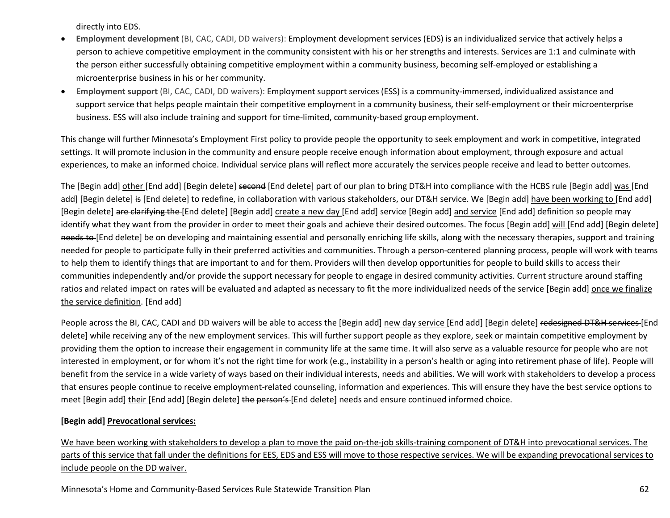directly into EDS.

- **Employment development** (BI, CAC, CADI, DD waivers): Employment development services (EDS) is an individualized service that actively helps a person to achieve competitive employment in the community consistent with his or her strengths and interests. Services are 1:1 and culminate with the person either successfully obtaining competitive employment within a community business, becoming self-employed or establishing a microenterprise business in his or her community.
- **Employment support** (BI, CAC, CADI, DD waivers): Employment support services (ESS) is a community-immersed, individualized assistance and support service that helps people maintain their competitive employment in a community business, their self-employment or their microenterprise business. ESS will also include training and support for time-limited, community-based group employment.

This change will further Minnesota's Employment First policy to provide people the opportunity to seek employment and work in competitive, integrated settings. It will promote inclusion in the community and ensure people receive enough information about employment, through exposure and actual experiences, to make an informed choice. Individual service plans will reflect more accurately the services people receive and lead to better outcomes.

The [Begin add] other [End add] [Begin delete] second [End delete] part of our plan to bring DT&H into compliance with the HCBS rule [Begin add] was [End add] [Begin delete] is [End delete] to redefine, in collaboration with various stakeholders, our DT&H service. We [Begin add] have been working to [End add] [Begin delete] are clarifying the [End delete] [Begin add] create a new day [End add] service [Begin add] and service [End add] definition so people may identify what they want from the provider in order to meet their goals and achieve their desired outcomes. The focus [Begin add] will [End add] [Begin delete] needs to [End delete] be on developing and maintaining essential and personally enriching life skills, along with the necessary therapies, support and training needed for people to participate fully in their preferred activities and communities. Through a person-centered planning process, people will work with teams to help them to identify things that are important to and for them. Providers will then develop opportunities for people to build skills to access their communities independently and/or provide the support necessary for people to engage in desired community activities. Current structure around staffing ratios and related impact on rates will be evaluated and adapted as necessary to fit the more individualized needs of the service [Begin add] once we finalize the service definition. [End add]

People across the BI, CAC, CADI and DD waivers will be able to access the [Begin add] new day service [End add] [Begin delete] redesigned DT&H services [End delete] while receiving any of the new employment services. This will further support people as they explore, seek or maintain competitive employment by providing them the option to increase their engagement in community life at the same time. It will also serve as a valuable resource for people who are not interested in employment, or for whom it's not the right time for work (e.g., instability in a person's health or aging into retirement phase of life). People will benefit from the service in a wide variety of ways based on their individual interests, needs and abilities. We will work with stakeholders to develop a process that ensures people continue to receive employment-related counseling, information and experiences. This will ensure they have the best service options to meet [Begin add] their [End add] [Begin delete] the person's [End delete] needs and ensure continued informed choice.

#### **[Begin add] Prevocational services:**

We have been working with stakeholders to develop a plan to move the paid on-the-job skills-training component of DT&H into prevocational services. The parts of this service that fall under the definitions for EES, EDS and ESS will move to those respective services. We will be expanding prevocational services to include people on the DD waiver.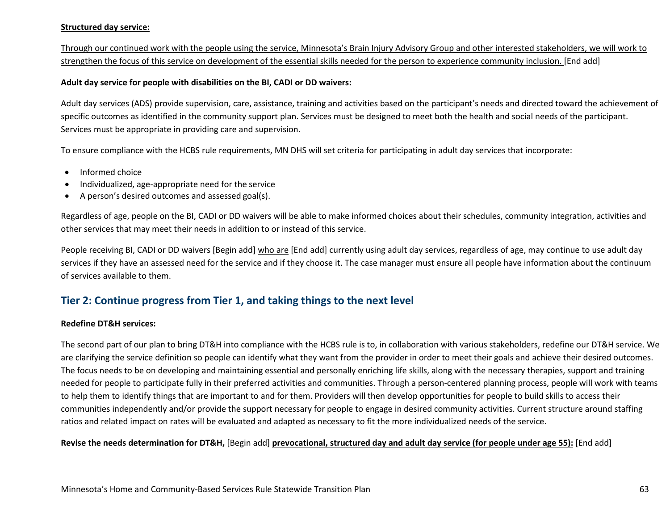#### **Structured day service:**

Through our continued work with the people using the service, Minnesota's Brain Injury Advisory Group and other interested stakeholders, we will work to strengthen the focus of this service on development of the essential skills needed for the person to experience community inclusion. [End add]

#### **Adult day service for people with disabilities on the BI, CADI or DD waivers:**

Adult day services (ADS) provide supervision, care, assistance, training and activities based on the participant's needs and directed toward the achievement of specific outcomes as identified in the community support plan. Services must be designed to meet both the health and social needs of the participant. Services must be appropriate in providing care and supervision.

To ensure compliance with the HCBS rule requirements, MN DHS will set criteria for participating in adult day services that incorporate:

- Informed choice
- Individualized, age-appropriate need for the service
- A person's desired outcomes and assessed goal(s).

Regardless of age, people on the BI, CADI or DD waivers will be able to make informed choices about their schedules, community integration, activities and other services that may meet their needs in addition to or instead of this service.

People receiving BI, CADI or DD waivers [Begin add] who are [End add] currently using adult day services, regardless of age, may continue to use adult day services if they have an assessed need for the service and if they choose it. The case manager must ensure all people have information about the continuum of services available to them.

### **Tier 2: Continue progress from Tier 1, and taking things to the next level**

#### **Redefine DT&H services:**

The second part of our plan to bring DT&H into compliance with the HCBS rule is to, in collaboration with various stakeholders, redefine our DT&H service. We are clarifying the service definition so people can identify what they want from the provider in order to meet their goals and achieve their desired outcomes. The focus needs to be on developing and maintaining essential and personally enriching life skills, along with the necessary therapies, support and training needed for people to participate fully in their preferred activities and communities. Through a person-centered planning process, people will work with teams to help them to identify things that are important to and for them. Providers will then develop opportunities for people to build skills to access their communities independently and/or provide the support necessary for people to engage in desired community activities. Current structure around staffing ratios and related impact on rates will be evaluated and adapted as necessary to fit the more individualized needs of the service.

#### **Revise the needs determination for DT&H,** [Begin add] **prevocational, structured day and adult day service (for people under age 55):** [End add]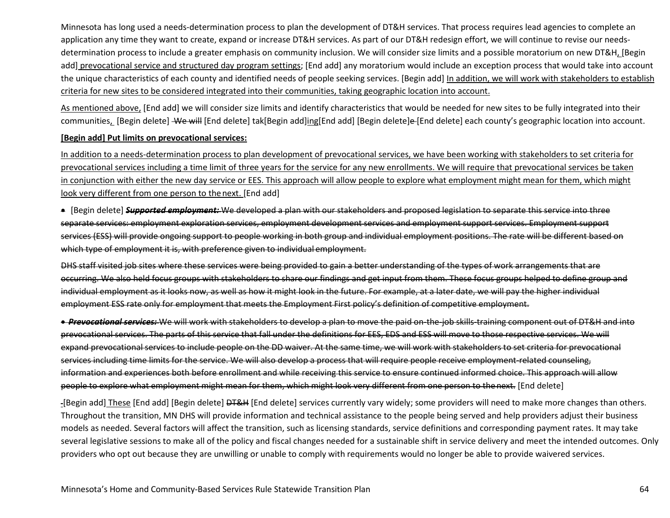Minnesota has long used a needs-determination process to plan the development of DT&H services. That process requires lead agencies to complete an application any time they want to create, expand or increase DT&H services. As part of our DT&H redesign effort, we will continue to revise our needsdetermination process to include a greater emphasis on community inclusion. We will consider size limits and a possible moratorium on new DT&H, [Begin add] prevocational service and structured day program settings; [End add] any moratorium would include an exception process that would take into account the unique characteristics of each county and identified needs of people seeking services. [Begin add] In addition, we will work with stakeholders to establish criteria for new sites to be considered integrated into their communities, taking geographic location into account.

As mentioned above, [End add] we will consider size limits and identify characteristics that would be needed for new sites to be fully integrated into their communities, [Begin delete] We will [End delete] tak[Begin add]ing[End add] [Begin delete]e-[End delete] each county's geographic location into account.

#### **[Begin add] Put limits on prevocational services:**

In addition to a needs-determination process to plan development of prevocational services, we have been working with stakeholders to set criteria for prevocational services including a time limit of three years for the service for any new enrollments. We will require that prevocational services be taken in conjunction with either the new day service or EES. This approach will allow people to explore what employment might mean for them, which might look very different from one person to the next. [End add]

• [Begin delete] *Supported employment:* We developed a plan with our stakeholders and proposed legislation to separate this service into three separate services: employment exploration services, employment development services and employment support services. Employment support services (ESS) will provide ongoing support to people working in both group and individual employment positions. The rate will be different based on which type of employment it is, with preference given to individual employment.

DHS staff visited job sites where these services were being provided to gain a better understanding of the types of work arrangements that are occurring. We also held focus groups with stakeholders to share our findings and get input from them. These focus groups helped to define group and individual employment as it looks now, as well as how it might look in the future. For example, at a later date, we will pay the higher individual employment ESS rate only for employment that meets the Employment First policy's definition of competitive employment.

• *Prevocational services:* We will work with stakeholders to develop a plan to move the paid on-the-job skills-training component out of DT&H and into prevocational services. The parts of this service that fall under the definitions for EES, EDS and ESS will move to those respective services. We will expand prevocational services to include people on the DD waiver. At the same time, we will work with stakeholders to set criteria for prevocational services including time limits for the service. We will also develop a process that will require people receive employment-related counseling, information and experiences both before enrollment and while receiving this service to ensure continued informed choice. This approach will allow people to explore what employment might mean for them, which might look very different from one person to the next. [End delete]

-[Begin add] These [End add] [Begin delete] <del>DT&H</del> [End delete] services currently vary widely; some providers will need to make more changes than others. Throughout the transition, MN DHS will provide information and technical assistance to the people being served and help providers adjust their business models as needed. Several factors will affect the transition, such as licensing standards, service definitions and corresponding payment rates. It may take several legislative sessions to make all of the policy and fiscal changes needed for a sustainable shift in service delivery and meet the intended outcomes. Only providers who opt out because they are unwilling or unable to comply with requirements would no longer be able to provide waivered services.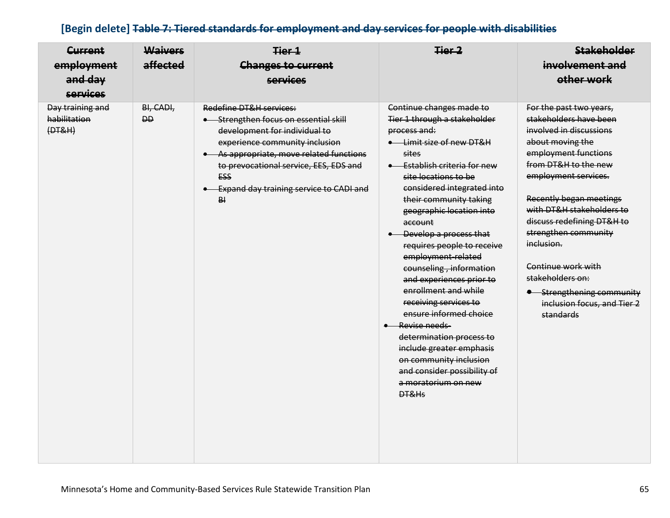## **[Begin delete] Table 7: Tiered standards for employment and day services for people with disabilities**

| <b>Current</b><br>employment<br>and day<br><b>services</b> | <b>Waivers</b><br>affected | Tier 1<br><b>Changes to current</b><br><b>services</b>                                                                                                                                                                                                                                     | Tier 2                                                                                                                                                                                                                                                                                                                                                                                                                                                                                                                                                                                                                                                                    | <b>Stakeholder</b><br>involvement and<br>other work                                                                                                                                                                                                                                                                                                                                                                     |
|------------------------------------------------------------|----------------------------|--------------------------------------------------------------------------------------------------------------------------------------------------------------------------------------------------------------------------------------------------------------------------------------------|---------------------------------------------------------------------------------------------------------------------------------------------------------------------------------------------------------------------------------------------------------------------------------------------------------------------------------------------------------------------------------------------------------------------------------------------------------------------------------------------------------------------------------------------------------------------------------------------------------------------------------------------------------------------------|-------------------------------------------------------------------------------------------------------------------------------------------------------------------------------------------------------------------------------------------------------------------------------------------------------------------------------------------------------------------------------------------------------------------------|
| Day training and<br>habilitation<br>(HTT&H)                | BI, CADI,<br><b>DD</b>     | Redefine DT&H services:<br>• Strengthen focus on essential skill<br>development for individual to<br>experience community inclusion<br>• As appropriate, move related functions<br>to prevocational service, EES, EDS and<br><b>ESS</b><br>• Expand day training service to CADI and<br>B1 | Continue changes made to<br>Tier 1 through a stakeholder<br>process and:<br>• Limit size of new DT&H<br>sites<br>$\bullet$ <b>Establish criteria for new</b><br>site locations to be<br>considered integrated into<br>their community taking<br>geographic location into<br>account<br>• Develop a process that<br>requires people to receive<br>employment-related<br>counseling, information<br>and experiences prior to<br>enrollment and while<br>receiving services to<br>ensure informed choice<br>• Revise needs-<br>determination process to<br>include greater emphasis<br>on community inclusion<br>and consider possibility of<br>a moratorium on new<br>DT&Hs | For the past two years,<br>stakeholders have been<br>involved in discussions<br>about moving the<br>employment functions<br>from DT&H to the new<br>employment services.<br>Recently began meetings<br>with DT&H stakeholders to<br>discuss redefining DT&H to<br>strengthen community<br>inclusion.<br>Continue work with<br>stakeholders on:<br>• Strengthening community<br>inclusion focus, and Tier 2<br>standards |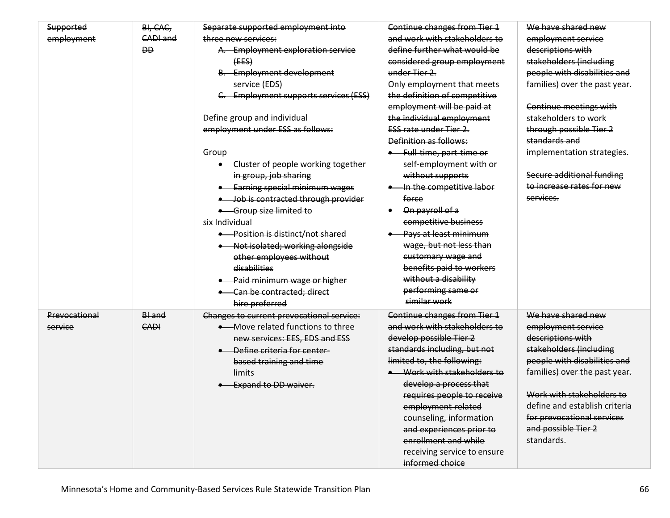| Supported     | BI, CAC,  | Separate supported employment into        | Continue changes from Tier 1  | We have shared new            |
|---------------|-----------|-------------------------------------------|-------------------------------|-------------------------------|
| employment    | CADI and  | three new services:                       | and work with stakeholders to | employment service            |
|               | <b>DD</b> | A. Employment exploration service         | define further what would be  | descriptions with             |
|               |           | (EES)                                     | considered group employment   | stakeholders (including       |
|               |           | <b>B.</b> Employment development          | under Tier 2.                 | people with disabilities and  |
|               |           | service (EDS)                             | Only employment that meets    | families) over the past year. |
|               |           | C. Employment supports services (ESS)     | the definition of competitive |                               |
|               |           |                                           | employment will be paid at    | Continue meetings with        |
|               |           | Define group and individual               | the individual employment     | stakeholders to work          |
|               |           | employment under ESS as follows:          | <b>ESS rate under Tier 2.</b> | through possible Tier 2       |
|               |           |                                           | Definition as follows:        | standards and                 |
|               |           | Group                                     | • Full-time, part-time or     | implementation strategies.    |
|               |           | • Cluster of people working together      | self-employment with or       |                               |
|               |           | in group, job sharing                     | without supports              | Secure additional funding     |
|               |           | • Earning special minimum wages           | In the competitive labor      | to increase rates for new     |
|               |           | • Job is contracted through provider      | force                         | services.                     |
|               |           | • Group size limited to                   | - On payroll of a             |                               |
|               |           | six Individual                            | competitive business          |                               |
|               |           | • Position is distinct/not shared         | Pays at least minimum         |                               |
|               |           | • Not isolated; working alongside         | wage, but not less than       |                               |
|               |           | other employees without                   | customary wage and            |                               |
|               |           | disabilities                              | benefits paid to workers      |                               |
|               |           | • Paid minimum wage or higher             | without a disability          |                               |
|               |           | • Can be contracted; direct               | performing same or            |                               |
|               |           | hire preferred                            | similar work                  |                               |
| Prevocational | BI and    | Changes to current prevocational service: | Continue changes from Tier 1  | We have shared new            |
| service       | CADI      | • Move related functions to three         | and work with stakeholders to | employment service            |
|               |           | new services: EES, EDS and ESS            | develop possible Tier 2       | descriptions with             |
|               |           | - Define criteria for center-             | standards including, but not  | stakeholders (including       |
|               |           | based training and time                   | limited to, the following:    | people with disabilities and  |
|               |           | limits                                    | -Work with stakeholders to    | families) over the past year. |
|               |           | <b>.</b> Expand to DD waiver.             | develop a process that        |                               |
|               |           |                                           | requires people to receive    | Work with stakeholders to     |
|               |           |                                           | employment-related            | define and establish criteria |
|               |           |                                           | counseling, information       | for prevocational services    |
|               |           |                                           | and experiences prior to      | and possible Tier 2           |
|               |           |                                           | enrollment and while          | standards.                    |
|               |           |                                           | receiving service to ensure   |                               |
|               |           |                                           | informed choice               |                               |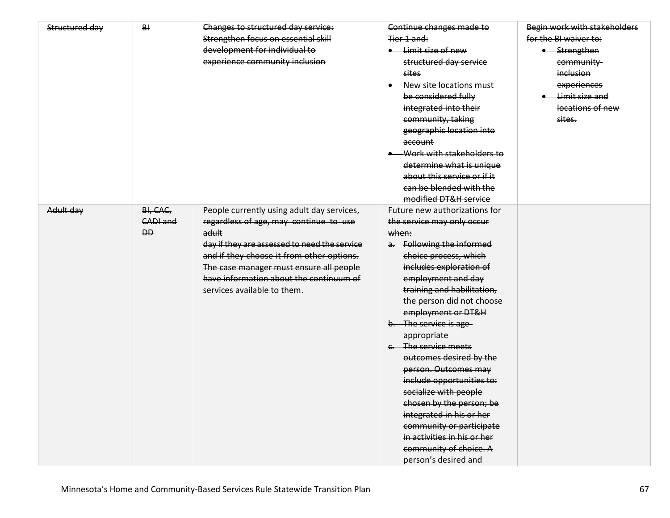| Structured day | BI        | Changes to structured day service:           | Continue changes made to             | Begin work with stakeholders |
|----------------|-----------|----------------------------------------------|--------------------------------------|------------------------------|
|                |           | Strengthen focus on essential skill          | Tier 1 and:                          | for the BI waiver to:        |
|                |           | development for individual to                | • Limit size of new                  | • Strengthen                 |
|                |           | experience community inclusion               | structured day service               | community-                   |
|                |           |                                              | sites                                | inclusion                    |
|                |           |                                              | New site locations must              | experiences                  |
|                |           |                                              | be considered fully                  | • Limit size and             |
|                |           |                                              | integrated into their                | locations of new             |
|                |           |                                              | community, taking                    | sites.                       |
|                |           |                                              | geographic location into             |                              |
|                |           |                                              | account                              |                              |
|                |           |                                              | Work with stakeholders to            |                              |
|                |           |                                              | determine what is unique             |                              |
|                |           |                                              | about this service or if it          |                              |
|                |           |                                              | can be blended with the              |                              |
|                |           |                                              | modified DT&H service                |                              |
| Adult day      | BI, CAC,  | People currently using adult day services,   | <b>Future new authorizations for</b> |                              |
|                | CADI and  | regardless of age, may continue to use       | the service may only occur           |                              |
|                | <b>DD</b> | adult                                        | when:                                |                              |
|                |           | day if they are assessed to need the service | a. Following the informed            |                              |
|                |           | and if they choose it from other options.    | choice process, which                |                              |
|                |           | The case manager must ensure all people      | includes exploration of              |                              |
|                |           | have information about the continuum of      | employment and day                   |                              |
|                |           | services available to them.                  | training and habilitation,           |                              |
|                |           |                                              | the person did not choose            |                              |
|                |           |                                              | employment or DT&H                   |                              |
|                |           |                                              | b. The service is age-               |                              |
|                |           |                                              | appropriate                          |                              |
|                |           |                                              | e. The service meets                 |                              |
|                |           |                                              | outcomes desired by the              |                              |
|                |           |                                              | person. Outcomes may                 |                              |
|                |           |                                              | include opportunities to:            |                              |
|                |           |                                              | socialize with people                |                              |
|                |           |                                              | chosen by the person; be             |                              |
|                |           |                                              | integrated in his or her             |                              |
|                |           |                                              | community or participate             |                              |
|                |           |                                              | in activities in his or her          |                              |
|                |           |                                              | community of choice. A               |                              |
|                |           |                                              | person's desired and                 |                              |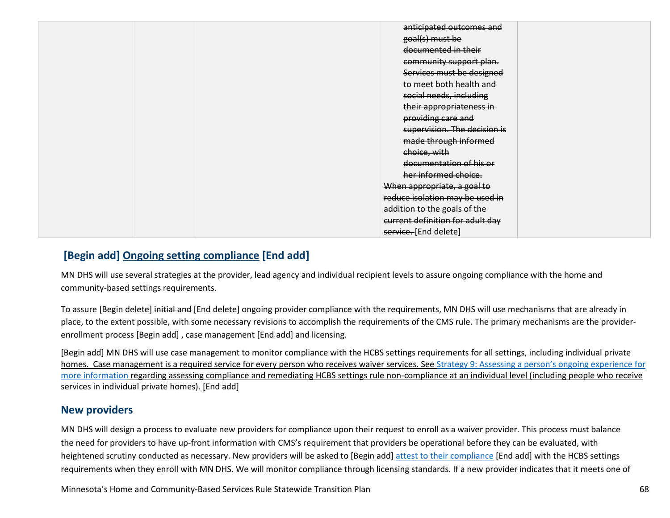| anticipated outcomes and         |
|----------------------------------|
| goal(s) must be                  |
| documented in their              |
| community support plan.          |
| Services must be designed        |
| to meet both health and          |
| social needs, including          |
| their appropriateness in         |
| providing care and               |
| supervision. The decision is     |
| made through informed            |
| choice, with                     |
| documentation of his or          |
| her informed choice.             |
| When appropriate, a goal to      |
| reduce isolation may be used in  |
| addition to the goals of the     |
|                                  |
| current definition for adult day |
| service. [End delete]            |

## **[Begin add] Ongoing setting compliance [End add]**

MN DHS will use several strategies at the provider, lead agency and individual recipient levels to assure ongoing compliance with the home and community-based settings requirements.

To assure [Begin delete] initial and [End delete] ongoing provider compliance with the requirements, MN DHS will use mechanisms that are already in place, to the extent possible, with some necessary revisions to accomplish the requirements of the CMS rule. The primary mechanisms are the providerenrollment process [Begin add] , case management [End add] and licensing.

[Begin add] MN DHS will use case management to monitor compliance with the HCBS settings requirements for all settings, including individual private homes. Case management is a required service for every person who receives waiver services. See Strategy 9: Assessing a person's ongoing experience for [more information](#page-72-0) regarding assessing compliance and remediating HCBS settings rule non-compliance at an individual level (including people who receive services in individual private homes). [End add]

### **New providers**

MN DHS will design a process to evaluate new providers for compliance upon their request to enroll as a waiver provider. This process must balance the need for providers to have up-front information with CMS's requirement that providers be operational before they can be evaluated, with heightened scrutiny conducted as necessary. New providers will be asked to [Begin add] [attest to their compliance](https://edocs.dhs.state.mn.us/lfserver/Public/DHS-7618-ENG) [End add] with the HCBS settings requirements when they enroll with MN DHS. We will monitor compliance through licensing standards. If a new provider indicates that it meets one of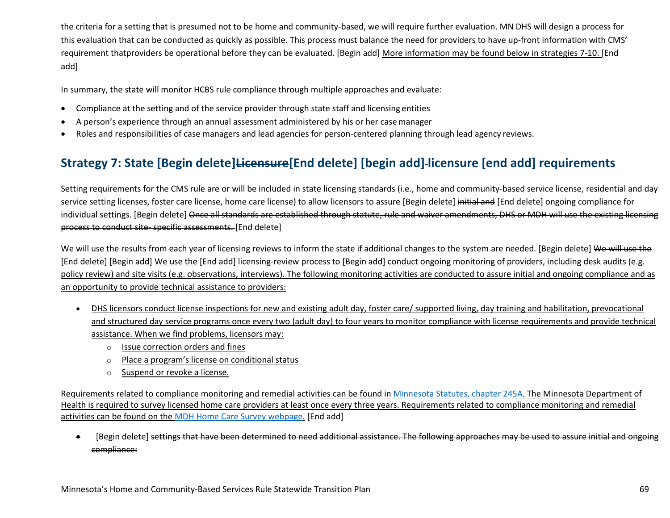the criteria for a setting that is presumed not to be home and community-based, we will require further evaluation. MN DHS will design a process for this evaluation that can be conducted as quickly as possible. This process must balance the need for providers to have up-front information with CMS' requirement thatproviders be operational before they can be evaluated. [Begin add] More information may be found below in strategies 7-10. [End add]

In summary, the state will monitor HCBS rule compliance through multiple approaches and evaluate:

- Compliance at the setting and of the service provider through state staff and licensing entities
- A person's experience through an annual assessment administered by his or her casemanager
- Roles and responsibilities of case managers and lead agencies for person-centered planning through lead agency reviews.

## **Strategy 7: State [Begin delete]Licensure[End delete] [begin add] licensure [end add] requirements**

Setting requirements for the CMS rule are or will be included in state licensing standards (i.e., home and community-based service license, residential and day service setting licenses, foster care license, home care license) to allow licensors to assure [Begin delete] initial and [End delete] ongoing compliance for individual settings. [Begin delete] Once all standards are established through statute, rule and waiver amendments, DHS or MDH will use the existing licensing process to conduct site- specific assessments. [End delete]

We will use the results from each year of licensing reviews to inform the state if additional changes to the system are needed. [Begin delete] We will use the [End delete] [Begin add] We use the [End add] licensing-review process to [Begin add] conduct ongoing monitoring of providers, including desk audits (e.g. policy review) and site visits (e.g. observations, interviews). The following monitoring activities are conducted to assure initial and ongoing compliance and as an opportunity to provide technical assistance to providers:

- DHS licensors conduct license inspections for new and existing adult day, foster care/ supported living, day training and habilitation, prevocational and structured day service programs once every two (adult day) to four years to monitor compliance with license requirements and provide technical assistance. When we find problems, licensors may:
	- o Issue correction orders and fines
	- o Place a program's license on conditional status
	- o Suspend or revoke a license.

Requirements related to compliance monitoring and remedial activities can be found in [Minnesota Statutes, chapter 245A.](https://www.revisor.mn.gov/statutes/cite/245A) The Minnesota Department of Health is required to survey licensed home care providers at least once every three years. Requirements related to compliance monitoring and remedial activities can be found on the [MDH Home Care Survey webpage.](http://www.health.state.mn.us/divs/fpc/homecare/consumers/surveyresults.html) [End add]

• [Begin delete] settings that have been determined to need additional assistance. The following approaches may be used to assure initial and ongoing compliance: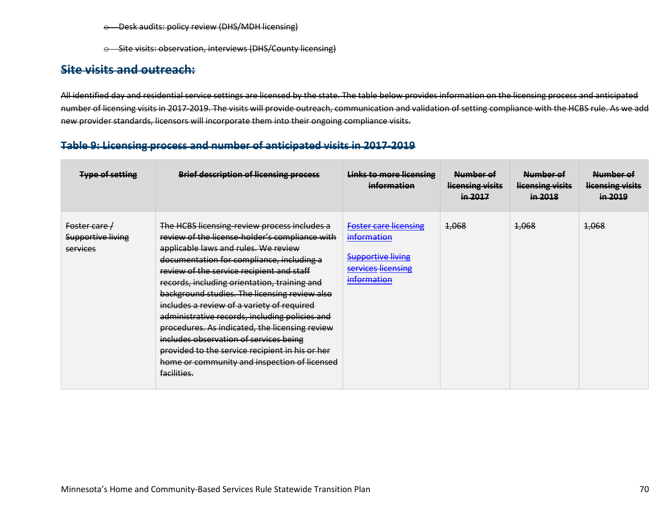- o Desk audits: policy review (DHS/MDH licensing)
- o Site visits: observation, interviews (DHS/County licensing)

### **Site visits and outreach:**

All identified day and residential service settings are licensed by the state. The table below provides information on the licensing process and anticipated number of licensing visits in 2017-2019. The visits will provide outreach, communication and validation of setting compliance with the HCBS rule. As we add new provider standards, licensors will incorporate them into their ongoing compliance visits.

#### **Table 9: Licensing process and number of anticipated visits in 2017-2019**

| <b>Type of setting</b>                                | <b>Brief description of licensing process</b>                                                                                                                                                                                                                                                                                                                                                                                                                                                                                                                                                                                                   | <b>Links to more licensing</b><br>information                                                                | Number of<br>licensing visits<br>in 2017 | Number of<br>licensing visits<br>in 2018 | Number of<br>licensing visits<br>in 2019 |
|-------------------------------------------------------|-------------------------------------------------------------------------------------------------------------------------------------------------------------------------------------------------------------------------------------------------------------------------------------------------------------------------------------------------------------------------------------------------------------------------------------------------------------------------------------------------------------------------------------------------------------------------------------------------------------------------------------------------|--------------------------------------------------------------------------------------------------------------|------------------------------------------|------------------------------------------|------------------------------------------|
| Foster care /<br><b>Supportive living</b><br>services | The HCBS licensing-review process includes a<br>review of the license-holder's compliance with<br>applicable laws and rules. We review<br>documentation for compliance, including a<br>review of the service recipient and staff<br>records, including orientation, training and<br>background studies. The licensing review also<br>includes a review of a variety of required<br>administrative records, including policies and<br>procedures. As indicated, the licensing review<br>includes observation of services being<br>provided to the service recipient in his or her<br>home or community and inspection of licensed<br>facilities. | <b>Foster care licensing</b><br>information<br><b>Supportive living</b><br>services licensing<br>information | 1,068                                    | 4,068                                    | 1,068                                    |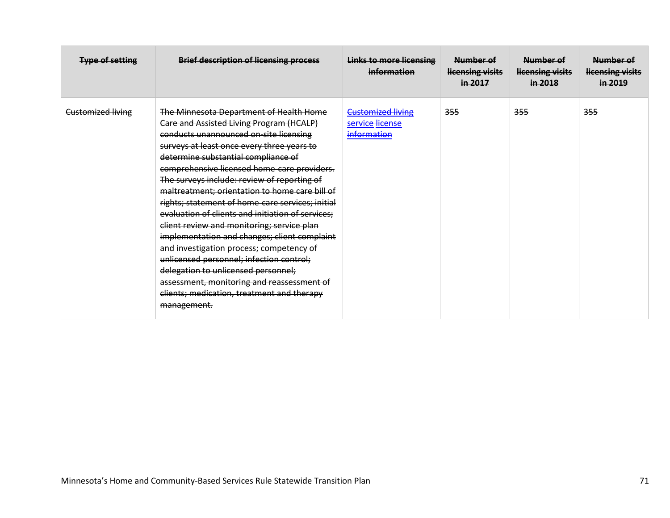| <b>Type of setting</b>   | <b>Brief description of licensing process</b>                                                                                                                                                                                                                                                                                                                                                                                                                                                                                                                                                                                                                                                                                                                                                                       | <b>Links to more licensing</b><br>information              | Number of<br>licensing visits<br>in 2017 | Number of<br>licensing visits<br>in 2018 | Number of<br>licensing visits<br>in 2019 |
|--------------------------|---------------------------------------------------------------------------------------------------------------------------------------------------------------------------------------------------------------------------------------------------------------------------------------------------------------------------------------------------------------------------------------------------------------------------------------------------------------------------------------------------------------------------------------------------------------------------------------------------------------------------------------------------------------------------------------------------------------------------------------------------------------------------------------------------------------------|------------------------------------------------------------|------------------------------------------|------------------------------------------|------------------------------------------|
| <b>Customized living</b> | The Minnesota Department of Health Home<br>Care and Assisted Living Program (HCALP)<br>conducts unannounced on-site licensing<br>surveys at least once every three years to<br>determine substantial compliance of<br>comprehensive licensed home-care providers.<br>The surveys include: review of reporting of<br>maltreatment; orientation to home care bill of<br>rights; statement of home-care services; initial<br>evaluation of clients and initiation of services;<br>client review and monitoring; service plan<br>implementation and changes; client complaint<br>and investigation process; competency of<br>unlicensed personnel; infection control;<br>delegation to unlicensed personnel;<br>assessment, monitoring and reassessment of<br>clients; medication, treatment and therapy<br>management. | <b>Customized living</b><br>service license<br>information | 355                                      | 355                                      | 355                                      |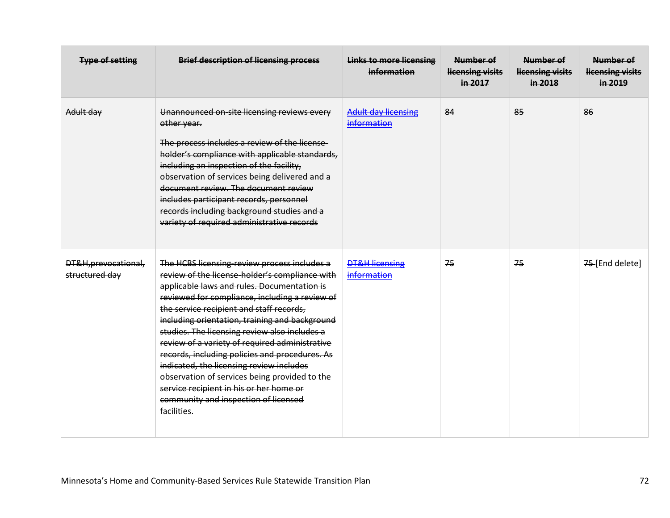| <b>Type of setting</b>                 | <b>Brief description of licensing process</b>                                                                                                                                                                                                                                                                                                                                                                                                                                                                                                                                                                                                     | <b>Links to more licensing</b><br>information | Number of<br>licensing visits<br>in 2017 | Number of<br>licensing visits<br>in 2018 | Number of<br>licensing visits<br>in 2019 |
|----------------------------------------|---------------------------------------------------------------------------------------------------------------------------------------------------------------------------------------------------------------------------------------------------------------------------------------------------------------------------------------------------------------------------------------------------------------------------------------------------------------------------------------------------------------------------------------------------------------------------------------------------------------------------------------------------|-----------------------------------------------|------------------------------------------|------------------------------------------|------------------------------------------|
| Adult day                              | Unannounced on-site licensing reviews every<br>other year.<br>The process includes a review of the license-<br>holder's compliance with applicable standards,<br>including an inspection of the facility,<br>observation of services being delivered and a<br>document review. The document review<br>includes participant records, personnel<br>records including background studies and a<br>variety of required administrative records                                                                                                                                                                                                         | <b>Adult day licensing</b><br>information     | 84                                       | 85                                       | 86                                       |
| DT&H, prevocational,<br>structured day | The HCBS licensing-review process includes a<br>review of the license-holder's compliance with<br>applicable laws and rules. Documentation is<br>reviewed for compliance, including a review of<br>the service recipient and staff records,<br>including orientation, training and background<br>studies. The licensing review also includes a<br>review of a variety of required administrative<br>records, including policies and procedures. As<br>indicated, the licensing review includes<br>observation of services being provided to the<br>service recipient in his or her home or<br>community and inspection of licensed<br>facilities. | DT&H_licensing<br>information                 | 75                                       | 75                                       | 75-[End delete]                          |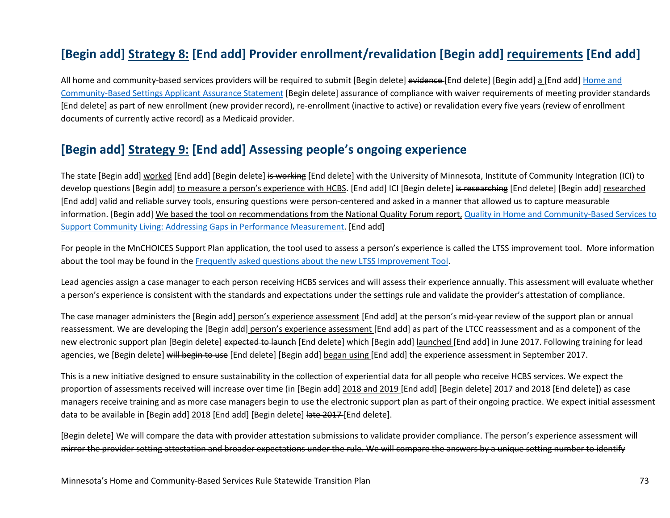### **[Begin add] Strategy 8: [End add] Provider enrollment/revalidation [Begin add] requirements [End add]**

All home and community-based services providers will be required to submit [Begin delete] evidence-[End delete] [Begin add] a [End add] Home and [Community-Based Settings Applicant Assurance Statement](https://edocs.dhs.state.mn.us/lfserver/Public/DHS-7618-ENG) [Begin delete] assurance of compliance with waiver requirements of meeting provider standards [End delete] as part of new enrollment (new provider record), re-enrollment (inactive to active) or revalidation every five years (review of enrollment documents of currently active record) as a Medicaid provider.

#### **[Begin add] Strategy 9: [End add] Assessing people's ongoing experience**

The state [Begin add] worked [End add] [Begin delete] is working [End delete] with the University of Minnesota, Institute of Community Integration (ICI) to develop questions [Begin add] to measure a person's experience with HCBS. [End add] ICI [Begin delete] is researching [End delete] [Begin add] researched [End add] valid and reliable survey tools, ensuring questions were person-centered and asked in a manner that allowed us to capture measurable information. [Begin add] We based the tool on recommendations from the National Quality Forum report, Quality in Home and Community-Based Services to [Support Community Living: Addressing Gaps in Performance Measurement.](http://www.qualityforum.org/Publications/2016/09/Quality_in_Home_and_Community-Based_Services_to_Support_Community_Living__Addressing_Gaps_in_Performance_Measurement.aspx) [End add]

For people in the MnCHOICES Support Plan application, the tool used to assess a person's experience is called the LTSS improvement tool. More information about the tool may be found in the [Frequently asked questions about the new LTSS Improvement Tool.](https://mn.gov/dhs/partners-and-providers/news-initiatives-reports-workgroups/long-term-services-and-supports/mnchoices/ltss-tool-faq.jsp)

Lead agencies assign a case manager to each person receiving HCBS services and will assess their experience annually. This assessment will evaluate whether a person's experience is consistent with the standards and expectations under the settings rule and validate the provider's attestation of compliance.

The case manager administers the [Begin add] person's experience assessment [End add] at the person's mid-year review of the support plan or annual reassessment. We are developing the [Begin add] person's experience assessment [End add] as part of the LTCC reassessment and as a component of the new electronic support plan [Begin delete] expected to launch [End delete] which [Begin add] launched [End add] in June 2017. Following training for lead agencies, we [Begin delete] will begin to use [End delete] [Begin add] began using [End add] the experience assessment in September 2017.

This is a new initiative designed to ensure sustainability in the collection of experiential data for all people who receive HCBS services. We expect the proportion of assessments received will increase over time (in [Begin add] 2018 and 2019 [End add] [Begin delete] 2017 and 2018 [End delete]) as case managers receive training and as more case managers begin to use the electronic support plan as part of their ongoing practice. We expect initial assessment data to be available in [Begin add] 2018 [End add] [Begin delete] late 2017 [End delete].

[Begin delete] We will compare the data with provider attestation submissions to validate provider compliance. The person's experience assessment will mirror the provider setting attestation and broader expectations under the rule. We will compare the answers by a unique setting number to identify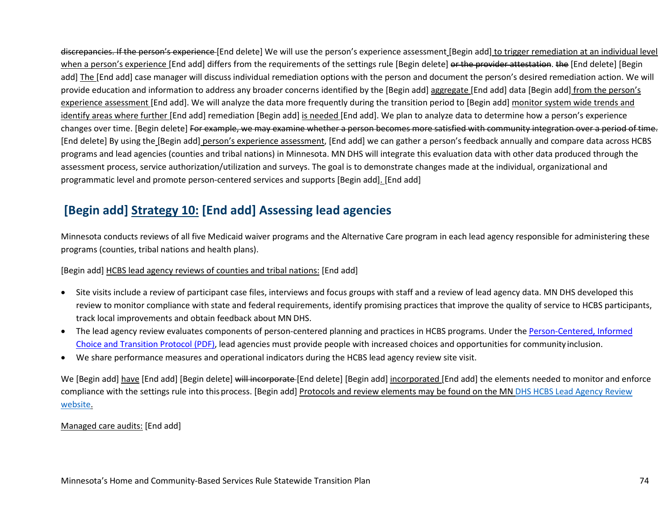discrepancies. If the person's experience [End delete] We will use the person's experience assessment [Begin add] to trigger remediation at an individual level when a person's experience [End add] differs from the requirements of the settings rule [Begin delete] or the provider attestation. the [End delete] [Begin add] The [End add] case manager will discuss individual remediation options with the person and document the person's desired remediation action. We will provide education and information to address any broader concerns identified by the [Begin add] aggregate [End add] data [Begin add] from the person's experience assessment [End add]. We will analyze the data more frequently during the transition period to [Begin add] monitor system wide trends and identify areas where further [End add] remediation [Begin add] is needed [End add]. We plan to analyze data to determine how a person's experience changes over time. [Begin delete] For example, we may examine whether a person becomes more satisfied with community integration over a period of time. [End delete] By using the [Begin add] person's experience assessment, [End add] we can gather a person's feedback annually and compare data across HCBS programs and lead agencies (counties and tribal nations) in Minnesota. MN DHS will integrate this evaluation data with other data produced through the assessment process, service authorization/utilization and surveys. The goal is to demonstrate changes made at the individual, organizational and programmatic level and promote person-centered services and supports [Begin add]. [End add]

### **[Begin add] Strategy 10: [End add] Assessing lead agencies**

Minnesota conducts reviews of all five Medicaid waiver programs and the Alternative Care program in each lead agency responsible for administering these programs (counties, tribal nations and health plans).

#### [Begin add] HCBS lead agency reviews of counties and tribal nations: [End add]

- Site visits include a review of participant case files, interviews and focus groups with staff and a review of lead agency data. MN DHS developed this review to monitor compliance with state and federal requirements, identify promising practices that improve the quality of service to HCBS participants, track local improvements and obtain feedback about MN DHS.
- The lead agency review evaluates components of person-centered planning and practices in HCBS programs. Under the [Person-Centered, Informed](http://mn.gov/dhs-stat/images/pcp_protocol.pdf) [Choice and Transition Protocol](http://mn.gov/dhs-stat/images/pcp_protocol.pdf) (PDF), lead agencies must provide people with increased choices and opportunities for community inclusion.
- We share performance measures and operational indicators during the HCBS lead agency review site visit.

We [Begin add] have [End add] [Begin delete] will incorporate [End delete] [Begin add] incorporated [End add] the elements needed to monitor and enforce compliance with the settings rule into this process. [Begin add] Protocols and review elements may be found on the MN [DHS HCBS Lead Agency Review](http://www.minnesotahcbs.info/)  [website.](http://www.minnesotahcbs.info/)

Managed care audits: [End add]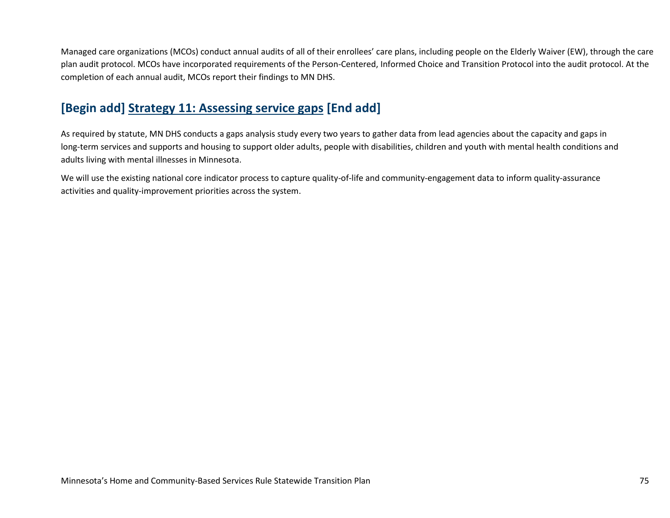Managed care organizations (MCOs) conduct annual audits of all of their enrollees' care plans, including people on the Elderly Waiver (EW), through the care plan audit protocol. MCOs have incorporated requirements of the Person-Centered, Informed Choice and Transition Protocol into the audit protocol. At the completion of each annual audit, MCOs report their findings to MN DHS.

### **[Begin add] Strategy 11: Assessing service gaps [End add]**

As required by statute, MN DHS conducts a gaps analysis study every two years to gather data from lead agencies about the capacity and gaps in long-term services and supports and housing to support older adults, people with disabilities, children and youth with mental health conditions and adults living with mental illnesses in Minnesota.

We will use the existing national core indicator process to capture quality-of-life and community-engagement data to inform quality-assurance activities and quality-improvement priorities across the system.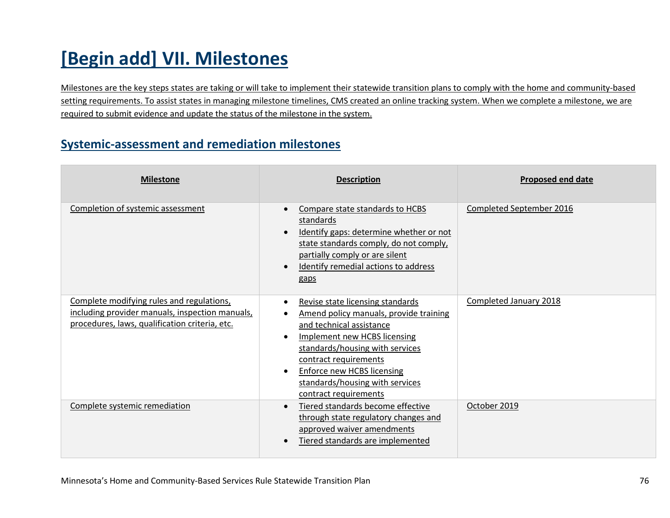# **[Begin add] VII. Milestones**

Milestones are the key steps states are taking or will take to implement their statewide transition plans to comply with the home and community-based setting requirements. To assist states in managing milestone timelines, CMS created an online tracking system. When we complete a milestone, we are required to submit evidence and update the status of the milestone in the system.

#### **Systemic-assessment and remediation milestones**

| <b>Milestone</b>                                                                                                                               | <b>Description</b>                                                                                                                                                                                                                                                                                                                                | <b>Proposed end date</b> |
|------------------------------------------------------------------------------------------------------------------------------------------------|---------------------------------------------------------------------------------------------------------------------------------------------------------------------------------------------------------------------------------------------------------------------------------------------------------------------------------------------------|--------------------------|
| Completion of systemic assessment                                                                                                              | Compare state standards to HCBS<br>$\bullet$<br>standards<br>Identify gaps: determine whether or not<br>$\bullet$<br>state standards comply, do not comply,<br>partially comply or are silent<br>Identify remedial actions to address<br>$\bullet$<br>gaps                                                                                        | Completed September 2016 |
| Complete modifying rules and regulations,<br>including provider manuals, inspection manuals,<br>procedures, laws, qualification criteria, etc. | Revise state licensing standards<br>$\bullet$<br>Amend policy manuals, provide training<br>and technical assistance<br><b>Implement new HCBS licensing</b><br>$\bullet$<br>standards/housing with services<br>contract requirements<br><b>Enforce new HCBS licensing</b><br>$\bullet$<br>standards/housing with services<br>contract requirements | Completed January 2018   |
| Complete systemic remediation                                                                                                                  | Tiered standards become effective<br>$\bullet$<br>through state regulatory changes and<br>approved waiver amendments<br>Tiered standards are implemented<br>$\bullet$                                                                                                                                                                             | October 2019             |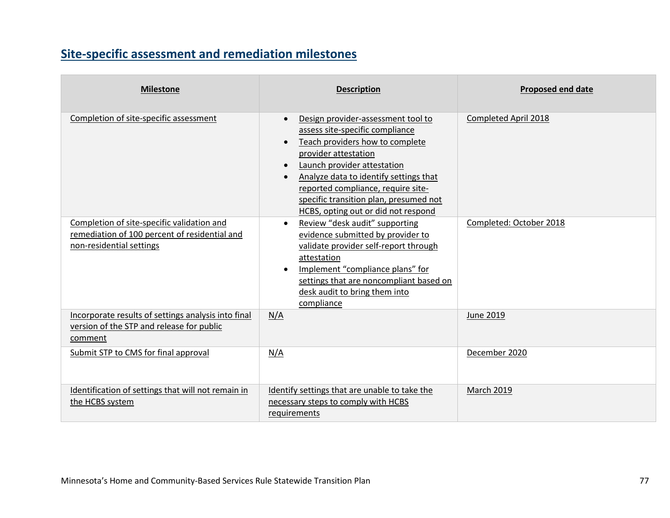## **Site-specific assessment and remediation milestones**

| <b>Milestone</b>                                                                                                        | <b>Description</b>                                                                                                                                                                                                                                                                                                                                                                   | <b>Proposed end date</b> |
|-------------------------------------------------------------------------------------------------------------------------|--------------------------------------------------------------------------------------------------------------------------------------------------------------------------------------------------------------------------------------------------------------------------------------------------------------------------------------------------------------------------------------|--------------------------|
| Completion of site-specific assessment                                                                                  | Design provider-assessment tool to<br>$\bullet$<br>assess site-specific compliance<br>Teach providers how to complete<br>$\bullet$<br>provider attestation<br>Launch provider attestation<br>$\bullet$<br>Analyze data to identify settings that<br>$\bullet$<br>reported compliance, require site-<br>specific transition plan, presumed not<br>HCBS, opting out or did not respond | Completed April 2018     |
| Completion of site-specific validation and<br>remediation of 100 percent of residential and<br>non-residential settings | Review "desk audit" supporting<br>$\bullet$<br>evidence submitted by provider to<br>validate provider self-report through<br>attestation<br>Implement "compliance plans" for<br>$\bullet$<br>settings that are noncompliant based on<br>desk audit to bring them into<br>compliance                                                                                                  | Completed: October 2018  |
| Incorporate results of settings analysis into final<br>version of the STP and release for public<br>comment             | N/A                                                                                                                                                                                                                                                                                                                                                                                  | June 2019                |
| Submit STP to CMS for final approval                                                                                    | N/A                                                                                                                                                                                                                                                                                                                                                                                  | December 2020            |
| Identification of settings that will not remain in<br>the HCBS system                                                   | Identify settings that are unable to take the<br>necessary steps to comply with HCBS<br>requirements                                                                                                                                                                                                                                                                                 | <b>March 2019</b>        |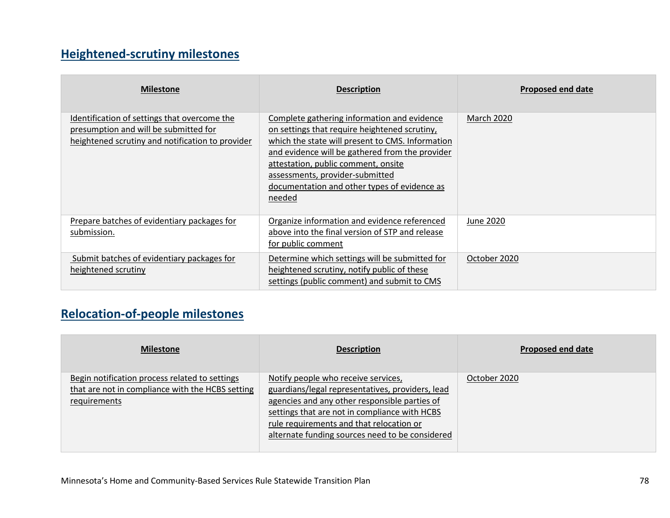## **Heightened-scrutiny milestones**

| <b>Milestone</b>                                                                                                                          | <b>Description</b>                                                                                                                                                                                                                                                                                                                      | Proposed end date |
|-------------------------------------------------------------------------------------------------------------------------------------------|-----------------------------------------------------------------------------------------------------------------------------------------------------------------------------------------------------------------------------------------------------------------------------------------------------------------------------------------|-------------------|
| Identification of settings that overcome the<br>presumption and will be submitted for<br>heightened scrutiny and notification to provider | Complete gathering information and evidence<br>on settings that require heightened scrutiny,<br>which the state will present to CMS. Information<br>and evidence will be gathered from the provider<br>attestation, public comment, onsite<br>assessments, provider-submitted<br>documentation and other types of evidence as<br>needed | <b>March 2020</b> |
| Prepare batches of evidentiary packages for<br>submission.                                                                                | Organize information and evidence referenced<br>above into the final version of STP and release<br>for public comment                                                                                                                                                                                                                   | June 2020         |
| Submit batches of evidentiary packages for<br>heightened scrutiny                                                                         | Determine which settings will be submitted for<br>heightened scrutiny, notify public of these<br>settings (public comment) and submit to CMS                                                                                                                                                                                            | October 2020      |

### **Relocation-of-people milestones**

| <b>Milestone</b>                                                                                                   | <b>Description</b>                                                                                                                                                                                                                                                                       | Proposed end date |
|--------------------------------------------------------------------------------------------------------------------|------------------------------------------------------------------------------------------------------------------------------------------------------------------------------------------------------------------------------------------------------------------------------------------|-------------------|
| Begin notification process related to settings<br>that are not in compliance with the HCBS setting<br>requirements | Notify people who receive services,<br>guardians/legal representatives, providers, lead<br>agencies and any other responsible parties of<br>settings that are not in compliance with HCBS<br>rule requirements and that relocation or<br>alternate funding sources need to be considered | October 2020      |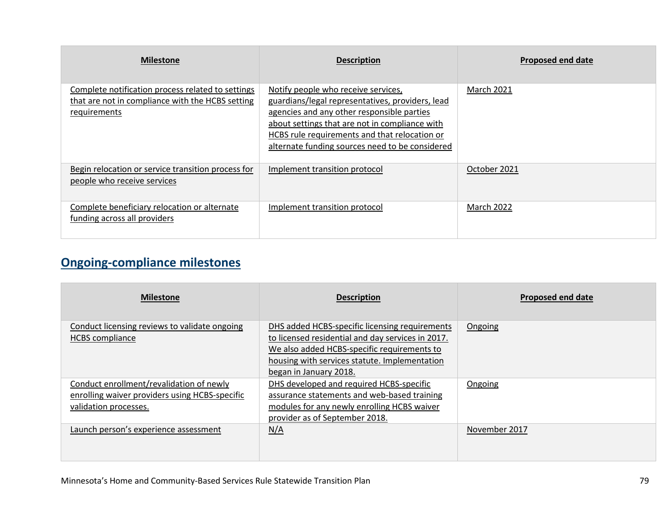| <b>Milestone</b>                                                                                                      | <b>Description</b>                                                                                                                                                                                                                                                                          | <b>Proposed end date</b> |
|-----------------------------------------------------------------------------------------------------------------------|---------------------------------------------------------------------------------------------------------------------------------------------------------------------------------------------------------------------------------------------------------------------------------------------|--------------------------|
| Complete notification process related to settings<br>that are not in compliance with the HCBS setting<br>requirements | Notify people who receive services,<br>guardians/legal representatives, providers, lead<br>agencies and any other responsible parties<br>about settings that are not in compliance with<br>HCBS rule requirements and that relocation or<br>alternate funding sources need to be considered | <b>March 2021</b>        |
| Begin relocation or service transition process for<br>people who receive services                                     | Implement transition protocol                                                                                                                                                                                                                                                               | October 2021             |
| Complete beneficiary relocation or alternate<br>funding across all providers                                          | Implement transition protocol                                                                                                                                                                                                                                                               | March 2022               |

## **Ongoing-compliance milestones**

| <b>Milestone</b>                                                                                                    | <b>Description</b>                                                                                                                                                                                                            | <b>Proposed end date</b> |
|---------------------------------------------------------------------------------------------------------------------|-------------------------------------------------------------------------------------------------------------------------------------------------------------------------------------------------------------------------------|--------------------------|
| Conduct licensing reviews to validate ongoing<br><b>HCBS</b> compliance                                             | DHS added HCBS-specific licensing requirements<br>to licensed residential and day services in 2017.<br>We also added HCBS-specific requirements to<br>housing with services statute. Implementation<br>began in January 2018. | Ongoing                  |
| Conduct enrollment/revalidation of newly<br>enrolling waiver providers using HCBS-specific<br>validation processes. | DHS developed and required HCBS-specific<br>assurance statements and web-based training<br>modules for any newly enrolling HCBS waiver<br>provider as of September 2018.                                                      | Ongoing                  |
| Launch person's experience assessment                                                                               | N/A                                                                                                                                                                                                                           | November 2017            |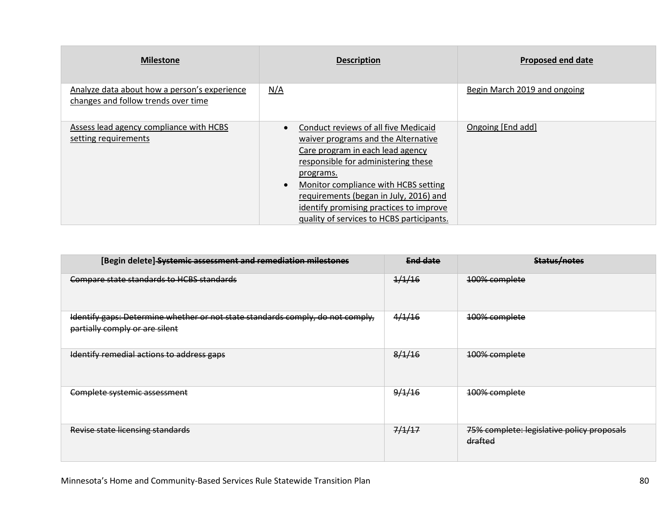| <b>Milestone</b>                                                                    | <b>Description</b>                                                                                                                                                                                                                                                                                                                                                      | <b>Proposed end date</b>     |
|-------------------------------------------------------------------------------------|-------------------------------------------------------------------------------------------------------------------------------------------------------------------------------------------------------------------------------------------------------------------------------------------------------------------------------------------------------------------------|------------------------------|
| Analyze data about how a person's experience<br>changes and follow trends over time | N/A                                                                                                                                                                                                                                                                                                                                                                     | Begin March 2019 and ongoing |
| Assess lead agency compliance with HCBS<br>setting requirements                     | Conduct reviews of all five Medicaid<br>$\bullet$<br>waiver programs and the Alternative<br>Care program in each lead agency<br>responsible for administering these<br>programs.<br>Monitor compliance with HCBS setting<br>$\bullet$<br>requirements (began in July, 2016) and<br>identify promising practices to improve<br>quality of services to HCBS participants. | Ongoing [End add]            |

| [Begin delete] Systemic assessment and remediation milestones                                                    | End date | Status/notes                                          |
|------------------------------------------------------------------------------------------------------------------|----------|-------------------------------------------------------|
| Compare state standards to HCBS standards                                                                        | 1/1/16   | 100% complete                                         |
| Identify gaps: Determine whether or not state standards comply, do not comply,<br>partially comply or are silent | 4/1/16   | 100% complete                                         |
| Identify remedial actions to address gaps                                                                        | 8/1/16   | 100% complete                                         |
| Complete systemic assessment                                                                                     | 9/1/16   | 100% complete                                         |
| Revise state licensing standards                                                                                 | 7/1/17   | 75% complete: legislative policy proposals<br>drafted |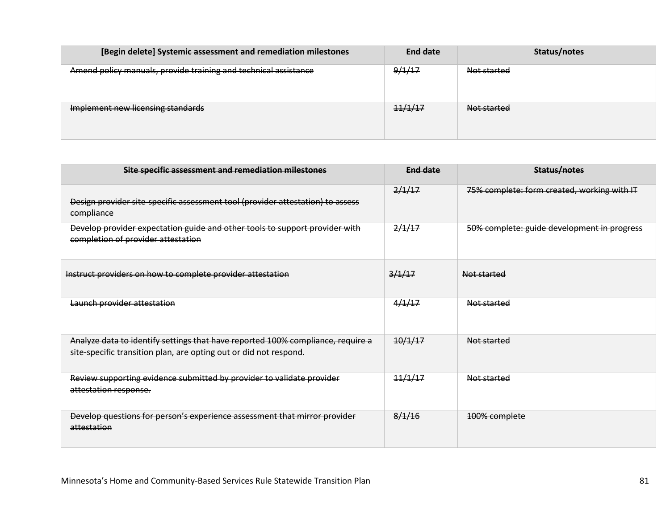| [Begin delete] Systemic assessment and remediation milestones   | End date | Status/notes |
|-----------------------------------------------------------------|----------|--------------|
| Amend policy manuals, provide training and technical assistance | 9/1/17   | Not started  |
| Implement new licensing standards                               | 11/1/17  | Not started  |

| Site specific assessment and remediation milestones                                                                                                  | End date | Status/notes                                |
|------------------------------------------------------------------------------------------------------------------------------------------------------|----------|---------------------------------------------|
| Design provider site-specific assessment tool (provider attestation) to assess<br>compliance                                                         | 2/1/17   | 75% complete: form created, working with IT |
| Develop provider expectation guide and other tools to support provider with<br>completion of provider attestation                                    | 2/1/17   | 50% complete: guide development in progress |
| Instruct providers on how to complete provider attestation                                                                                           | 3/1/17   | Not started                                 |
| Launch provider attestation                                                                                                                          | 4/1/17   | Not started                                 |
| Analyze data to identify settings that have reported 100% compliance, require a<br>site specific transition plan, are opting out or did not respond. | 10/1/17  | Not started                                 |
| Review supporting evidence submitted by provider to validate provider<br>attestation response.                                                       | 11/1/17  | Not started                                 |
| Develop questions for person's experience assessment that mirror provider<br>attestation                                                             | 8/1/16   | 100% complete                               |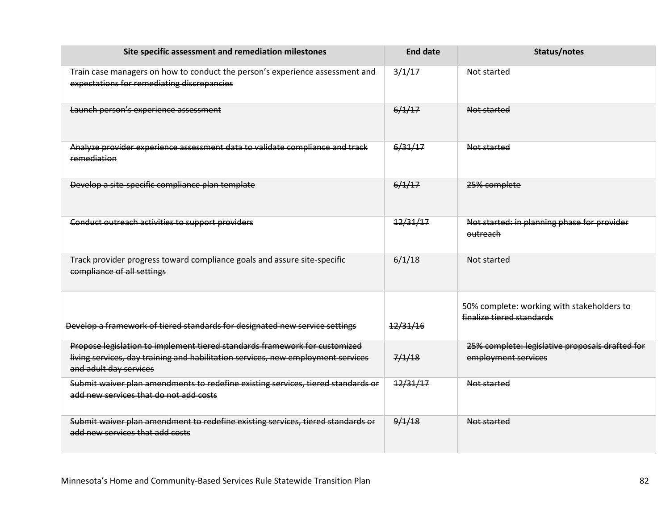| Site specific assessment and remediation milestones                                                                                                                                      | <b>End date</b> | Status/notes                                                            |
|------------------------------------------------------------------------------------------------------------------------------------------------------------------------------------------|-----------------|-------------------------------------------------------------------------|
| Train case managers on how to conduct the person's experience assessment and<br>expectations for remediating discrepancies                                                               | 3/1/17          | Not started                                                             |
| Launch person's experience assessment                                                                                                                                                    | 6/1/17          | Not started                                                             |
| Analyze provider experience assessment data to validate compliance and track<br>remediation                                                                                              | 6/31/17         | Not started                                                             |
| Develop a site-specific compliance plan template                                                                                                                                         | 6/1/17          | 25% complete                                                            |
| Conduct outreach activities to support providers                                                                                                                                         | 12/31/17        | Not started: in planning phase for provider<br>outreach                 |
| Track provider progress toward compliance goals and assure site-specific<br>compliance of all settings                                                                                   | 6/1/18          | Not started                                                             |
| Develop a framework of tiered standards for designated new service settings                                                                                                              | 12/31/16        | 50% complete: working with stakeholders to<br>finalize tiered standards |
| Propose legislation to implement tiered standards framework for customized<br>living services, day training and habilitation services, new employment services<br>and adult day services | 7/1/18          | 25% complete: legislative proposals drafted for<br>employment services  |
| Submit waiver plan amendments to redefine existing services, tiered standards or<br>add new services that do not add costs                                                               | 12/31/17        | Not started                                                             |
| Submit waiver plan amendment to redefine existing services, tiered standards or<br>add new services that add costs                                                                       | 9/1/18          | Not started                                                             |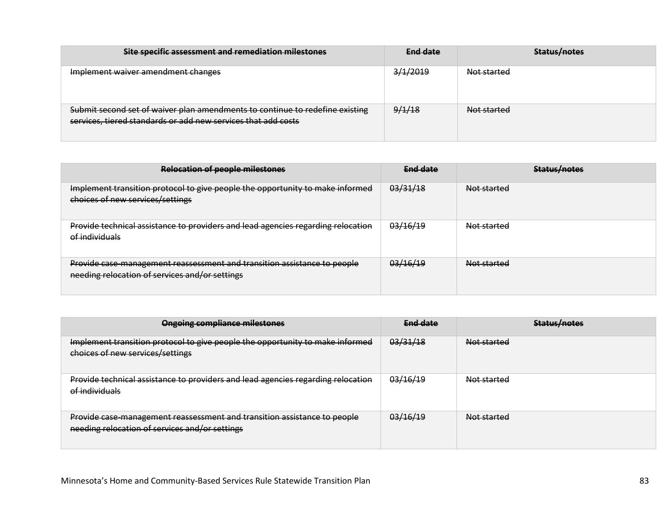| Site specific assessment and remediation milestones                                                                                           | End date | Status/notes |
|-----------------------------------------------------------------------------------------------------------------------------------------------|----------|--------------|
| Implement waiver amendment changes                                                                                                            | 3/1/2019 | Not started  |
| Submit second set of waiver plan amendments to continue to redefine existing<br>services, tiered standards or add new services that add costs | 9/1/18   | Not started  |

| <b>Relocation of people milestones</b>                                                                                     | End date | Status/notes       |
|----------------------------------------------------------------------------------------------------------------------------|----------|--------------------|
| Implement transition protocol to give people the opportunity to make informed<br>choices of new services/settings          | 03/31/18 | <b>Not started</b> |
| Provide technical assistance to providers and lead agencies regarding relocation<br>of individuals                         | 03/16/19 | Not started        |
| Provide case-management reassessment and transition assistance to people<br>needing relocation of services and/or settings | 03/16/19 | Not started        |

| <b>Ongoing compliance milestones</b>                                                                                       | End date | Status/notes |
|----------------------------------------------------------------------------------------------------------------------------|----------|--------------|
| Implement transition protocol to give people the opportunity to make informed<br>choices of new services/settings          | 03/31/18 | Not started  |
| Provide technical assistance to providers and lead agencies regarding relocation<br>of individuals                         | 03/16/19 | Not started  |
| Provide case-management reassessment and transition assistance to people<br>needing relocation of services and/or settings | 03/16/19 | Not started  |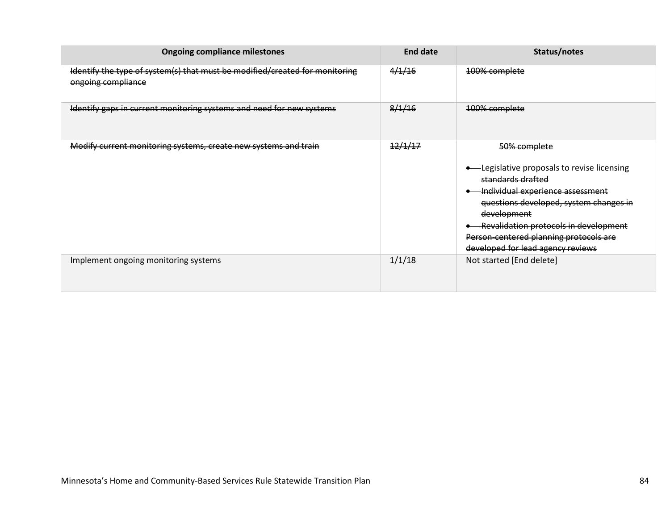| <b>Ongoing compliance milestones</b>                                                              | <b>End date</b> | Status/notes                                                                                                                                                                                                                                                                                        |
|---------------------------------------------------------------------------------------------------|-----------------|-----------------------------------------------------------------------------------------------------------------------------------------------------------------------------------------------------------------------------------------------------------------------------------------------------|
| Identify the type of system(s) that must be modified/created for monitoring<br>ongoing compliance | 4/1/16          | 100% complete                                                                                                                                                                                                                                                                                       |
| Identify gaps in current monitoring systems and need for new systems                              | 8/1/16          | 100% complete                                                                                                                                                                                                                                                                                       |
| Modify current monitoring systems, create new systems and train                                   | 12/1/17         | 50% complete<br>Legislative proposals to revise licensing<br>standards drafted<br>Individual experience assessment<br>questions developed, system changes in<br>development<br>Revalidation protocols in development<br>Person centered planning protocols are<br>developed for lead agency reviews |
| Implement ongoing monitoring systems                                                              | 1/1/18          | Not started [End delete]                                                                                                                                                                                                                                                                            |